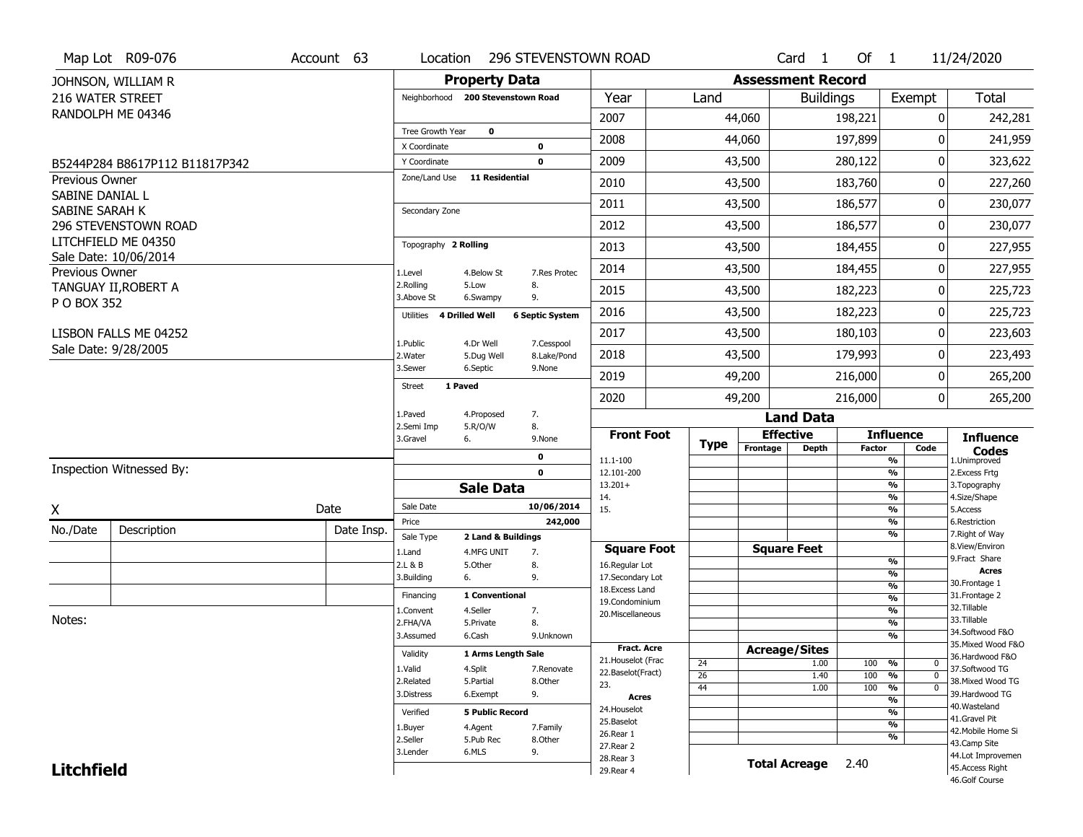| <b>Property Data</b><br><b>Assessment Record</b><br>JOHNSON, WILLIAM R<br><b>Total</b><br>216 WATER STREET<br>Year<br>Exempt<br>Neighborhood 200 Stevenstown Road<br>Land<br><b>Buildings</b><br>RANDOLPH ME 04346<br>2007<br>44,060<br>198,221<br>0<br>Tree Growth Year<br>$\mathbf 0$<br>2008<br>44,060<br>197,899<br>0<br>241,959<br>0<br>X Coordinate<br>2009<br>43,500<br>0<br>280,122<br>323,622<br>$\mathbf 0$<br>Y Coordinate<br>B5244P284 B8617P112 B11817P342<br>Zone/Land Use<br>11 Residential<br>Previous Owner<br>2010<br>43,500<br>183,760<br>0<br>227,260<br>SABINE DANIAL L<br>2011<br>43,500<br>186,577<br>0<br>SABINE SARAH K<br>Secondary Zone<br>2012<br>43,500<br>186,577<br>0<br>230,077<br>296 STEVENSTOWN ROAD<br>LITCHFIELD ME 04350<br>Topography 2 Rolling<br>2013<br>0<br>227,955<br>43,500<br>184,455<br>Sale Date: 10/06/2014<br>2014<br>43,500<br>184,455<br>0<br>227,955<br>Previous Owner<br>1.Level<br>4.Below St<br>7.Res Protec<br>2.Rolling<br>8.<br>5.Low<br>TANGUAY II, ROBERT A<br>2015<br>43,500<br>182,223<br>0<br>225,723<br>3.Above St<br>6.Swampy<br>9.<br>P O BOX 352<br>225,723<br>2016<br>43,500<br>182,223<br>0<br><b>4 Drilled Well</b><br><b>6 Septic System</b><br>Utilities<br>2017<br>43,500<br>0<br>LISBON FALLS ME 04252<br>180,103<br>223,603<br>1.Public<br>4.Dr Well<br>7.Cesspool<br>Sale Date: 9/28/2005<br>2018<br>43,500<br>179,993<br>0<br>223,493<br>2. Water<br>8.Lake/Pond<br>5.Dug Well<br>3.Sewer<br>6.Septic<br>9.None<br>2019<br>49,200<br>216,000<br>0<br>265,200<br>1 Paved<br><b>Street</b><br>49,200<br>216,000<br>$\overline{0}$<br>2020<br>265,200<br>1.Paved<br>7.<br>4.Proposed<br><b>Land Data</b><br>2.Semi Imp<br>5.R/O/W<br>8.<br><b>Front Foot</b><br><b>Effective</b><br><b>Influence</b><br><b>Influence</b><br>3.Gravel<br>6.<br>9.None<br><b>Type</b><br>Frontage<br><b>Depth</b><br><b>Factor</b><br>Code<br><b>Codes</b><br>0<br>$\overline{\mathcal{C}_{\mathbf{0}}}$<br>11.1-100<br>1.Unimproved<br>Inspection Witnessed By:<br>$\mathbf 0$<br>$\frac{9}{6}$<br>12.101-200<br>2. Excess Frtg<br>$\overline{\frac{9}{6}}$<br>$13.201+$<br>3. Topography<br><b>Sale Data</b><br>$\frac{9}{6}$<br>4.Size/Shape<br>14.<br>Sale Date<br>10/06/2014<br>Date<br>15.<br>$\overline{\frac{9}{6}}$<br>5.Access<br>X<br>$\frac{9}{6}$<br>Price<br>242,000<br>6.Restriction<br>No./Date<br>Description<br>Date Insp.<br>$\overline{\frac{9}{6}}$<br>7. Right of Way<br>Sale Type<br>2 Land & Buildings<br>8.View/Environ<br><b>Square Feet</b><br><b>Square Foot</b><br>1.Land<br>4.MFG UNIT<br>7.<br>9.Fract Share<br>%<br>2.L & B<br>5.Other<br>8.<br>16.Regular Lot<br><b>Acres</b><br>%<br>3.Building<br>6.<br>9.<br>17.Secondary Lot<br>30. Frontage 1<br>$\frac{9}{6}$<br>18. Excess Land<br>1 Conventional<br>31. Frontage 2<br>Financing<br>$\frac{9}{6}$<br>19.Condominium<br>32.Tillable<br>$\frac{9}{6}$<br>4.Seller<br>7.<br>1.Convent<br>20.Miscellaneous<br>Notes:<br>33.Tillable<br>$\frac{9}{6}$<br>2.FHA/VA<br>5.Private<br>8.<br>34.Softwood F&O<br>$\overline{\frac{9}{6}}$<br>3.Assumed<br>6.Cash<br>9.Unknown<br>35. Mixed Wood F&O<br><b>Fract. Acre</b><br><b>Acreage/Sites</b><br>Validity<br>1 Arms Length Sale | Map Lot R09-076 | Account 63 | Location | <b>296 STEVENSTOWN ROAD</b> |                    |  | Card <sub>1</sub> | Of $1$ | 11/24/2020      |
|---------------------------------------------------------------------------------------------------------------------------------------------------------------------------------------------------------------------------------------------------------------------------------------------------------------------------------------------------------------------------------------------------------------------------------------------------------------------------------------------------------------------------------------------------------------------------------------------------------------------------------------------------------------------------------------------------------------------------------------------------------------------------------------------------------------------------------------------------------------------------------------------------------------------------------------------------------------------------------------------------------------------------------------------------------------------------------------------------------------------------------------------------------------------------------------------------------------------------------------------------------------------------------------------------------------------------------------------------------------------------------------------------------------------------------------------------------------------------------------------------------------------------------------------------------------------------------------------------------------------------------------------------------------------------------------------------------------------------------------------------------------------------------------------------------------------------------------------------------------------------------------------------------------------------------------------------------------------------------------------------------------------------------------------------------------------------------------------------------------------------------------------------------------------------------------------------------------------------------------------------------------------------------------------------------------------------------------------------------------------------------------------------------------------------------------------------------------------------------------------------------------------------------------------------------------------------------------------------------------------------------------------------------------------------------------------------------------------------------------------------------------------------------------------------------------------------------------------------------------------------------------------------------------------------------------------------------------------------------------------------------------------------------------------------------------------------------------------------------------------------------------------------------------------------------------------------------------------------|-----------------|------------|----------|-----------------------------|--------------------|--|-------------------|--------|-----------------|
|                                                                                                                                                                                                                                                                                                                                                                                                                                                                                                                                                                                                                                                                                                                                                                                                                                                                                                                                                                                                                                                                                                                                                                                                                                                                                                                                                                                                                                                                                                                                                                                                                                                                                                                                                                                                                                                                                                                                                                                                                                                                                                                                                                                                                                                                                                                                                                                                                                                                                                                                                                                                                                                                                                                                                                                                                                                                                                                                                                                                                                                                                                                                                                                                                           |                 |            |          |                             |                    |  |                   |        |                 |
| 242,281<br>230,077                                                                                                                                                                                                                                                                                                                                                                                                                                                                                                                                                                                                                                                                                                                                                                                                                                                                                                                                                                                                                                                                                                                                                                                                                                                                                                                                                                                                                                                                                                                                                                                                                                                                                                                                                                                                                                                                                                                                                                                                                                                                                                                                                                                                                                                                                                                                                                                                                                                                                                                                                                                                                                                                                                                                                                                                                                                                                                                                                                                                                                                                                                                                                                                                        |                 |            |          |                             |                    |  |                   |        |                 |
|                                                                                                                                                                                                                                                                                                                                                                                                                                                                                                                                                                                                                                                                                                                                                                                                                                                                                                                                                                                                                                                                                                                                                                                                                                                                                                                                                                                                                                                                                                                                                                                                                                                                                                                                                                                                                                                                                                                                                                                                                                                                                                                                                                                                                                                                                                                                                                                                                                                                                                                                                                                                                                                                                                                                                                                                                                                                                                                                                                                                                                                                                                                                                                                                                           |                 |            |          |                             |                    |  |                   |        |                 |
|                                                                                                                                                                                                                                                                                                                                                                                                                                                                                                                                                                                                                                                                                                                                                                                                                                                                                                                                                                                                                                                                                                                                                                                                                                                                                                                                                                                                                                                                                                                                                                                                                                                                                                                                                                                                                                                                                                                                                                                                                                                                                                                                                                                                                                                                                                                                                                                                                                                                                                                                                                                                                                                                                                                                                                                                                                                                                                                                                                                                                                                                                                                                                                                                                           |                 |            |          |                             |                    |  |                   |        |                 |
|                                                                                                                                                                                                                                                                                                                                                                                                                                                                                                                                                                                                                                                                                                                                                                                                                                                                                                                                                                                                                                                                                                                                                                                                                                                                                                                                                                                                                                                                                                                                                                                                                                                                                                                                                                                                                                                                                                                                                                                                                                                                                                                                                                                                                                                                                                                                                                                                                                                                                                                                                                                                                                                                                                                                                                                                                                                                                                                                                                                                                                                                                                                                                                                                                           |                 |            |          |                             |                    |  |                   |        |                 |
|                                                                                                                                                                                                                                                                                                                                                                                                                                                                                                                                                                                                                                                                                                                                                                                                                                                                                                                                                                                                                                                                                                                                                                                                                                                                                                                                                                                                                                                                                                                                                                                                                                                                                                                                                                                                                                                                                                                                                                                                                                                                                                                                                                                                                                                                                                                                                                                                                                                                                                                                                                                                                                                                                                                                                                                                                                                                                                                                                                                                                                                                                                                                                                                                                           |                 |            |          |                             |                    |  |                   |        |                 |
|                                                                                                                                                                                                                                                                                                                                                                                                                                                                                                                                                                                                                                                                                                                                                                                                                                                                                                                                                                                                                                                                                                                                                                                                                                                                                                                                                                                                                                                                                                                                                                                                                                                                                                                                                                                                                                                                                                                                                                                                                                                                                                                                                                                                                                                                                                                                                                                                                                                                                                                                                                                                                                                                                                                                                                                                                                                                                                                                                                                                                                                                                                                                                                                                                           |                 |            |          |                             |                    |  |                   |        |                 |
|                                                                                                                                                                                                                                                                                                                                                                                                                                                                                                                                                                                                                                                                                                                                                                                                                                                                                                                                                                                                                                                                                                                                                                                                                                                                                                                                                                                                                                                                                                                                                                                                                                                                                                                                                                                                                                                                                                                                                                                                                                                                                                                                                                                                                                                                                                                                                                                                                                                                                                                                                                                                                                                                                                                                                                                                                                                                                                                                                                                                                                                                                                                                                                                                                           |                 |            |          |                             |                    |  |                   |        |                 |
|                                                                                                                                                                                                                                                                                                                                                                                                                                                                                                                                                                                                                                                                                                                                                                                                                                                                                                                                                                                                                                                                                                                                                                                                                                                                                                                                                                                                                                                                                                                                                                                                                                                                                                                                                                                                                                                                                                                                                                                                                                                                                                                                                                                                                                                                                                                                                                                                                                                                                                                                                                                                                                                                                                                                                                                                                                                                                                                                                                                                                                                                                                                                                                                                                           |                 |            |          |                             |                    |  |                   |        |                 |
|                                                                                                                                                                                                                                                                                                                                                                                                                                                                                                                                                                                                                                                                                                                                                                                                                                                                                                                                                                                                                                                                                                                                                                                                                                                                                                                                                                                                                                                                                                                                                                                                                                                                                                                                                                                                                                                                                                                                                                                                                                                                                                                                                                                                                                                                                                                                                                                                                                                                                                                                                                                                                                                                                                                                                                                                                                                                                                                                                                                                                                                                                                                                                                                                                           |                 |            |          |                             |                    |  |                   |        |                 |
|                                                                                                                                                                                                                                                                                                                                                                                                                                                                                                                                                                                                                                                                                                                                                                                                                                                                                                                                                                                                                                                                                                                                                                                                                                                                                                                                                                                                                                                                                                                                                                                                                                                                                                                                                                                                                                                                                                                                                                                                                                                                                                                                                                                                                                                                                                                                                                                                                                                                                                                                                                                                                                                                                                                                                                                                                                                                                                                                                                                                                                                                                                                                                                                                                           |                 |            |          |                             |                    |  |                   |        |                 |
|                                                                                                                                                                                                                                                                                                                                                                                                                                                                                                                                                                                                                                                                                                                                                                                                                                                                                                                                                                                                                                                                                                                                                                                                                                                                                                                                                                                                                                                                                                                                                                                                                                                                                                                                                                                                                                                                                                                                                                                                                                                                                                                                                                                                                                                                                                                                                                                                                                                                                                                                                                                                                                                                                                                                                                                                                                                                                                                                                                                                                                                                                                                                                                                                                           |                 |            |          |                             |                    |  |                   |        |                 |
|                                                                                                                                                                                                                                                                                                                                                                                                                                                                                                                                                                                                                                                                                                                                                                                                                                                                                                                                                                                                                                                                                                                                                                                                                                                                                                                                                                                                                                                                                                                                                                                                                                                                                                                                                                                                                                                                                                                                                                                                                                                                                                                                                                                                                                                                                                                                                                                                                                                                                                                                                                                                                                                                                                                                                                                                                                                                                                                                                                                                                                                                                                                                                                                                                           |                 |            |          |                             |                    |  |                   |        |                 |
|                                                                                                                                                                                                                                                                                                                                                                                                                                                                                                                                                                                                                                                                                                                                                                                                                                                                                                                                                                                                                                                                                                                                                                                                                                                                                                                                                                                                                                                                                                                                                                                                                                                                                                                                                                                                                                                                                                                                                                                                                                                                                                                                                                                                                                                                                                                                                                                                                                                                                                                                                                                                                                                                                                                                                                                                                                                                                                                                                                                                                                                                                                                                                                                                                           |                 |            |          |                             |                    |  |                   |        |                 |
|                                                                                                                                                                                                                                                                                                                                                                                                                                                                                                                                                                                                                                                                                                                                                                                                                                                                                                                                                                                                                                                                                                                                                                                                                                                                                                                                                                                                                                                                                                                                                                                                                                                                                                                                                                                                                                                                                                                                                                                                                                                                                                                                                                                                                                                                                                                                                                                                                                                                                                                                                                                                                                                                                                                                                                                                                                                                                                                                                                                                                                                                                                                                                                                                                           |                 |            |          |                             |                    |  |                   |        |                 |
|                                                                                                                                                                                                                                                                                                                                                                                                                                                                                                                                                                                                                                                                                                                                                                                                                                                                                                                                                                                                                                                                                                                                                                                                                                                                                                                                                                                                                                                                                                                                                                                                                                                                                                                                                                                                                                                                                                                                                                                                                                                                                                                                                                                                                                                                                                                                                                                                                                                                                                                                                                                                                                                                                                                                                                                                                                                                                                                                                                                                                                                                                                                                                                                                                           |                 |            |          |                             |                    |  |                   |        |                 |
|                                                                                                                                                                                                                                                                                                                                                                                                                                                                                                                                                                                                                                                                                                                                                                                                                                                                                                                                                                                                                                                                                                                                                                                                                                                                                                                                                                                                                                                                                                                                                                                                                                                                                                                                                                                                                                                                                                                                                                                                                                                                                                                                                                                                                                                                                                                                                                                                                                                                                                                                                                                                                                                                                                                                                                                                                                                                                                                                                                                                                                                                                                                                                                                                                           |                 |            |          |                             |                    |  |                   |        |                 |
|                                                                                                                                                                                                                                                                                                                                                                                                                                                                                                                                                                                                                                                                                                                                                                                                                                                                                                                                                                                                                                                                                                                                                                                                                                                                                                                                                                                                                                                                                                                                                                                                                                                                                                                                                                                                                                                                                                                                                                                                                                                                                                                                                                                                                                                                                                                                                                                                                                                                                                                                                                                                                                                                                                                                                                                                                                                                                                                                                                                                                                                                                                                                                                                                                           |                 |            |          |                             |                    |  |                   |        |                 |
|                                                                                                                                                                                                                                                                                                                                                                                                                                                                                                                                                                                                                                                                                                                                                                                                                                                                                                                                                                                                                                                                                                                                                                                                                                                                                                                                                                                                                                                                                                                                                                                                                                                                                                                                                                                                                                                                                                                                                                                                                                                                                                                                                                                                                                                                                                                                                                                                                                                                                                                                                                                                                                                                                                                                                                                                                                                                                                                                                                                                                                                                                                                                                                                                                           |                 |            |          |                             |                    |  |                   |        |                 |
|                                                                                                                                                                                                                                                                                                                                                                                                                                                                                                                                                                                                                                                                                                                                                                                                                                                                                                                                                                                                                                                                                                                                                                                                                                                                                                                                                                                                                                                                                                                                                                                                                                                                                                                                                                                                                                                                                                                                                                                                                                                                                                                                                                                                                                                                                                                                                                                                                                                                                                                                                                                                                                                                                                                                                                                                                                                                                                                                                                                                                                                                                                                                                                                                                           |                 |            |          |                             |                    |  |                   |        |                 |
|                                                                                                                                                                                                                                                                                                                                                                                                                                                                                                                                                                                                                                                                                                                                                                                                                                                                                                                                                                                                                                                                                                                                                                                                                                                                                                                                                                                                                                                                                                                                                                                                                                                                                                                                                                                                                                                                                                                                                                                                                                                                                                                                                                                                                                                                                                                                                                                                                                                                                                                                                                                                                                                                                                                                                                                                                                                                                                                                                                                                                                                                                                                                                                                                                           |                 |            |          |                             |                    |  |                   |        |                 |
|                                                                                                                                                                                                                                                                                                                                                                                                                                                                                                                                                                                                                                                                                                                                                                                                                                                                                                                                                                                                                                                                                                                                                                                                                                                                                                                                                                                                                                                                                                                                                                                                                                                                                                                                                                                                                                                                                                                                                                                                                                                                                                                                                                                                                                                                                                                                                                                                                                                                                                                                                                                                                                                                                                                                                                                                                                                                                                                                                                                                                                                                                                                                                                                                                           |                 |            |          |                             |                    |  |                   |        |                 |
|                                                                                                                                                                                                                                                                                                                                                                                                                                                                                                                                                                                                                                                                                                                                                                                                                                                                                                                                                                                                                                                                                                                                                                                                                                                                                                                                                                                                                                                                                                                                                                                                                                                                                                                                                                                                                                                                                                                                                                                                                                                                                                                                                                                                                                                                                                                                                                                                                                                                                                                                                                                                                                                                                                                                                                                                                                                                                                                                                                                                                                                                                                                                                                                                                           |                 |            |          |                             |                    |  |                   |        |                 |
|                                                                                                                                                                                                                                                                                                                                                                                                                                                                                                                                                                                                                                                                                                                                                                                                                                                                                                                                                                                                                                                                                                                                                                                                                                                                                                                                                                                                                                                                                                                                                                                                                                                                                                                                                                                                                                                                                                                                                                                                                                                                                                                                                                                                                                                                                                                                                                                                                                                                                                                                                                                                                                                                                                                                                                                                                                                                                                                                                                                                                                                                                                                                                                                                                           |                 |            |          |                             |                    |  |                   |        |                 |
|                                                                                                                                                                                                                                                                                                                                                                                                                                                                                                                                                                                                                                                                                                                                                                                                                                                                                                                                                                                                                                                                                                                                                                                                                                                                                                                                                                                                                                                                                                                                                                                                                                                                                                                                                                                                                                                                                                                                                                                                                                                                                                                                                                                                                                                                                                                                                                                                                                                                                                                                                                                                                                                                                                                                                                                                                                                                                                                                                                                                                                                                                                                                                                                                                           |                 |            |          |                             |                    |  |                   |        |                 |
|                                                                                                                                                                                                                                                                                                                                                                                                                                                                                                                                                                                                                                                                                                                                                                                                                                                                                                                                                                                                                                                                                                                                                                                                                                                                                                                                                                                                                                                                                                                                                                                                                                                                                                                                                                                                                                                                                                                                                                                                                                                                                                                                                                                                                                                                                                                                                                                                                                                                                                                                                                                                                                                                                                                                                                                                                                                                                                                                                                                                                                                                                                                                                                                                                           |                 |            |          |                             |                    |  |                   |        |                 |
|                                                                                                                                                                                                                                                                                                                                                                                                                                                                                                                                                                                                                                                                                                                                                                                                                                                                                                                                                                                                                                                                                                                                                                                                                                                                                                                                                                                                                                                                                                                                                                                                                                                                                                                                                                                                                                                                                                                                                                                                                                                                                                                                                                                                                                                                                                                                                                                                                                                                                                                                                                                                                                                                                                                                                                                                                                                                                                                                                                                                                                                                                                                                                                                                                           |                 |            |          |                             |                    |  |                   |        |                 |
|                                                                                                                                                                                                                                                                                                                                                                                                                                                                                                                                                                                                                                                                                                                                                                                                                                                                                                                                                                                                                                                                                                                                                                                                                                                                                                                                                                                                                                                                                                                                                                                                                                                                                                                                                                                                                                                                                                                                                                                                                                                                                                                                                                                                                                                                                                                                                                                                                                                                                                                                                                                                                                                                                                                                                                                                                                                                                                                                                                                                                                                                                                                                                                                                                           |                 |            |          |                             |                    |  |                   |        |                 |
|                                                                                                                                                                                                                                                                                                                                                                                                                                                                                                                                                                                                                                                                                                                                                                                                                                                                                                                                                                                                                                                                                                                                                                                                                                                                                                                                                                                                                                                                                                                                                                                                                                                                                                                                                                                                                                                                                                                                                                                                                                                                                                                                                                                                                                                                                                                                                                                                                                                                                                                                                                                                                                                                                                                                                                                                                                                                                                                                                                                                                                                                                                                                                                                                                           |                 |            |          |                             |                    |  |                   |        |                 |
|                                                                                                                                                                                                                                                                                                                                                                                                                                                                                                                                                                                                                                                                                                                                                                                                                                                                                                                                                                                                                                                                                                                                                                                                                                                                                                                                                                                                                                                                                                                                                                                                                                                                                                                                                                                                                                                                                                                                                                                                                                                                                                                                                                                                                                                                                                                                                                                                                                                                                                                                                                                                                                                                                                                                                                                                                                                                                                                                                                                                                                                                                                                                                                                                                           |                 |            |          |                             |                    |  |                   |        |                 |
|                                                                                                                                                                                                                                                                                                                                                                                                                                                                                                                                                                                                                                                                                                                                                                                                                                                                                                                                                                                                                                                                                                                                                                                                                                                                                                                                                                                                                                                                                                                                                                                                                                                                                                                                                                                                                                                                                                                                                                                                                                                                                                                                                                                                                                                                                                                                                                                                                                                                                                                                                                                                                                                                                                                                                                                                                                                                                                                                                                                                                                                                                                                                                                                                                           |                 |            |          |                             |                    |  |                   |        |                 |
|                                                                                                                                                                                                                                                                                                                                                                                                                                                                                                                                                                                                                                                                                                                                                                                                                                                                                                                                                                                                                                                                                                                                                                                                                                                                                                                                                                                                                                                                                                                                                                                                                                                                                                                                                                                                                                                                                                                                                                                                                                                                                                                                                                                                                                                                                                                                                                                                                                                                                                                                                                                                                                                                                                                                                                                                                                                                                                                                                                                                                                                                                                                                                                                                                           |                 |            |          |                             |                    |  |                   |        |                 |
|                                                                                                                                                                                                                                                                                                                                                                                                                                                                                                                                                                                                                                                                                                                                                                                                                                                                                                                                                                                                                                                                                                                                                                                                                                                                                                                                                                                                                                                                                                                                                                                                                                                                                                                                                                                                                                                                                                                                                                                                                                                                                                                                                                                                                                                                                                                                                                                                                                                                                                                                                                                                                                                                                                                                                                                                                                                                                                                                                                                                                                                                                                                                                                                                                           |                 |            |          |                             | 21. Houselot (Frac |  |                   |        | 36.Hardwood F&O |
| 24<br>1.00<br>100<br>%<br>0<br>37.Softwood TG<br>1.Valid<br>4.Split<br>7.Renovate<br>22.Baselot(Fract)<br>$\overline{26}$<br>1.40<br>100<br>$\mathbf 0$<br>%                                                                                                                                                                                                                                                                                                                                                                                                                                                                                                                                                                                                                                                                                                                                                                                                                                                                                                                                                                                                                                                                                                                                                                                                                                                                                                                                                                                                                                                                                                                                                                                                                                                                                                                                                                                                                                                                                                                                                                                                                                                                                                                                                                                                                                                                                                                                                                                                                                                                                                                                                                                                                                                                                                                                                                                                                                                                                                                                                                                                                                                              |                 |            |          |                             |                    |  |                   |        |                 |
| 38. Mixed Wood TG<br>2.Related<br>8.Other<br>5.Partial<br>23.<br>44<br>100<br>$\overline{\frac{9}{6}}$<br>1.00<br>$\mathbf{0}$                                                                                                                                                                                                                                                                                                                                                                                                                                                                                                                                                                                                                                                                                                                                                                                                                                                                                                                                                                                                                                                                                                                                                                                                                                                                                                                                                                                                                                                                                                                                                                                                                                                                                                                                                                                                                                                                                                                                                                                                                                                                                                                                                                                                                                                                                                                                                                                                                                                                                                                                                                                                                                                                                                                                                                                                                                                                                                                                                                                                                                                                                            |                 |            |          |                             |                    |  |                   |        |                 |
| 39.Hardwood TG<br>9.<br>3.Distress<br>6.Exempt<br>Acres<br>$\overline{\frac{9}{6}}$<br>40. Wasteland                                                                                                                                                                                                                                                                                                                                                                                                                                                                                                                                                                                                                                                                                                                                                                                                                                                                                                                                                                                                                                                                                                                                                                                                                                                                                                                                                                                                                                                                                                                                                                                                                                                                                                                                                                                                                                                                                                                                                                                                                                                                                                                                                                                                                                                                                                                                                                                                                                                                                                                                                                                                                                                                                                                                                                                                                                                                                                                                                                                                                                                                                                                      |                 |            |          |                             |                    |  |                   |        |                 |
| 24. Houselot<br>%<br>Verified<br><b>5 Public Record</b><br>41.Gravel Pit                                                                                                                                                                                                                                                                                                                                                                                                                                                                                                                                                                                                                                                                                                                                                                                                                                                                                                                                                                                                                                                                                                                                                                                                                                                                                                                                                                                                                                                                                                                                                                                                                                                                                                                                                                                                                                                                                                                                                                                                                                                                                                                                                                                                                                                                                                                                                                                                                                                                                                                                                                                                                                                                                                                                                                                                                                                                                                                                                                                                                                                                                                                                                  |                 |            |          |                             |                    |  |                   |        |                 |
| 25.Baselot<br>$\overline{\frac{9}{6}}$<br>1.Buyer<br>4.Agent<br>7.Family<br>42. Mobile Home Si<br>26.Rear 1                                                                                                                                                                                                                                                                                                                                                                                                                                                                                                                                                                                                                                                                                                                                                                                                                                                                                                                                                                                                                                                                                                                                                                                                                                                                                                                                                                                                                                                                                                                                                                                                                                                                                                                                                                                                                                                                                                                                                                                                                                                                                                                                                                                                                                                                                                                                                                                                                                                                                                                                                                                                                                                                                                                                                                                                                                                                                                                                                                                                                                                                                                               |                 |            |          |                             |                    |  |                   |        |                 |
| %<br>2.Seller<br>5.Pub Rec<br>8.Other<br>43.Camp Site<br>27. Rear 2                                                                                                                                                                                                                                                                                                                                                                                                                                                                                                                                                                                                                                                                                                                                                                                                                                                                                                                                                                                                                                                                                                                                                                                                                                                                                                                                                                                                                                                                                                                                                                                                                                                                                                                                                                                                                                                                                                                                                                                                                                                                                                                                                                                                                                                                                                                                                                                                                                                                                                                                                                                                                                                                                                                                                                                                                                                                                                                                                                                                                                                                                                                                                       |                 |            |          |                             |                    |  |                   |        |                 |
| 6.MLS<br>9.<br>3.Lender<br>44.Lot Improvemen<br>28.Rear 3                                                                                                                                                                                                                                                                                                                                                                                                                                                                                                                                                                                                                                                                                                                                                                                                                                                                                                                                                                                                                                                                                                                                                                                                                                                                                                                                                                                                                                                                                                                                                                                                                                                                                                                                                                                                                                                                                                                                                                                                                                                                                                                                                                                                                                                                                                                                                                                                                                                                                                                                                                                                                                                                                                                                                                                                                                                                                                                                                                                                                                                                                                                                                                 |                 |            |          |                             |                    |  |                   |        |                 |
| <b>Total Acreage</b><br>2.40<br><b>Litchfield</b><br>45. Access Right<br>29. Rear 4<br>46.Golf Course                                                                                                                                                                                                                                                                                                                                                                                                                                                                                                                                                                                                                                                                                                                                                                                                                                                                                                                                                                                                                                                                                                                                                                                                                                                                                                                                                                                                                                                                                                                                                                                                                                                                                                                                                                                                                                                                                                                                                                                                                                                                                                                                                                                                                                                                                                                                                                                                                                                                                                                                                                                                                                                                                                                                                                                                                                                                                                                                                                                                                                                                                                                     |                 |            |          |                             |                    |  |                   |        |                 |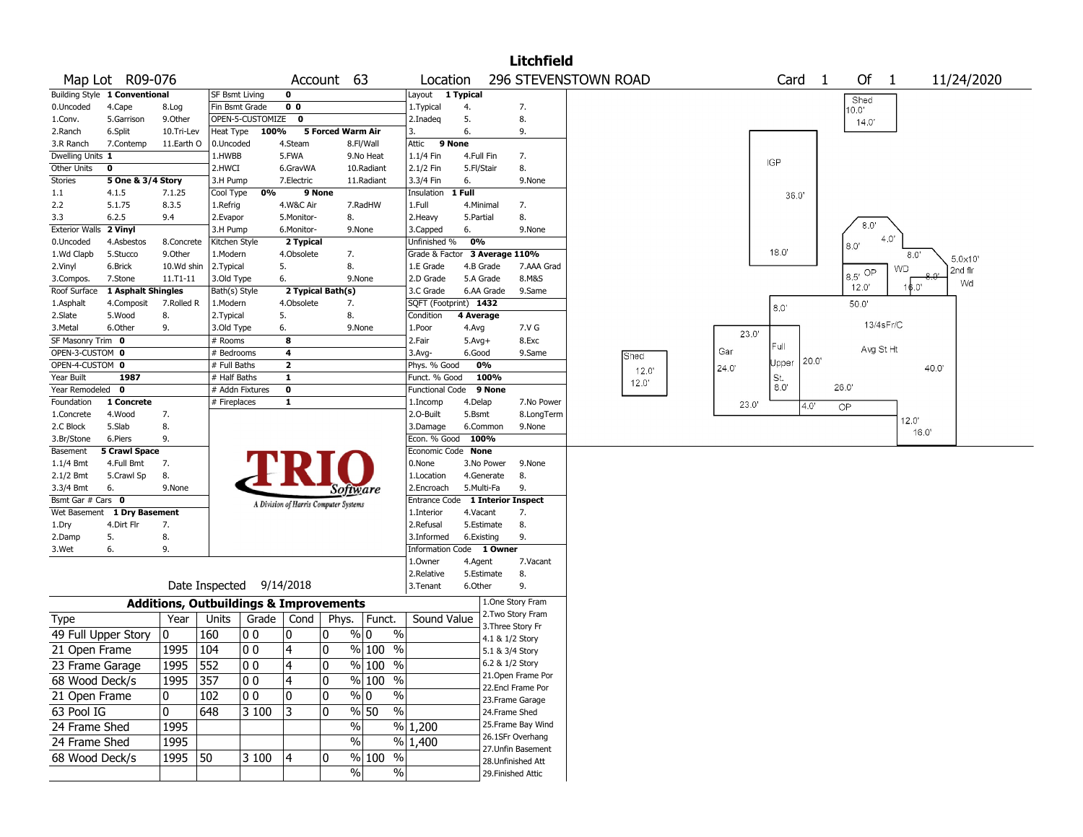|                       |                               |              |                                                   |                  |                                       |        |                             |                        |                        |            | Litchfield                |                      |       |            |                   |          |             |       |            |  |
|-----------------------|-------------------------------|--------------|---------------------------------------------------|------------------|---------------------------------------|--------|-----------------------------|------------------------|------------------------|------------|---------------------------|----------------------|-------|------------|-------------------|----------|-------------|-------|------------|--|
|                       | Map Lot R09-076               |              |                                                   |                  | Account 63                            |        |                             | Location               |                        |            |                           | 296 STEVENSTOWN ROAD |       |            | Card <sub>1</sub> |          | Of $1$      |       | 11/24/2020 |  |
|                       | Building Style 1 Conventional |              | <b>SF Bsmt Living</b>                             |                  | $\mathbf 0$                           |        |                             | Layout                 | $\overline{1}$ Typical |            |                           |                      |       |            |                   | Shed     |             |       |            |  |
| 0.Uncoded             | 4.Cape                        | 8.Log        | Fin Bsmt Grade                                    |                  | 0 <sub>0</sub>                        |        |                             | 1. Typical             | 4.                     |            | 7.                        |                      |       |            |                   | 0.0'     |             |       |            |  |
| 1.Conv.               | 5.Garrison                    | 9.0ther      |                                                   | OPEN-5-CUSTOMIZE | 0                                     |        |                             | 2.Inadeg               | 5.                     |            | 8.                        |                      |       |            |                   | 14.0'    |             |       |            |  |
| 2.Ranch               | 6.Split                       | 10.Tri-Lev   | Heat Type                                         | 100%             |                                       |        | 5 Forced Warm Air           | 3.                     | 6.                     |            | 9.                        |                      |       |            |                   |          |             |       |            |  |
| 3.R Ranch             | 7.Contemp                     | 11.Earth O   | 0.Uncoded                                         |                  | 4.Steam                               |        | 8.Fl/Wall                   | Attic                  | 9 None                 |            |                           |                      |       |            |                   |          |             |       |            |  |
| Dwelling Units 1      |                               |              | 1.HWBB                                            |                  | 5.FWA                                 |        | 9.No Heat                   | 1.1/4 Fin              | 4.Full Fin             |            | 7.                        |                      |       | <b>IGP</b> |                   |          |             |       |            |  |
| Other Units           | $\mathbf 0$                   |              | 2.HWCI                                            |                  | 6.GravWA                              |        | 10.Radiant                  | 2.1/2 Fin              | 5.Fl/Stair             |            | 8.                        |                      |       |            |                   |          |             |       |            |  |
| <b>Stories</b>        | 5 One & 3/4 Story             |              | 3.H Pump                                          |                  | 7.Electric                            |        | 11.Radiant                  | 3.3/4 Fin              | 6.                     |            | 9.None                    |                      |       |            |                   |          |             |       |            |  |
| $1.1\,$               | 4.1.5                         | 7.1.25       | Cool Type                                         | 0%               |                                       | 9 None |                             | Insulation             | $1$ Full               |            |                           |                      |       | 36.0'      |                   |          |             |       |            |  |
| 2.2                   | 5.1.75                        | 8.3.5        | 1.Refrig                                          |                  | 4.W&C Air                             |        | 7.RadHW                     | 1.Full                 |                        | 4.Minimal  | 7.                        |                      |       |            |                   |          |             |       |            |  |
| 3.3                   | 6.2.5                         | 9.4          | 2.Evapor                                          |                  | 5.Monitor-                            |        | 8.                          | 2. Heavy               | 5.Partial              |            | 8.                        |                      |       |            |                   |          |             |       |            |  |
| <b>Exterior Walls</b> | 2 Vinyl                       |              | 3.H Pump                                          |                  | 6.Monitor-                            |        | 9.None                      | 3.Capped               | 6.                     |            | 9.None                    |                      |       |            |                   |          | $8.0^\circ$ |       |            |  |
| 0.Uncoded             | 4.Asbestos                    | 8.Concrete   | Kitchen Style                                     |                  | 2 Typical                             |        |                             | Unfinished %           | 0%                     |            |                           |                      |       |            |                   | 8.0'     | 4.0'        |       |            |  |
| 1.Wd Clapb            | 5.Stucco                      | 9.0ther      | 1.Modern                                          |                  | 4.Obsolete                            |        | 7.                          | Grade & Factor         |                        |            | 3 Average 110%            |                      |       | 18.0'      |                   |          |             | 8.0   | 5.0x10     |  |
| 2.Vinyl               | 6.Brick                       | 10.Wd shin   | 2. Typical                                        |                  | 5.                                    |        | 8.                          | 1.E Grade              |                        | 4.B Grade  | 7.AAA Grad                |                      |       |            |                   |          |             | WD    | 2nd flr    |  |
| 3.Compos.             | 7.Stone                       | $11.71 - 11$ | 3.Old Type                                        |                  | 6.                                    |        | 9.None                      | 2.D Grade              |                        | 5.A Grade  | 8.M&S                     |                      |       |            |                   | $B.5$ OP |             |       | Wd         |  |
| Roof Surface          | 1 Asphalt Shingles            |              | Bath(s) Style                                     |                  | 2 Typical Bath(s)                     |        |                             | 3.C Grade              |                        | 6.AA Grade | 9.Same                    |                      |       |            |                   | 12.0'    |             | 6.0"  |            |  |
| 1.Asphalt             | 4.Composit                    | 7.Rolled R   | 1.Modern                                          |                  | 4.Obsolete                            |        | 7.                          | SQFT (Footprint) 1432  |                        |            |                           |                      |       | 8.0'       |                   | 50.0     |             |       |            |  |
| 2.Slate               | 5.Wood                        | 8.           | 2. Typical                                        |                  | 5.                                    |        | 8.                          | Condition              | 4 Average              |            |                           |                      |       |            |                   |          |             |       |            |  |
| 3.Metal               | 6.Other                       | 9.           | 3.Old Type                                        |                  | 6.                                    |        | 9.None                      | 1.Poor                 | 4.Avg                  |            | 7.V G                     |                      |       |            |                   |          | 13/4sFr/C   |       |            |  |
| SF Masonry Trim 0     |                               |              | # Rooms                                           |                  | 8                                     |        |                             | 2.Fair                 | $5.Avg+$               |            | 8.Exc                     |                      | 23.0' |            |                   |          |             |       |            |  |
| OPEN-3-CUSTOM 0       |                               |              | # Bedrooms                                        |                  | 4                                     |        |                             | 3.Avg-                 | 6.Good                 |            | 9.Same                    | Shed                 | Gar   | ™ ⊺        |                   |          | Avg St Ht   |       |            |  |
| OPEN-4-CUSTOM 0       |                               |              | # Full Baths                                      |                  | $\mathbf{z}$                          |        |                             | Phys. % Good           |                        | 0%         |                           |                      | 24.0' | Upper      | 20.0              |          |             | 40.0' |            |  |
| Year Built            | 1987                          |              | # Half Baths                                      |                  | $\overline{\mathbf{1}}$               |        |                             | Funct. % Good          |                        | 100%       |                           | 12.0                 |       | St.        |                   |          |             |       |            |  |
| Year Remodeled 0      |                               |              | # Addn Fixtures                                   |                  | $\mathbf 0$                           |        |                             | <b>Functional Code</b> |                        | 9 None     |                           | 12.0'                |       | 8.0        |                   | 26.0'    |             |       |            |  |
| Foundation            | 1 Concrete                    |              | # Fireplaces                                      |                  | $\mathbf{1}$                          |        |                             | 1.Incomp               | 4.Delap                |            | 7.No Power                |                      | 23.0' |            | 4.0'              | OP       |             |       |            |  |
| 1.Concrete            | 4.Wood                        | 7.           |                                                   |                  |                                       |        |                             | 2.O-Built              | 5.Bsmt                 |            | 8.LongTerm                |                      |       |            |                   |          |             |       |            |  |
| 2.C Block             | 5.Slab                        | 8.           |                                                   |                  |                                       |        |                             | 3.Damage               |                        | 6.Common   | 9.None                    |                      |       |            |                   |          |             | 12.0' |            |  |
| 3.Br/Stone            | 6.Piers                       | 9.           |                                                   |                  |                                       |        |                             | Econ. % Good           |                        | 100%       |                           |                      |       |            |                   |          |             | 16.0' |            |  |
| Basement              | 5 Crawl Space                 |              |                                                   |                  |                                       |        |                             | Economic Code          | <b>None</b>            |            |                           |                      |       |            |                   |          |             |       |            |  |
| 1.1/4 Bmt             | 4.Full Bmt                    | 7.           |                                                   |                  |                                       |        |                             | 0.None                 |                        | 3.No Power | 9.None                    |                      |       |            |                   |          |             |       |            |  |
| 2.1/2 Bmt             | 5.Crawl Sp                    | 8.           |                                                   |                  |                                       |        |                             | 1.Location             |                        | 4.Generate | 8.                        |                      |       |            |                   |          |             |       |            |  |
| 3.3/4 Bmt             | 6.                            | 9.None       |                                                   |                  |                                       |        | Software                    | 2.Encroach             |                        | 5.Multi-Fa | 9.                        |                      |       |            |                   |          |             |       |            |  |
| Bsmt Gar # Cars 0     |                               |              |                                                   |                  |                                       |        |                             | <b>Entrance Code</b>   |                        |            | <b>1 Interior Inspect</b> |                      |       |            |                   |          |             |       |            |  |
| Wet Basement          | 1 Dry Basement                |              |                                                   |                  | A Division of Harris Computer Systems |        |                             | 1.Interior             | 4.Vacant               |            | 7.                        |                      |       |            |                   |          |             |       |            |  |
| 1.Dry                 | 4.Dirt Flr                    | 7.           |                                                   |                  |                                       |        |                             | 2.Refusal              |                        | 5.Estimate | 8.                        |                      |       |            |                   |          |             |       |            |  |
| 2.Damp                | 5.                            | 8.           |                                                   |                  |                                       |        |                             | 3.Informed             |                        | 6.Existing | 9.                        |                      |       |            |                   |          |             |       |            |  |
| 3.Wet                 | 6.                            | 9.           |                                                   |                  |                                       |        |                             | Information Code       |                        | 1 Owner    |                           |                      |       |            |                   |          |             |       |            |  |
|                       |                               |              |                                                   |                  |                                       |        |                             | 1.Owner                | 4.Agent                |            | 7.Vacant                  |                      |       |            |                   |          |             |       |            |  |
|                       |                               |              |                                                   |                  |                                       |        |                             | 2.Relative             |                        | 5.Estimate | 8.                        |                      |       |            |                   |          |             |       |            |  |
|                       |                               |              | Date Inspected                                    |                  | 9/14/2018                             |        |                             | 3.Tenant               | 6.Other                |            | 9.                        |                      |       |            |                   |          |             |       |            |  |
|                       |                               |              |                                                   |                  |                                       |        |                             |                        |                        |            | 1.One Story Fram          |                      |       |            |                   |          |             |       |            |  |
|                       |                               |              | <b>Additions, Outbuildings &amp; Improvements</b> |                  |                                       |        |                             |                        |                        |            | 2. Two Story Fram         |                      |       |            |                   |          |             |       |            |  |
| Type                  |                               | Year         | Units                                             | Grade            | Cond                                  | Phys.  | Funct.                      | Sound Value            |                        |            | 3. Three Story Fr         |                      |       |            |                   |          |             |       |            |  |
|                       | 49 Full Upper Story           | 0            | 160                                               | 00               | 0                                     | 10     | $\%$ 0<br>$\%$              |                        |                        |            | 4.1 & 1/2 Story           |                      |       |            |                   |          |             |       |            |  |
| 21 Open Frame         |                               | 1995         | 104                                               | 00               | $\overline{4}$                        | 10     | $%100$ %                    |                        |                        |            | 5.1 & 3/4 Story           |                      |       |            |                   |          |             |       |            |  |
| 23 Frame Garage       |                               | 1995         | 552                                               | lo o             | $\overline{4}$                        | ١o     | % 100 %                     |                        |                        |            | 6.2 & 1/2 Story           |                      |       |            |                   |          |             |       |            |  |
| 68 Wood Deck/s        |                               | 1995         | 357                                               | 00               | $\overline{4}$                        | 0      | $%100$ %                    |                        |                        |            | 21.Open Frame Por         |                      |       |            |                   |          |             |       |            |  |
|                       |                               |              |                                                   |                  |                                       |        |                             |                        |                        |            | 22.Encl Frame Por         |                      |       |            |                   |          |             |       |            |  |
| 21 Open Frame         |                               | 0            | 102                                               | $ 00\rangle$     | 0                                     | 10     | $\frac{9}{0}$<br>$\%$       |                        |                        |            | 23. Frame Garage          |                      |       |            |                   |          |             |       |            |  |
| 63 Pool IG            |                               | $\mathbf 0$  | 648                                               | 3 100            | 3                                     | 10     | $\sqrt{8}$ 50<br>$\sqrt{6}$ |                        |                        |            | 24.Frame Shed             |                      |       |            |                   |          |             |       |            |  |
| 24 Frame Shed         |                               | 1995         |                                                   |                  |                                       |        | $\%$                        | % 1,200                |                        |            | 25. Frame Bay Wind        |                      |       |            |                   |          |             |       |            |  |
| 24 Frame Shed         |                               | 1995         |                                                   |                  |                                       |        | $\%$                        | % 1,400                |                        |            | 26.1SFr Overhang          |                      |       |            |                   |          |             |       |            |  |
|                       |                               |              |                                                   |                  |                                       |        |                             |                        |                        |            | 27.Unfin Basement         |                      |       |            |                   |          |             |       |            |  |
| 68 Wood Deck/s        |                               | 1995 50      |                                                   | 3 100            | 4                                     | 10     | % 100 %                     |                        |                        |            | 28.Unfinished Att         |                      |       |            |                   |          |             |       |            |  |
|                       |                               |              |                                                   |                  |                                       |        | $\%$<br>%                   |                        |                        |            | 29. Finished Attic        |                      |       |            |                   |          |             |       |            |  |
|                       |                               |              |                                                   |                  |                                       |        |                             |                        |                        |            |                           |                      |       |            |                   |          |             |       |            |  |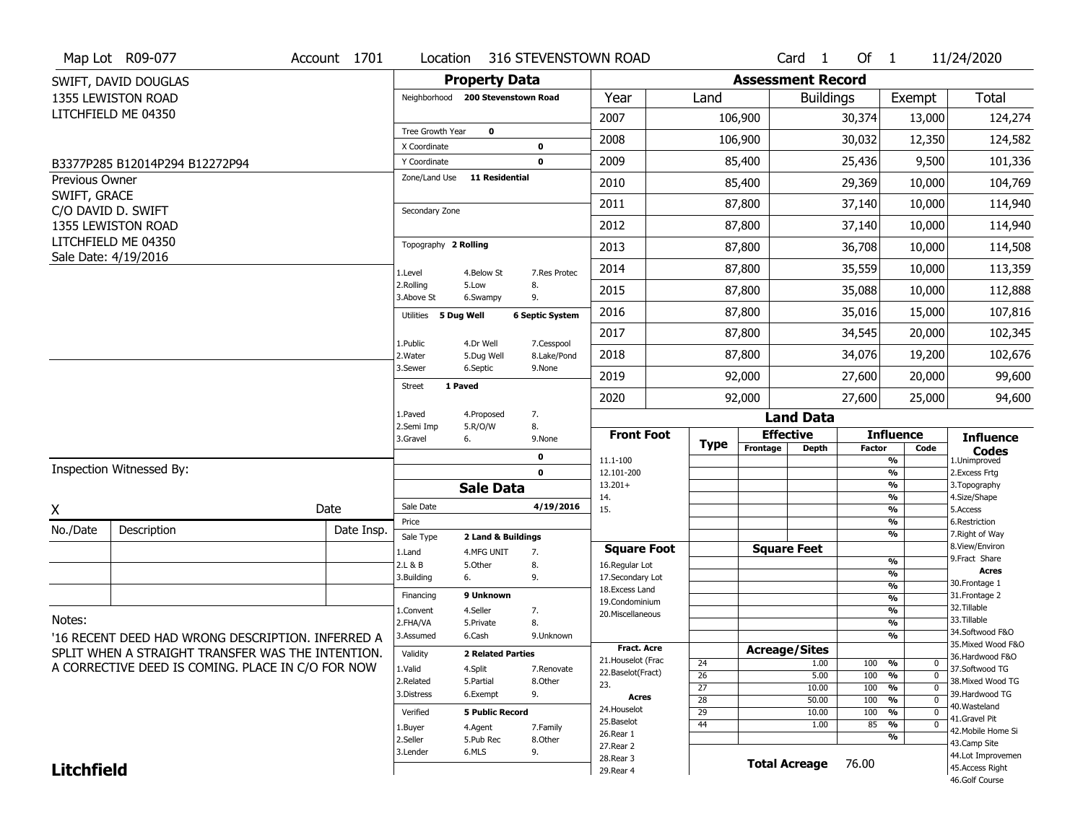|                   | Map Lot R09-077                                   | Account 1701 | Location                                |                                   | 316 STEVENSTOWN ROAD   |                                          |             |                          | Card <sub>1</sub>                | Of $1$        |                                   | 11/24/2020                           |
|-------------------|---------------------------------------------------|--------------|-----------------------------------------|-----------------------------------|------------------------|------------------------------------------|-------------|--------------------------|----------------------------------|---------------|-----------------------------------|--------------------------------------|
|                   | SWIFT, DAVID DOUGLAS                              |              |                                         | <b>Property Data</b>              |                        |                                          |             | <b>Assessment Record</b> |                                  |               |                                   |                                      |
|                   | 1355 LEWISTON ROAD                                |              |                                         | Neighborhood 200 Stevenstown Road |                        | Year                                     | Land        |                          | <b>Buildings</b>                 |               | Exempt                            | Total                                |
|                   | LITCHFIELD ME 04350                               |              |                                         |                                   |                        | 2007                                     |             | 106,900                  |                                  | 30,374        | 13,000                            | 124,274                              |
|                   |                                                   |              | <b>Tree Growth Year</b><br>X Coordinate | $\mathbf 0$                       | $\bf{0}$               | 2008                                     |             | 106,900                  |                                  | 30,032        | 12,350                            | 124,582                              |
|                   | B3377P285 B12014P294 B12272P94                    |              | Y Coordinate                            |                                   | 0                      | 2009                                     |             | 85,400                   |                                  | 25,436        | 9,500                             | 101,336                              |
| Previous Owner    |                                                   |              | Zone/Land Use                           | <b>11 Residential</b>             |                        | 2010                                     |             | 85,400                   |                                  | 29,369        | 10,000                            | 104,769                              |
| SWIFT, GRACE      |                                                   |              |                                         |                                   |                        | 2011                                     |             | 87,800                   |                                  | 37,140        | 10,000                            | 114,940                              |
|                   | C/O DAVID D. SWIFT<br>1355 LEWISTON ROAD          |              | Secondary Zone                          |                                   |                        | 2012                                     |             | 87,800                   |                                  | 37,140        | 10,000                            | 114,940                              |
|                   | LITCHFIELD ME 04350                               |              | Topography 2 Rolling                    |                                   |                        | 2013                                     |             | 87,800                   |                                  | 36,708        | 10,000                            | 114,508                              |
|                   | Sale Date: 4/19/2016                              |              |                                         |                                   |                        | 2014                                     |             | 87,800                   |                                  | 35,559        | 10,000                            | 113,359                              |
|                   |                                                   |              | 1.Level<br>2.Rolling                    | 4.Below St<br>5.Low               | 7.Res Protec<br>8.     | 2015                                     |             | 87,800                   |                                  | 35,088        | 10,000                            | 112,888                              |
|                   |                                                   |              | 3.Above St                              | 6.Swampy                          | 9.                     | 2016                                     |             | 87,800                   |                                  |               |                                   |                                      |
|                   |                                                   |              | Utilities 5 Dug Well                    |                                   | <b>6 Septic System</b> |                                          |             |                          |                                  | 35,016        | 15,000                            | 107,816                              |
|                   |                                                   |              | 1.Public                                | 4.Dr Well                         | 7.Cesspool             | 2017                                     |             | 87,800                   |                                  | 34,545        | 20,000                            | 102,345                              |
|                   |                                                   |              | 2. Water<br>3.Sewer                     | 5.Dug Well<br>6.Septic            | 8.Lake/Pond<br>9.None  | 2018                                     |             | 87,800                   |                                  | 34,076        | 19,200                            | 102,676                              |
|                   |                                                   |              | <b>Street</b>                           | 1 Paved                           |                        | 2019                                     |             | 92,000                   |                                  | 27,600        | 20,000                            | 99,600                               |
|                   |                                                   |              | 1.Paved                                 | 4.Proposed                        | 7.                     | 2020                                     |             | 92,000                   |                                  | 27,600        | 25,000                            | 94,600                               |
|                   |                                                   |              | 2.Semi Imp                              | 5.R/O/W                           | 8.                     |                                          |             |                          | <b>Land Data</b>                 |               |                                   |                                      |
|                   |                                                   |              | 3.Gravel                                | 6.                                | 9.None                 | <b>Front Foot</b>                        | <b>Type</b> | Frontage                 | <b>Effective</b><br><b>Depth</b> | <b>Factor</b> | <b>Influence</b><br>Code          | <b>Influence</b><br><b>Codes</b>     |
|                   | Inspection Witnessed By:                          |              |                                         |                                   | 0                      | 11.1-100                                 |             |                          |                                  |               | %                                 | 1.Unimproved                         |
|                   |                                                   |              |                                         | <b>Sale Data</b>                  | $\mathbf 0$            | 12.101-200<br>$13.201+$                  |             |                          |                                  |               | $\frac{9}{6}$<br>%                | 2. Excess Frtg<br>3. Topography      |
| X                 |                                                   | Date         | Sale Date                               |                                   | 4/19/2016              | 14.<br>15.                               |             |                          |                                  |               | %<br>%                            | 4.Size/Shape<br>5.Access             |
| No./Date          | Description                                       | Date Insp.   | Price                                   |                                   |                        |                                          |             |                          |                                  |               | %                                 | 6.Restriction                        |
|                   |                                                   |              | Sale Type                               | 2 Land & Buildings                |                        | <b>Square Foot</b>                       |             |                          | <b>Square Feet</b>               |               | %                                 | 7. Right of Way<br>8.View/Environ    |
|                   |                                                   |              | 1.Land<br>2.L & B                       | 4.MFG UNIT<br>5.Other             | 7.<br>8.               | 16.Regular Lot                           |             |                          |                                  |               | %                                 | 9. Fract Share                       |
|                   |                                                   |              | 3.Building                              | 6.                                | 9.                     | 17.Secondary Lot                         |             |                          |                                  |               | %<br>$\frac{9}{6}$                | <b>Acres</b><br>30.Frontage 1        |
|                   |                                                   |              | Financing                               | 9 Unknown                         |                        | 18. Excess Land<br>19.Condominium        |             |                          |                                  |               | $\frac{9}{6}$                     | 31. Frontage 2                       |
|                   |                                                   |              | 1.Convent                               | 4.Seller                          | 7.                     | 20.Miscellaneous                         |             |                          |                                  |               | $\frac{9}{6}$                     | 32.Tillable                          |
| Notes:            |                                                   |              | 2.FHA/VA                                | 5.Private                         | 8.                     |                                          |             |                          |                                  |               | $\frac{9}{6}$                     | 33.Tillable<br>34.Softwood F&O       |
|                   | '16 RECENT DEED HAD WRONG DESCRIPTION. INFERRED A |              | 3.Assumed                               | 6.Cash                            | 9.Unknown              |                                          |             |                          |                                  |               | $\frac{9}{6}$                     | 35. Mixed Wood F&O                   |
|                   |                                                   |              | Validity                                | <b>2 Related Parties</b>          |                        | <b>Fract. Acre</b><br>21. Houselot (Frac |             |                          | <b>Acreage/Sites</b>             |               |                                   | 36.Hardwood F&O                      |
|                   | SPLIT WHEN A STRAIGHT TRANSFER WAS THE INTENTION. |              |                                         |                                   |                        |                                          | 24          |                          | 1.00                             | 100           | %<br>0                            | 37.Softwood TG                       |
|                   |                                                   |              | 1.Valid                                 |                                   | 7.Renovate             |                                          |             |                          |                                  |               |                                   |                                      |
|                   | A CORRECTIVE DEED IS COMING. PLACE IN C/O FOR NOW |              | 2.Related                               | 4.Split<br>5.Partial              | 8.0ther                | 22.Baselot(Fract)                        | 26          |                          | 5.00                             | 100           | %<br>$\mathbf{0}$                 | 38. Mixed Wood TG                    |
|                   |                                                   |              | 3.Distress                              | 6.Exempt                          | 9.                     | 23.<br><b>Acres</b>                      | 27          |                          | 10.00                            | 100           | %<br>$\mathbf{0}$                 | 39.Hardwood TG                       |
|                   |                                                   |              |                                         |                                   |                        | 24. Houselot                             | 28          |                          | 50.00                            | 100           | %<br>$\mathbf{0}$                 | 40. Wasteland                        |
|                   |                                                   |              | Verified                                | <b>5 Public Record</b>            |                        | 25.Baselot                               | 29          |                          | 10.00                            | 100           | %<br>$\mathbf{0}$<br>$\mathbf{0}$ | 41.Gravel Pit                        |
|                   |                                                   |              | 1.Buyer                                 | 4.Agent                           | 7.Family               | 26.Rear 1                                | 44          |                          | 1.00                             | 85            | %<br>%                            | 42. Mobile Home Si                   |
|                   |                                                   |              | 2.Seller                                | 5.Pub Rec                         | 8.Other                | 27. Rear 2                               |             |                          |                                  |               |                                   | 43.Camp Site                         |
| <b>Litchfield</b> |                                                   |              | 3.Lender                                | 6.MLS                             | 9.                     | 28. Rear 3<br>29. Rear 4                 |             | <b>Total Acreage</b>     |                                  | 76.00         |                                   | 44.Lot Improvemen<br>45.Access Right |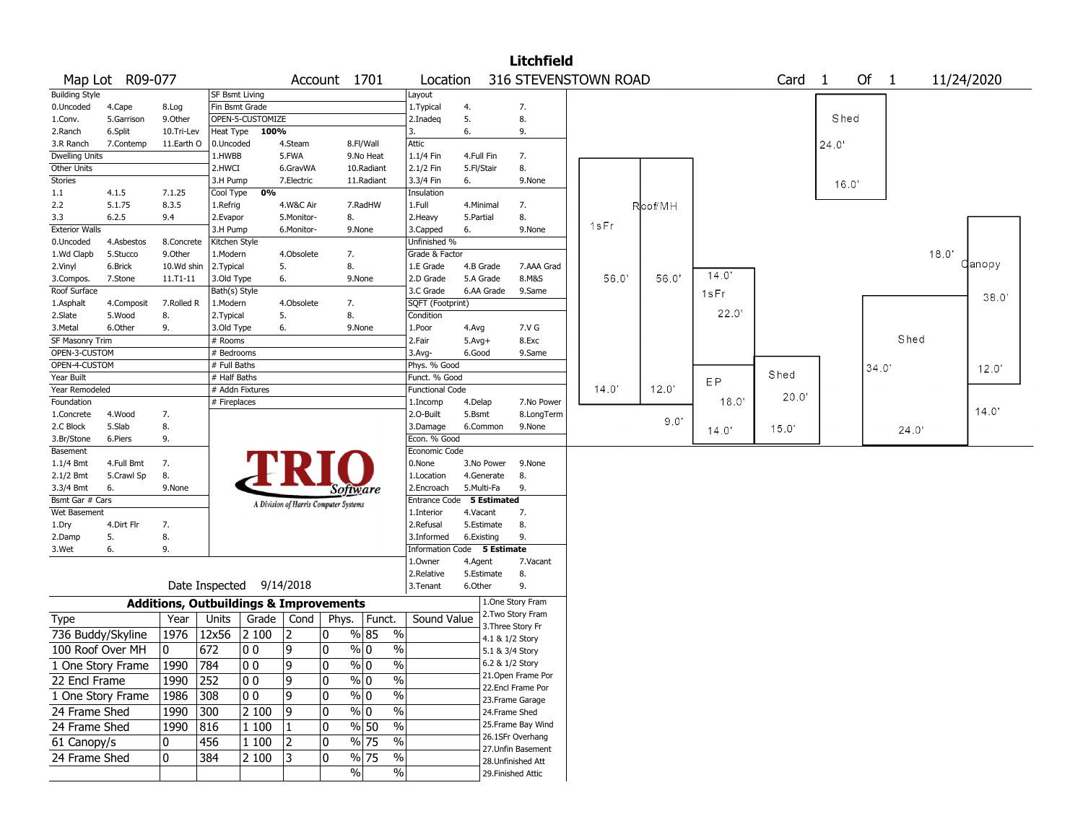|                        |                   |            |                |                                                   |                                       |              |               |        |                             |            |                    | <b>Litchfield</b>    |       |         |       |       |                |      |       |            |        |  |
|------------------------|-------------------|------------|----------------|---------------------------------------------------|---------------------------------------|--------------|---------------|--------|-----------------------------|------------|--------------------|----------------------|-------|---------|-------|-------|----------------|------|-------|------------|--------|--|
|                        | Map Lot R09-077   |            |                |                                                   |                                       | Account 1701 |               |        | Location                    |            |                    | 316 STEVENSTOWN ROAD |       |         |       | Card  | $\overline{1}$ | Of 1 |       | 11/24/2020 |        |  |
| <b>Building Style</b>  |                   |            |                | <b>SF Bsmt Living</b>                             |                                       |              |               | Layout |                             |            |                    |                      |       |         |       |       |                |      |       |            |        |  |
| 0.Uncoded              | 4.Cape            | 8.Log      |                | Fin Bsmt Grade                                    |                                       |              |               |        | 1. Typical                  | 4.         |                    | 7.                   |       |         |       |       |                |      |       |            |        |  |
| 1.Conv.                | 5.Garrison        | 9.Other    |                | OPEN-5-CUSTOMIZE                                  |                                       |              |               |        | 2.Inadeq                    | 5.         |                    | 8.                   |       |         |       |       | Shed           |      |       |            |        |  |
| 2.Ranch                | 6.Split           | 10.Tri-Lev | Heat Type      | 100%                                              |                                       |              |               | 3.     |                             | 6.         |                    | 9.                   |       |         |       |       |                |      |       |            |        |  |
| 3.R Ranch              | 7.Contemp         | 11.Earth O | 0.Uncoded      |                                                   | 4.Steam                               |              | 8.Fl/Wall     | Attic  |                             |            |                    |                      |       |         |       |       | 24.0'          |      |       |            |        |  |
| <b>Dwelling Units</b>  |                   |            | 1.HWBB         |                                                   | 5.FWA                                 |              | 9.No Heat     |        | 1.1/4 Fin                   | 4.Full Fin |                    | 7.                   |       |         |       |       |                |      |       |            |        |  |
| Other Units            |                   |            | 2.HWCI         |                                                   | 6.GravWA                              |              | 10.Radiant    |        | 2.1/2 Fin                   | 5.Fl/Stair |                    | 8.                   |       |         |       |       |                |      |       |            |        |  |
| Stories                |                   |            | 3.H Pump       |                                                   | 7.Electric                            |              | 11.Radiant    |        | 3.3/4 Fin                   | 6.         |                    | 9.None               |       |         |       |       | 16.0'          |      |       |            |        |  |
| 1.1                    | 4.1.5             | 7.1.25     | Cool Type      | 0%                                                |                                       |              |               |        | Insulation                  |            |                    |                      |       |         |       |       |                |      |       |            |        |  |
| 2.2                    | 5.1.75            | 8.3.5      | 1.Refrig       |                                                   | 4.W&C Air                             |              | 7.RadHW       | 1.Full |                             |            | 4.Minimal          | 7.                   |       | Roof/MH |       |       |                |      |       |            |        |  |
| 3.3                    | 6.2.5             | 9.4        | 2.Evapor       |                                                   | 5.Monitor-                            | 8.           |               |        | 2. Heavy                    | 5.Partial  |                    | 8.                   |       |         |       |       |                |      |       |            |        |  |
| <b>Exterior Walls</b>  |                   |            | 3.H Pump       |                                                   | 6.Monitor-                            |              | 9.None        |        | 3.Capped                    | 6.         |                    | 9.None               | 1sFr  |         |       |       |                |      |       |            |        |  |
| 0.Uncoded              | 4.Asbestos        | 8.Concrete | Kitchen Style  |                                                   |                                       |              |               |        | Unfinished %                |            |                    |                      |       |         |       |       |                |      |       |            |        |  |
| 1.Wd Clapb             | 5.Stucco          | 9.0ther    | 1.Modern       |                                                   | 4.Obsolete                            | 7.           |               |        | Grade & Factor              |            |                    |                      |       |         |       |       |                |      |       | 18.0'      |        |  |
| 2.Vinyl                | 6.Brick           | 10.Wd shin | 2.Typical      |                                                   | 5.                                    | 8.           |               |        | 1.E Grade                   |            | 4.B Grade          | 7.AAA Grad           |       |         |       |       |                |      |       |            | Qanopy |  |
| 3.Compos.              | 7.Stone           | 11.T1-11   | 3.Old Type     |                                                   | 6.                                    |              | 9.None        |        | 2.D Grade                   |            | 5.A Grade          | 8.M&S                | 56.0' | 56.0    | 14.0' |       |                |      |       |            |        |  |
| Roof Surface           |                   |            | Bath(s) Style  |                                                   |                                       |              |               |        | 3.C Grade                   |            | 6.AA Grade         | 9.Same               |       |         | 1sFr  |       |                |      |       |            |        |  |
| 1.Asphalt              | 4.Composit        | 7.Rolled R | 1.Modern       |                                                   | 4.Obsolete                            | 7.           |               |        | SQFT (Footprint)            |            |                    |                      |       |         |       |       |                |      |       |            | 38.0   |  |
| 2.Slate                | 5.Wood            | 8.         | 2.Typical      |                                                   | 5.                                    | 8.           |               |        | Condition                   |            |                    |                      |       |         | 22.0' |       |                |      |       |            |        |  |
| 3. Metal               | 6.Other           | 9.         | 3.Old Type     |                                                   | 6.                                    |              | 9.None        |        | 1.Poor                      | 4.Avg      |                    | 7.V G                |       |         |       |       |                |      |       |            |        |  |
| <b>SF Masonry Trim</b> |                   |            | # Rooms        |                                                   |                                       |              |               | 2.Fair |                             | $5.Avg+$   |                    | 8.Exc                |       |         |       |       |                |      | Shed  |            |        |  |
| OPEN-3-CUSTOM          |                   |            | # Bedrooms     |                                                   |                                       |              |               | 3.Avg- |                             | 6.Good     |                    | 9.Same               |       |         |       |       |                |      |       |            |        |  |
| OPEN-4-CUSTOM          |                   |            | # Full Baths   |                                                   |                                       |              |               |        | Phys. % Good                |            |                    |                      |       |         |       |       |                | 34.0 |       |            | 12.0'  |  |
| Year Built             |                   |            | # Half Baths   |                                                   |                                       |              |               |        | Funct. % Good               |            |                    |                      |       |         | EP    | Shed  |                |      |       |            |        |  |
| Year Remodeled         |                   |            |                | # Addn Fixtures                                   |                                       |              |               |        | <b>Functional Code</b>      |            |                    |                      | 14.0' | 12.0'   |       |       |                |      |       |            |        |  |
| Foundation             |                   |            | # Fireplaces   |                                                   |                                       |              |               |        | 1.Incomp                    | 4.Delap    |                    | 7.No Power           |       |         | 18.0' | 20.0' |                |      |       |            |        |  |
| 1.Concrete             | 4.Wood            | 7.         |                |                                                   |                                       |              |               |        | 2.0-Built                   | 5.Bsmt     |                    | 8.LongTerm           |       |         |       |       |                |      |       |            | 14.0'  |  |
| 2.C Block              | 5.Slab            | 8.         |                |                                                   |                                       |              |               |        | 3.Damage                    |            | 6.Common           | 9.None               |       | 9.0"    |       | 15.0' |                |      |       |            |        |  |
| 3.Br/Stone             | 6.Piers           | 9.         |                |                                                   |                                       |              |               |        | Econ. % Good                |            |                    |                      |       |         | 14.0" |       |                |      | 24.0' |            |        |  |
| Basement               |                   |            |                |                                                   |                                       |              |               |        | Economic Code               |            |                    |                      |       |         |       |       |                |      |       |            |        |  |
| $1.1/4$ Bmt            | 4.Full Bmt        | 7.         |                |                                                   |                                       |              |               |        | 0.None                      |            | 3.No Power         | 9.None               |       |         |       |       |                |      |       |            |        |  |
| 2.1/2 Bmt              | 5.Crawl Sp        | 8.         |                |                                                   |                                       |              |               |        | 1.Location                  |            | 4.Generate         | 8.                   |       |         |       |       |                |      |       |            |        |  |
| 3.3/4 Bmt              | 6.                | 9.None     |                |                                                   |                                       |              | Software      |        | 2.Encroach                  |            | 5.Multi-Fa         | 9.                   |       |         |       |       |                |      |       |            |        |  |
| Bsmt Gar # Cars        |                   |            |                |                                                   |                                       |              |               |        | Entrance Code               |            | <b>5 Estimated</b> |                      |       |         |       |       |                |      |       |            |        |  |
| Wet Basement           |                   |            |                |                                                   | A Division of Harris Computer Systems |              |               |        | 1.Interior                  | 4.Vacant   |                    | 7.                   |       |         |       |       |                |      |       |            |        |  |
| 1.Dry                  | 4.Dirt Flr        | 7.         |                |                                                   |                                       |              |               |        | 2.Refusal                   |            | 5.Estimate         | 8.                   |       |         |       |       |                |      |       |            |        |  |
| 2.Damp                 | 5.                | 8.         |                |                                                   |                                       |              |               |        | 3.Informed                  |            | 6.Existing         | 9.                   |       |         |       |       |                |      |       |            |        |  |
| 3.Wet                  | 6.                | 9.         |                |                                                   |                                       |              |               |        | Information Code 5 Estimate |            |                    |                      |       |         |       |       |                |      |       |            |        |  |
|                        |                   |            |                |                                                   |                                       |              |               |        | 1.0wner                     | 4.Agent    |                    | 7.Vacant             |       |         |       |       |                |      |       |            |        |  |
|                        |                   |            |                |                                                   |                                       |              |               |        | 2.Relative                  |            | 5.Estimate         | 8.                   |       |         |       |       |                |      |       |            |        |  |
|                        |                   |            | Date Inspected |                                                   | 9/14/2018                             |              |               |        | 3. Tenant                   | 6.Other    |                    | 9.                   |       |         |       |       |                |      |       |            |        |  |
|                        |                   |            |                | <b>Additions, Outbuildings &amp; Improvements</b> |                                       |              |               |        |                             |            |                    | 1.One Story Fram     |       |         |       |       |                |      |       |            |        |  |
|                        |                   | Year       | Units          | Grade   Cond                                      |                                       |              |               |        | Sound Value                 |            |                    | 2. Two Story Fram    |       |         |       |       |                |      |       |            |        |  |
| Type                   |                   |            |                |                                                   |                                       | Phys.        | Funct.        |        |                             |            |                    | 3. Three Story Fr    |       |         |       |       |                |      |       |            |        |  |
| 736 Buddy/Skyline      |                   | 1976       | 12x56          | 2 100                                             | 12                                    | 0            | % 85          | $\%$   |                             |            |                    | 4.1 & 1/2 Story      |       |         |       |       |                |      |       |            |        |  |
| 100 Roof Over MH       |                   | 0          | 672            | 00                                                | 19                                    | 0            | $\%$ 0        | %      |                             |            |                    | 5.1 & 3/4 Story      |       |         |       |       |                |      |       |            |        |  |
|                        | 1 One Story Frame | 1990       | 784            | 00                                                | ۱q                                    | $\mathbf 0$  | % 0           | $\%$   |                             |            | 6.2 & 1/2 Story    |                      |       |         |       |       |                |      |       |            |        |  |
|                        |                   |            |                |                                                   |                                       |              |               |        |                             |            |                    | 21. Open Frame Por   |       |         |       |       |                |      |       |            |        |  |
| 22 Encl Frame          |                   | 1990       | 252            | 00                                                | 9                                     | 0            | % 0           | $\%$   |                             |            |                    | 22.Encl Frame Por    |       |         |       |       |                |      |       |            |        |  |
|                        | 1 One Story Frame | 1986       | 308            | 00                                                | 9                                     | 0            | $\sqrt{96}$ 0 | $\%$   |                             |            |                    | 23. Frame Garage     |       |         |       |       |                |      |       |            |        |  |
| 24 Frame Shed          |                   | 1990       | 300            | 2 100                                             | 9                                     | 10           | $\sqrt[6]{0}$ | $\%$   |                             |            |                    | 24.Frame Shed        |       |         |       |       |                |      |       |            |        |  |
|                        |                   |            |                |                                                   |                                       |              |               |        |                             |            |                    | 25. Frame Bay Wind   |       |         |       |       |                |      |       |            |        |  |
| 24 Frame Shed          |                   | 1990       | 816            | 1100                                              | 1                                     | 10           | % 50          | $\%$   |                             |            |                    | 26.1SFr Overhang     |       |         |       |       |                |      |       |            |        |  |
| 61 Canopy/s            |                   | 0          | 456            | 1100                                              | 12                                    | 0            | % 75          | $\%$   |                             |            |                    | 27.Unfin Basement    |       |         |       |       |                |      |       |            |        |  |
| 24 Frame Shed          |                   | 0          | 384            | 2 100                                             | 3                                     | 0            | % 75          | $\%$   |                             |            |                    |                      |       |         |       |       |                |      |       |            |        |  |
|                        |                   |            |                |                                                   |                                       |              | %             | $\%$   |                             |            |                    | 28.Unfinished Att    |       |         |       |       |                |      |       |            |        |  |
|                        |                   |            |                |                                                   |                                       |              |               |        |                             |            |                    | 29. Finished Attic   |       |         |       |       |                |      |       |            |        |  |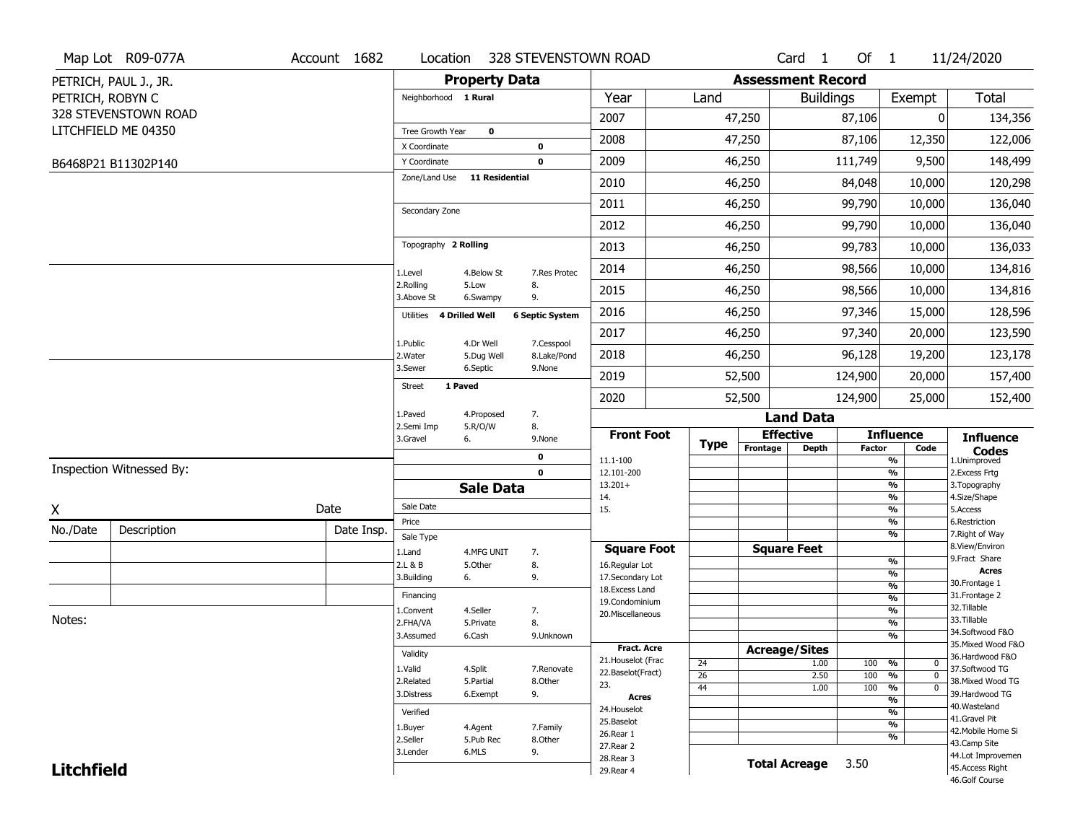|                   | Map Lot R09-077A         | Account 1682 | Location                     |                         | 328 STEVENSTOWN ROAD      |                                    |                 |                          | Card <sub>1</sub> | Of $1$        |                                   | 11/24/2020                            |
|-------------------|--------------------------|--------------|------------------------------|-------------------------|---------------------------|------------------------------------|-----------------|--------------------------|-------------------|---------------|-----------------------------------|---------------------------------------|
|                   | PETRICH, PAUL J., JR.    |              |                              | <b>Property Data</b>    |                           |                                    |                 | <b>Assessment Record</b> |                   |               |                                   |                                       |
| PETRICH, ROBYN C  |                          |              | Neighborhood 1 Rural         |                         |                           | Year                               | Land            |                          | <b>Buildings</b>  |               | Exempt                            | <b>Total</b>                          |
|                   | 328 STEVENSTOWN ROAD     |              |                              |                         |                           | 2007                               |                 | 47,250                   |                   | 87,106        | 0                                 | 134,356                               |
|                   | LITCHFIELD ME 04350      |              | Tree Growth Year             | $\mathbf 0$             |                           |                                    |                 |                          |                   |               |                                   |                                       |
|                   |                          |              | X Coordinate                 |                         | $\mathbf 0$               | 2008                               |                 | 47,250                   |                   | 87,106        | 12,350                            | 122,006                               |
|                   | B6468P21 B11302P140      |              | Y Coordinate                 |                         | $\mathbf 0$               | 2009                               |                 | 46,250                   |                   | 111,749       | 9,500                             | 148,499                               |
|                   |                          |              | Zone/Land Use                | <b>11 Residential</b>   |                           | 2010                               |                 | 46,250                   |                   | 84,048        | 10,000                            | 120,298                               |
|                   |                          |              | Secondary Zone               |                         |                           | 2011                               |                 | 46,250                   |                   | 99,790        | 10,000                            | 136,040                               |
|                   |                          |              |                              |                         |                           | 2012                               |                 | 46,250                   |                   | 99,790        | 10,000                            | 136,040                               |
|                   |                          |              | Topography 2 Rolling         |                         |                           | 2013                               |                 | 46,250                   |                   | 99,783        | 10,000                            | 136,033                               |
|                   |                          |              | 1.Level                      | 4.Below St              | 7.Res Protec              | 2014                               |                 | 46,250                   |                   | 98,566        | 10,000                            | 134,816                               |
|                   |                          |              | 2.Rolling<br>3.Above St      | 5.Low<br>6.Swampy       | 8.<br>9.                  | 2015                               |                 | 46,250                   |                   | 98,566        | 10,000                            | 134,816                               |
|                   |                          |              | 4 Drilled Well<br>Utilities  |                         | <b>6 Septic System</b>    | 2016                               |                 | 46,250                   |                   | 97,346        | 15,000                            | 128,596                               |
|                   |                          |              |                              |                         |                           | 2017                               |                 | 46,250                   |                   | 97,340        | 20,000                            | 123,590                               |
|                   |                          |              | 1.Public<br>2. Water         | 4.Dr Well<br>5.Dug Well | 7.Cesspool<br>8.Lake/Pond | 2018                               |                 | 46,250                   |                   | 96,128        | 19,200                            | 123,178                               |
|                   |                          |              | 3.Sewer                      | 6.Septic                | 9.None                    | 2019                               |                 | 52,500                   |                   | 124,900       | 20,000                            | 157,400                               |
|                   |                          |              | 1 Paved<br><b>Street</b>     |                         |                           | 2020                               |                 | 52,500                   |                   | 124,900       | 25,000                            | 152,400                               |
|                   |                          |              | 1.Paved                      | 4.Proposed              | 7.                        |                                    |                 |                          | <b>Land Data</b>  |               |                                   |                                       |
|                   |                          |              | 2.Semi Imp<br>3.Gravel<br>6. | 5.R/O/W                 | 8.<br>9.None              | <b>Front Foot</b>                  |                 | <b>Effective</b>         |                   |               | <b>Influence</b>                  | <b>Influence</b>                      |
|                   |                          |              |                              |                         | $\mathbf 0$               | 11.1-100                           | <b>Type</b>     | Frontage                 | <b>Depth</b>      | <b>Factor</b> | Code<br>%                         | <b>Codes</b><br>1.Unimproved          |
|                   | Inspection Witnessed By: |              |                              |                         | $\mathbf 0$               | 12.101-200                         |                 |                          |                   |               | $\frac{9}{6}$                     | 2.Excess Frtg                         |
|                   |                          |              |                              | <b>Sale Data</b>        |                           | $13.201+$                          |                 |                          |                   |               | %                                 | 3. Topography                         |
| X                 |                          | Date         | Sale Date                    |                         |                           | 14.<br>15.                         |                 |                          |                   |               | %<br>$\frac{9}{6}$                | 4.Size/Shape<br>5.Access              |
|                   |                          |              | Price                        |                         |                           |                                    |                 |                          |                   |               | %                                 | 6.Restriction                         |
| No./Date          | Description              | Date Insp.   | Sale Type                    |                         |                           |                                    |                 |                          |                   |               | %                                 | 7. Right of Way<br>8.View/Environ     |
|                   |                          |              | 1.Land                       | 4.MFG UNIT              | 7.                        | <b>Square Foot</b>                 |                 | <b>Square Feet</b>       |                   |               | $\frac{9}{6}$                     | 9.Fract Share                         |
|                   |                          |              | 2.L & B<br>3.Building<br>6.  | 5.Other                 | 8.<br>9.                  | 16.Regular Lot<br>17.Secondary Lot |                 |                          |                   |               | $\frac{9}{6}$                     | <b>Acres</b>                          |
|                   |                          |              | Financing                    |                         |                           | 18.Excess Land                     |                 |                          |                   |               | $\frac{9}{6}$                     | 30. Frontage 1<br>31. Frontage 2      |
|                   |                          |              | 1.Convent                    | 4.Seller                | 7.                        | 19.Condominium                     |                 |                          |                   |               | $\frac{9}{6}$<br>$\frac{9}{6}$    | 32. Tillable                          |
| Notes:            |                          |              | 2.FHA/VA                     | 5.Private               | 8.                        | 20.Miscellaneous                   |                 |                          |                   |               | $\frac{9}{6}$                     | 33.Tillable                           |
|                   |                          |              | 3.Assumed                    | 6.Cash                  | 9.Unknown                 |                                    |                 |                          |                   |               | $\frac{9}{6}$                     | 34.Softwood F&O                       |
|                   |                          |              | Validity                     |                         |                           | <b>Fract. Acre</b>                 |                 | <b>Acreage/Sites</b>     |                   |               |                                   | 35. Mixed Wood F&O<br>36.Hardwood F&O |
|                   |                          |              | 1.Valid                      | 4.Split                 | 7.Renovate                | 21. Houselot (Frac                 | 24              |                          | 1.00              | 100           | %<br>0                            | 37.Softwood TG                        |
|                   |                          |              | 2.Related                    | 5.Partial               | 8.Other                   | 22.Baselot(Fract)<br>23.           | $\overline{26}$ |                          | 2.50              | 100           | %<br>$\mathbf 0$                  | 38. Mixed Wood TG                     |
|                   |                          |              | 3.Distress                   | 6.Exempt                | 9.                        | <b>Acres</b>                       | 44              |                          | 1.00              | 100           | %<br>$\mathbf 0$<br>$\frac{9}{6}$ | 39.Hardwood TG                        |
|                   |                          |              | Verified                     |                         |                           | 24. Houselot                       |                 |                          |                   |               | $\frac{9}{6}$                     | 40. Wasteland                         |
|                   |                          |              | 1.Buyer                      | 4.Agent                 | 7.Family                  | 25.Baselot                         |                 |                          |                   |               | $\frac{9}{6}$                     | 41.Gravel Pit                         |
|                   |                          |              | 2.Seller                     | 5.Pub Rec               | 8.0ther                   | 26.Rear 1                          |                 |                          |                   |               | %                                 | 42. Mobile Home Si<br>43.Camp Site    |
|                   |                          | 3.Lender     | 6.MLS                        | 9.                      | 27.Rear 2<br>28. Rear 3   |                                    |                 |                          |                   |               | 44.Lot Improvemen                 |                                       |
| <b>Litchfield</b> |                          |              |                              |                         |                           | 29. Rear 4                         |                 | <b>Total Acreage</b>     |                   | 3.50          |                                   | 45.Access Right                       |
|                   |                          |              |                              |                         |                           |                                    |                 |                          |                   |               |                                   | 46.Golf Course                        |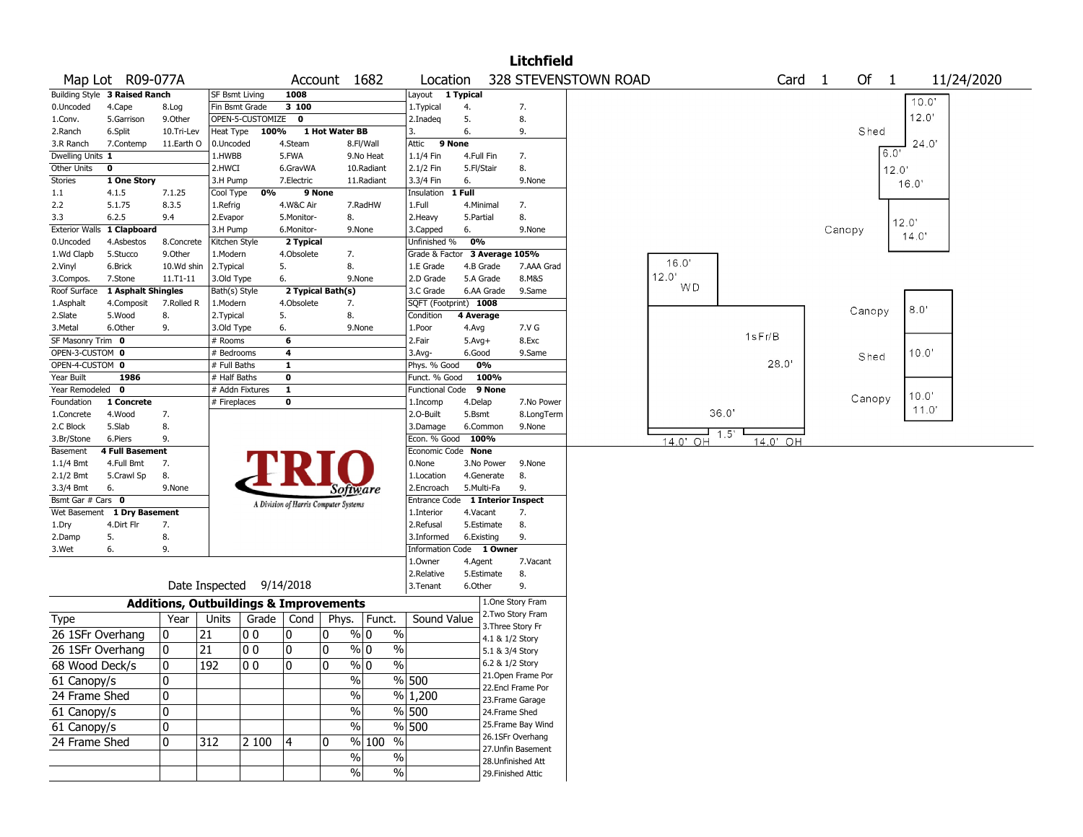|                         |                               |                 |                                                   |                  |                                       |                |                       |                                  |                  |            | <b>Litchfield</b>                     |                      |           |                |                |        |        |       |                |            |  |
|-------------------------|-------------------------------|-----------------|---------------------------------------------------|------------------|---------------------------------------|----------------|-----------------------|----------------------------------|------------------|------------|---------------------------------------|----------------------|-----------|----------------|----------------|--------|--------|-------|----------------|------------|--|
|                         | Map Lot R09-077A              |                 |                                                   |                  |                                       |                | Account 1682          | Location                         |                  |            |                                       | 328 STEVENSTOWN ROAD |           | Card           | $\overline{1}$ |        | Of 1   |       |                | 11/24/2020 |  |
|                         | Building Style 3 Raised Ranch |                 | SF Bsmt Living                                    |                  | 1008                                  |                |                       | Layout 1 Typical                 |                  |            |                                       |                      |           |                |                |        |        |       | $10.0^{\circ}$ |            |  |
| 0.Uncoded               | 4.Cape                        | 8.Log           | Fin Bsmt Grade                                    |                  | 3 100                                 |                |                       | 1. Typical                       | 4.               |            | 7.                                    |                      |           |                |                |        |        |       |                |            |  |
| 1.Conv.                 | 5.Garrison                    | 9.Other         |                                                   | OPEN-5-CUSTOMIZE | $\mathbf 0$                           |                |                       | 2.Inadeq                         | 5.               |            | 8.                                    |                      |           |                |                |        |        |       | 12.0'          |            |  |
| 2.Ranch                 | 6.Split                       | 10.Tri-Lev      | Heat Type                                         | 100%             |                                       | 1 Hot Water BB |                       | 3.                               | 6.               |            | 9.                                    |                      |           |                |                |        | Shed   |       |                |            |  |
| 3.R Ranch               | 7.Contemp                     | 11.Earth O      | 0.Uncoded                                         |                  | 4.Steam                               |                | 8.Fl/Wall             | 9 None<br>Attic                  |                  |            |                                       |                      |           |                |                |        |        | 6.0'  | 24.0'          |            |  |
| Dwelling Units 1        |                               |                 | 1.HWBB                                            |                  | 5.FWA                                 |                | 9.No Heat             | 1.1/4 Fin                        | 4.Full Fin       |            | 7.                                    |                      |           |                |                |        |        |       |                |            |  |
| Other Units             | $\mathbf 0$                   |                 | 2.HWCI                                            |                  | 6.GravWA                              |                | 10.Radiant            | 2.1/2 Fin                        | 5.Fl/Stair       |            | 8.                                    |                      |           |                |                |        |        | 12.0' |                |            |  |
| Stories                 | 1 One Story                   |                 | 3.H Pump                                          | 0%               | 7.Electric                            | 9 None         | 11.Radiant            | 3.3/4 Fin<br>Insulation 1 Full   | 6.               |            | 9.None                                |                      |           |                |                |        |        | 16.0' |                |            |  |
| 1.1<br>2.2              | 4.1.5<br>5.1.75               | 7.1.25<br>8.3.5 | Cool Type<br>1.Refrig                             |                  | 4.W&C Air                             |                | 7.RadHW               | 1.Full                           | 4.Minimal        |            | 7.                                    |                      |           |                |                |        |        |       |                |            |  |
| 3.3                     | 6.2.5                         | 9.4             | 2.Evapor                                          |                  | 5.Monitor-                            |                | 8.                    | 2. Heavy                         | 5.Partial        |            | 8.                                    |                      |           |                |                |        |        |       |                |            |  |
| <b>Exterior Walls</b>   | 1 Clapboard                   |                 | 3.H Pump                                          |                  | 6.Monitor-                            |                | 9.None                | 3.Capped                         | 6.               |            | 9.None                                |                      |           |                |                | Canopy |        | 12.0' |                |            |  |
| 0.Uncoded               | 4.Asbestos                    | 8.Concrete      | Kitchen Style                                     |                  | 2 Typical                             |                |                       | Unfinished %                     | 0%               |            |                                       |                      |           |                |                |        |        |       | 14.0'          |            |  |
| 1.Wd Clapb              | 5.Stucco                      | 9.Other         | 1.Modern                                          |                  | 4.Obsolete                            |                | 7.                    | Grade & Factor 3 Average 105%    |                  |            |                                       |                      |           |                |                |        |        |       |                |            |  |
| 2.Vinyl                 | 6.Brick                       | 10.Wd shin      | 2. Typical                                        |                  | 5.                                    |                | 8.                    | 1.E Grade                        | 4.B Grade        |            | 7.AAA Grad                            |                      | 16.0'     |                |                |        |        |       |                |            |  |
| 3.Compos.               | 7.Stone                       | 11.T1-11        | 3.Old Type                                        |                  | 6.                                    |                | 9.None                | 2.D Grade                        | 5.A Grade        |            | 8.M&S                                 |                      | 12.0'     |                |                |        |        |       |                |            |  |
| Roof Surface            | 1 Asphalt Shingles            |                 | Bath(s) Style                                     |                  | 2 Typical Bath(s)                     |                |                       | 3.C Grade                        |                  | 6.AA Grade | 9.Same                                |                      | <b>WD</b> |                |                |        |        |       |                |            |  |
| 1.Asphalt               | 4.Composit                    | 7.Rolled R      | 1.Modern                                          |                  | 4.Obsolete                            |                | 7.                    | SQFT (Footprint) 1008            |                  |            |                                       |                      |           |                |                |        |        |       | 8.0'           |            |  |
| 2.Slate                 | 5.Wood                        | 8.              | 2. Typical                                        |                  | 5.                                    |                | 8.                    | Condition                        | 4 Average        |            |                                       |                      |           |                |                |        | Canopy |       |                |            |  |
| 3.Metal                 | 6.Other                       | 9.              | 3.Old Type                                        |                  | 6.                                    |                | 9.None                | 1.Poor                           | 4.Avg            |            | 7.V G                                 |                      |           |                |                |        |        |       |                |            |  |
| SF Masonry Trim 0       |                               |                 | # Rooms                                           |                  | 6                                     |                |                       | 2.Fair                           | $5.Avg+$         |            | 8.Exc                                 |                      |           | 1sFr/B         |                |        |        |       |                |            |  |
| OPEN-3-CUSTOM 0         |                               |                 | # Bedrooms                                        |                  | 4                                     |                |                       | 3.Avg-                           | 6.Good           |            | 9.Same                                |                      |           |                |                |        | Shed   |       | 10.0'          |            |  |
| OPEN-4-CUSTOM 0         |                               |                 | # Full Baths                                      |                  | $\mathbf{1}$                          |                |                       | Phys. % Good                     | 0%               |            |                                       |                      |           | 28.0           |                |        |        |       |                |            |  |
| Year Built              | 1986                          |                 | # Half Baths                                      |                  | $\mathbf 0$                           |                |                       | Funct. % Good                    |                  | 100%       |                                       |                      |           |                |                |        |        |       |                |            |  |
| Year Remodeled 0        |                               |                 | # Addn Fixtures                                   |                  | $\mathbf{1}$                          |                |                       | <b>Functional Code</b>           |                  | 9 None     |                                       |                      |           |                |                |        | Canopy |       | 10.0'          |            |  |
| Foundation              | 1 Concrete                    |                 | # Fireplaces                                      |                  | 0                                     |                |                       | 1.Incomp                         | 4.Delap          |            | 7.No Power                            |                      |           | 36.0'          |                |        |        |       | 11.0'          |            |  |
| 1.Concrete              | 4.Wood                        | 7.<br>8.        |                                                   |                  |                                       |                |                       | 2.0-Built                        | 5.Bsmt           |            | 8.LongTerm                            |                      |           |                |                |        |        |       |                |            |  |
| 2.C Block<br>3.Br/Stone | 5.Slab<br>6.Piers             | 9.              |                                                   |                  |                                       |                |                       | 3.Damage<br>Econ. % Good         | 6.Common<br>100% |            | 9.None                                |                      |           | 1.5            |                |        |        |       |                |            |  |
| Basement                | <b>4 Full Basement</b>        |                 |                                                   |                  |                                       |                |                       | Economic Code None               |                  |            |                                       |                      | 14.0' OH  | 14.0'<br>- O H |                |        |        |       |                |            |  |
| 1.1/4 Bmt               | 4.Full Bmt                    | 7.              |                                                   |                  |                                       |                |                       | 0.None                           |                  | 3.No Power | 9.None                                |                      |           |                |                |        |        |       |                |            |  |
| 2.1/2 Bmt               | 5.Crawl Sp                    | 8.              |                                                   |                  |                                       |                |                       | 1.Location                       | 4.Generate       |            | 8.                                    |                      |           |                |                |        |        |       |                |            |  |
| 3.3/4 Bmt               | 6.                            | 9.None          |                                                   |                  |                                       |                | Software              | 2.Encroach                       | 5.Multi-Fa       |            | 9.                                    |                      |           |                |                |        |        |       |                |            |  |
| Bsmt Gar # Cars 0       |                               |                 |                                                   |                  | A Division of Harris Computer Systems |                |                       | Entrance Code 1 Interior Inspect |                  |            |                                       |                      |           |                |                |        |        |       |                |            |  |
|                         | Wet Basement 1 Dry Basement   |                 |                                                   |                  |                                       |                |                       | 1.Interior                       | 4.Vacant         |            | 7.                                    |                      |           |                |                |        |        |       |                |            |  |
| 1.Dry                   | 4.Dirt Flr                    | 7.              |                                                   |                  |                                       |                |                       | 2.Refusal                        |                  | 5.Estimate | 8.                                    |                      |           |                |                |        |        |       |                |            |  |
| 2.Damp                  | 5.                            | 8.              |                                                   |                  |                                       |                |                       | 3.Informed                       | 6.Existing       |            | 9.                                    |                      |           |                |                |        |        |       |                |            |  |
| 3.Wet                   | 6.                            | 9.              |                                                   |                  |                                       |                |                       | Information Code 1 Owner         |                  |            |                                       |                      |           |                |                |        |        |       |                |            |  |
|                         |                               |                 |                                                   |                  |                                       |                |                       | 1.Owner                          | 4.Agent          |            | 7.Vacant                              |                      |           |                |                |        |        |       |                |            |  |
|                         |                               |                 |                                                   |                  |                                       |                |                       | 2.Relative                       | 5.Estimate       |            | 8.                                    |                      |           |                |                |        |        |       |                |            |  |
|                         |                               |                 | Date Inspected 9/14/2018                          |                  |                                       |                |                       | 3.Tenant                         | 6.Other          |            | 9.                                    |                      |           |                |                |        |        |       |                |            |  |
|                         |                               |                 | <b>Additions, Outbuildings &amp; Improvements</b> |                  |                                       |                |                       |                                  |                  |            | 1.One Story Fram<br>2. Two Story Fram |                      |           |                |                |        |        |       |                |            |  |
| Type                    |                               | Year            | Units                                             | Grade            |                                       |                | Cond   Phys.   Funct. | Sound Value                      |                  |            | 3. Three Story Fr                     |                      |           |                |                |        |        |       |                |            |  |
| 26 1SFr Overhang        |                               | 0               | 21                                                | 00               | 0                                     | 0              | $\%$<br>% 0           |                                  |                  |            | 4.1 & 1/2 Story                       |                      |           |                |                |        |        |       |                |            |  |
| 26 1SFr Overhang        |                               | 0               | 21                                                | 00               | 0                                     | 0              | $\%$<br>% 0           |                                  |                  |            | 5.1 & 3/4 Story                       |                      |           |                |                |        |        |       |                |            |  |
| 68 Wood Deck/s          |                               | 0               | 192                                               | $ 00\rangle$     | l n                                   | I۵             | $\frac{9}{0}$         | $\sqrt{6}$                       |                  |            | 6.2 & 1/2 Story                       |                      |           |                |                |        |        |       |                |            |  |
| 61 Canopy/s             |                               | 0               |                                                   |                  |                                       |                | $\%$                  | % 500                            |                  |            | 21. Open Frame Por                    |                      |           |                |                |        |        |       |                |            |  |
|                         |                               |                 |                                                   |                  |                                       |                |                       |                                  |                  |            | 22.Encl Frame Por                     |                      |           |                |                |        |        |       |                |            |  |
| 24 Frame Shed           |                               | 0               |                                                   |                  |                                       |                | $\frac{0}{0}$         | % 1,200                          |                  |            | 23. Frame Garage                      |                      |           |                |                |        |        |       |                |            |  |
| 61 Canopy/s             |                               | 0               |                                                   |                  |                                       |                | $\%$                  | $\frac{9}{6}$ 500                |                  |            | 24.Frame Shed                         |                      |           |                |                |        |        |       |                |            |  |
| 61 Canopy/s             |                               | 0               |                                                   |                  |                                       |                | $\frac{1}{2}$         | $\sqrt{8}$ 500                   |                  |            | 25. Frame Bay Wind                    |                      |           |                |                |        |        |       |                |            |  |
| 24 Frame Shed           |                               | 0               | 312                                               | 2 100            | 4                                     | 10             | $\%$<br>100 %         |                                  |                  |            | 26.1SFr Overhang                      |                      |           |                |                |        |        |       |                |            |  |
|                         |                               |                 |                                                   |                  |                                       |                | $\frac{1}{2}$<br>$\%$ |                                  |                  |            | 27.Unfin Basement                     |                      |           |                |                |        |        |       |                |            |  |
|                         |                               |                 |                                                   |                  |                                       |                | $\frac{1}{2}$         | $\sqrt{6}$                       |                  |            | 28. Unfinished Att                    |                      |           |                |                |        |        |       |                |            |  |
|                         |                               |                 |                                                   |                  |                                       |                |                       |                                  |                  |            | 29. Finished Attic                    |                      |           |                |                |        |        |       |                |            |  |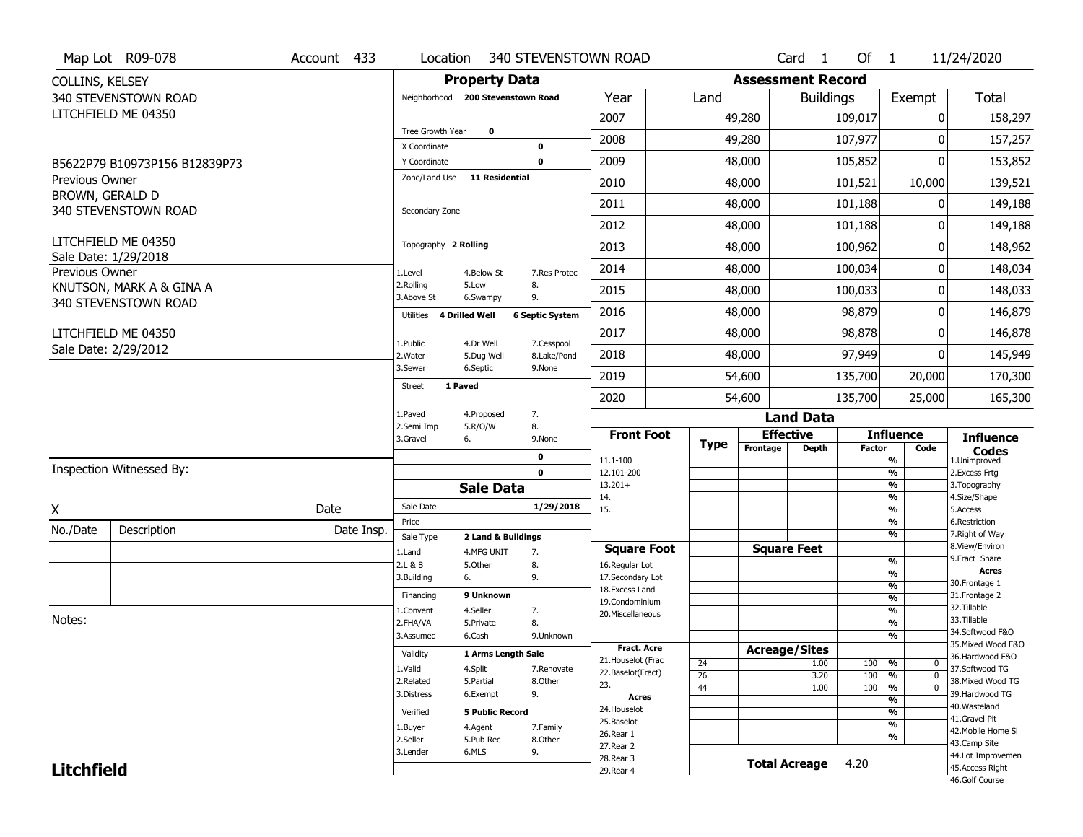|                       | Map Lot R09-078                             | Account 433 | Location                           |                         |                            | 340 STEVENSTOWN ROAD                    |                       |                          | Card <sub>1</sub>  | Of $1$        |                                              | 11/24/2020                            |
|-----------------------|---------------------------------------------|-------------|------------------------------------|-------------------------|----------------------------|-----------------------------------------|-----------------------|--------------------------|--------------------|---------------|----------------------------------------------|---------------------------------------|
| COLLINS, KELSEY       |                                             |             |                                    | <b>Property Data</b>    |                            |                                         |                       | <b>Assessment Record</b> |                    |               |                                              |                                       |
|                       | 340 STEVENSTOWN ROAD                        |             | Neighborhood 200 Stevenstown Road  |                         |                            | Year                                    | Land                  |                          | <b>Buildings</b>   |               | Exempt                                       | <b>Total</b>                          |
|                       | LITCHFIELD ME 04350                         |             |                                    |                         |                            | 2007                                    |                       | 49,280                   |                    | 109,017       | $\mathbf{0}$                                 | 158,297                               |
|                       |                                             |             | Tree Growth Year                   | $\mathbf 0$             |                            | 2008                                    |                       | 49,280                   |                    | 107,977       | 0                                            | 157,257                               |
|                       |                                             |             | X Coordinate<br>Y Coordinate       |                         | $\mathbf 0$<br>$\mathbf 0$ | 2009                                    |                       | 48,000                   |                    | 105,852       | 0                                            | 153,852                               |
| <b>Previous Owner</b> | B5622P79 B10973P156 B12839P73               |             | Zone/Land Use                      | <b>11 Residential</b>   |                            |                                         |                       |                          |                    |               |                                              |                                       |
| BROWN, GERALD D       |                                             |             |                                    |                         |                            | 2010                                    |                       | 48,000                   |                    | 101,521       | 10,000                                       | 139,521                               |
|                       | 340 STEVENSTOWN ROAD                        |             | Secondary Zone                     |                         |                            | 2011                                    |                       | 48,000                   |                    | 101,188       | 0                                            | 149,188                               |
|                       |                                             |             |                                    |                         |                            | 2012                                    |                       | 48,000                   |                    | 101,188       | 0                                            | 149,188                               |
|                       | LITCHFIELD ME 04350<br>Sale Date: 1/29/2018 |             | Topography 2 Rolling               |                         |                            | 2013                                    |                       | 48,000                   |                    | 100,962       | 0                                            | 148,962                               |
| Previous Owner        |                                             |             | 1.Level                            | 4.Below St              | 7.Res Protec               | 2014                                    |                       | 48,000                   |                    | 100,034       | 0                                            | 148,034                               |
|                       | KNUTSON, MARK A & GINA A                    |             | 2.Rolling<br>3.Above St            | 5.Low<br>6.Swampy       | 8.<br>9.                   | 2015                                    |                       | 48,000                   |                    | 100,033       | 0                                            | 148,033                               |
|                       | 340 STEVENSTOWN ROAD                        |             | <b>4 Drilled Well</b><br>Utilities |                         | <b>6 Septic System</b>     | 2016                                    |                       | 48,000                   |                    | 98,879        | 0                                            | 146,879                               |
|                       | LITCHFIELD ME 04350                         |             |                                    |                         |                            | 2017                                    |                       | 48,000                   |                    | 98,878        | 0                                            | 146,878                               |
|                       | Sale Date: 2/29/2012                        |             | 1.Public<br>2. Water               | 4.Dr Well<br>5.Dug Well | 7.Cesspool<br>8.Lake/Pond  | 2018                                    |                       | 48,000                   |                    | 97,949        | 0                                            | 145,949                               |
|                       |                                             |             | 3.Sewer                            | 6.Septic                | 9.None                     | 2019                                    |                       | 54,600                   |                    | 135,700       | 20,000                                       | 170,300                               |
|                       |                                             |             | <b>Street</b><br>1 Paved           |                         |                            | 2020                                    |                       | 54,600                   |                    | 135,700       | 25,000                                       | 165,300                               |
|                       |                                             |             | 1.Paved                            | 4.Proposed              | 7.                         |                                         |                       |                          | <b>Land Data</b>   |               |                                              |                                       |
|                       |                                             |             | 2.Semi Imp<br>3.Gravel<br>6.       | 5.R/O/W                 | 8.<br>9.None               | <b>Front Foot</b>                       |                       | <b>Effective</b>         |                    |               | <b>Influence</b>                             | <b>Influence</b>                      |
|                       |                                             |             |                                    |                         | 0                          | 11.1-100                                | <b>Type</b>           | Frontage                 | Depth              | <b>Factor</b> | Code<br>$\frac{9}{6}$                        | <b>Codes</b><br>1.Unimproved          |
|                       | Inspection Witnessed By:                    |             |                                    |                         | $\mathbf 0$                | 12.101-200                              |                       |                          |                    |               | $\frac{9}{6}$                                | 2.Excess Frtg                         |
|                       |                                             |             |                                    | <b>Sale Data</b>        |                            | $13.201+$<br>14.                        |                       |                          |                    |               | $\frac{9}{6}$<br>$\frac{9}{6}$               | 3. Topography<br>4.Size/Shape         |
| Χ                     |                                             | Date        | Sale Date                          |                         | 1/29/2018                  | 15.                                     |                       |                          |                    |               | $\frac{9}{6}$                                | 5.Access                              |
| No./Date              | Description                                 | Date Insp.  | Price                              |                         |                            |                                         |                       |                          |                    |               | $\frac{9}{6}$<br>$\frac{9}{6}$               | 6.Restriction<br>7. Right of Way      |
|                       |                                             |             | Sale Type                          | 2 Land & Buildings      |                            |                                         |                       |                          |                    |               |                                              | 8.View/Environ                        |
|                       |                                             |             |                                    |                         |                            |                                         |                       |                          |                    |               |                                              |                                       |
|                       |                                             |             | 1.Land<br>2.L & B                  | 4.MFG UNIT<br>5.Other   | 7.<br>8.                   | <b>Square Foot</b><br>16.Regular Lot    |                       |                          | <b>Square Feet</b> |               | %                                            | 9.Fract Share                         |
|                       |                                             |             | 6.<br>3.Building                   |                         | 9.                         | 17.Secondary Lot                        |                       |                          |                    |               | $\frac{9}{6}$                                | <b>Acres</b><br>30. Frontage 1        |
|                       |                                             |             | Financing                          | 9 Unknown               |                            | 18. Excess Land                         |                       |                          |                    |               | $\frac{9}{6}$<br>$\frac{9}{6}$               | 31. Frontage 2                        |
|                       |                                             |             | 1.Convent                          | 4.Seller                | 7.                         | 19.Condominium<br>20.Miscellaneous      |                       |                          |                    |               | $\frac{9}{6}$                                | 32. Tillable                          |
| Notes:                |                                             |             | 2.FHA/VA                           | 5.Private               | 8.                         |                                         |                       |                          |                    |               | $\frac{9}{6}$                                | 33.Tillable                           |
|                       |                                             |             | 3.Assumed                          | 6.Cash                  | 9.Unknown                  |                                         |                       |                          |                    |               | $\frac{9}{6}$                                | 34.Softwood F&O<br>35. Mixed Wood F&O |
|                       |                                             |             | Validity                           | 1 Arms Length Sale      |                            | <b>Fract. Acre</b>                      |                       | <b>Acreage/Sites</b>     |                    |               |                                              | 36.Hardwood F&O                       |
|                       |                                             |             | 1.Valid                            | 4.Split                 | 7.Renovate                 | 21. Houselot (Frac<br>22.Baselot(Fract) | 24                    |                          | 1.00               | 100           | %<br>0                                       | 37.Softwood TG                        |
|                       |                                             |             | 2.Related                          | 5.Partial               | 8.Other                    | 23.                                     | $\overline{26}$<br>44 |                          | 3.20<br>1.00       | 100<br>100    | $\frac{9}{6}$<br>$\mathbf 0$<br>$\mathbf{0}$ | 38. Mixed Wood TG                     |
|                       |                                             |             | 3.Distress                         | 6.Exempt                | 9.                         | Acres                                   |                       |                          |                    |               | $\overline{\frac{9}{6}}$<br>$\frac{9}{6}$    | 39.Hardwood TG                        |
|                       |                                             |             | Verified                           | <b>5 Public Record</b>  |                            | 24. Houselot                            |                       |                          |                    |               | $\frac{9}{6}$                                | 40. Wasteland                         |
|                       |                                             |             | 1.Buyer                            | 4.Agent                 | 7.Family                   | 25.Baselot                              |                       |                          |                    |               | $\overline{\frac{9}{6}}$                     | 41.Gravel Pit<br>42. Mobile Home Si   |
|                       |                                             |             | 2.Seller                           | 5.Pub Rec               | 8.Other                    | 26.Rear 1<br>27. Rear 2                 |                       |                          |                    |               | %                                            | 43.Camp Site                          |
| <b>Litchfield</b>     |                                             |             | 3.Lender                           | 6.MLS                   | 9.                         | 28. Rear 3<br>29. Rear 4                |                       | <b>Total Acreage</b>     |                    | 4.20          |                                              | 44.Lot Improvemen<br>45.Access Right  |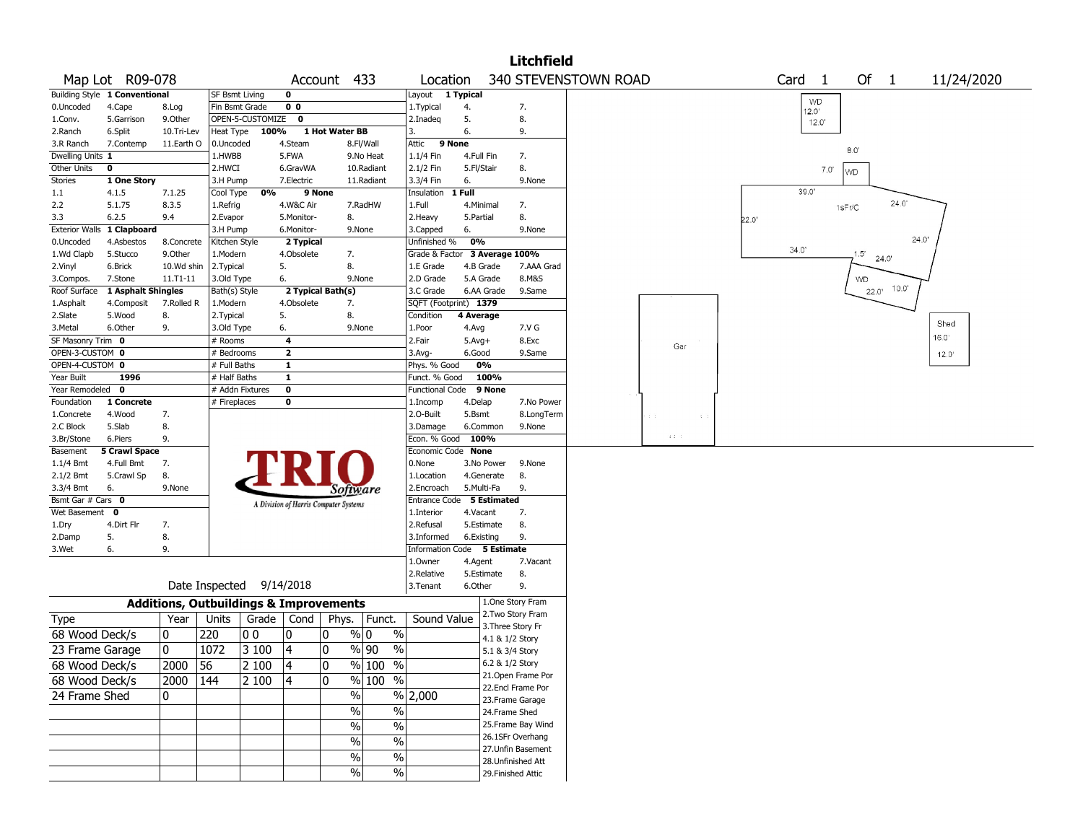|                   |                               |            |                                                   |                         |                                       |                               |          |            | <b>Litchfield</b>                    |                      |                                   |       |                   |      |                |       |            |
|-------------------|-------------------------------|------------|---------------------------------------------------|-------------------------|---------------------------------------|-------------------------------|----------|------------|--------------------------------------|----------------------|-----------------------------------|-------|-------------------|------|----------------|-------|------------|
|                   | Map Lot R09-078               |            |                                                   |                         | Account 433                           |                               | Location |            |                                      | 340 STEVENSTOWN ROAD |                                   |       | Card <sub>1</sub> |      | Of 1           |       | 11/24/2020 |
|                   | Building Style 1 Conventional |            | <b>SF Bsmt Living</b>                             | 0                       |                                       | Layout 1 Typical              |          |            |                                      |                      |                                   |       | WD                |      |                |       |            |
| 0.Uncoded         | 4.Cape                        | 8.Log      | Fin Bsmt Grade                                    | 0 <sub>0</sub>          |                                       | 1. Typical                    | 4.       |            | 7.                                   |                      |                                   |       | 12.0'             |      |                |       |            |
| 1.Conv.           | 5.Garrison                    | 9.Other    | OPEN-5-CUSTOMIZE                                  | $\mathbf 0$             |                                       | 2.Inadeq                      | 5.       |            | 8.                                   |                      |                                   |       | 12.0'             |      |                |       |            |
| 2.Ranch           | 6.Split                       | 10.Tri-Lev | Heat Type                                         | 100%                    | 1 Hot Water BB                        | 3.                            | 6.       |            | 9.                                   |                      |                                   |       |                   |      |                |       |            |
| 3.R Ranch         | 7.Contemp                     | 11.Earth O | 0.Uncoded                                         | 4.Steam                 | 8.Fl/Wall                             | Attic                         | 9 None   |            |                                      |                      |                                   |       |                   |      | 8.0'           |       |            |
| Dwelling Units 1  |                               |            | 1.HWBB                                            | 5.FWA                   | 9.No Heat                             | 1.1/4 Fin                     |          | 4.Full Fin | 7.                                   |                      |                                   |       |                   |      |                |       |            |
| Other Units       | 0                             |            | 2.HWCI                                            | 6.GravWA                | 10.Radiant                            | 2.1/2 Fin                     |          | 5.Fl/Stair | 8.                                   |                      |                                   |       |                   | 7.0' | WD             |       |            |
| <b>Stories</b>    | 1 One Story                   |            | 3.H Pump                                          | 7.Electric              | 11.Radiant                            | 3.3/4 Fin                     | 6.       |            | 9.None                               |                      |                                   |       |                   |      |                |       |            |
| 1.1               | 4.1.5                         | 7.1.25     | 0%<br>Cool Type                                   |                         | 9 None                                | Insulation 1 Full             |          |            |                                      |                      |                                   |       | 39.0'             |      |                |       |            |
| 2.2               | 5.1.75                        | 8.3.5      | 1.Refrig                                          | 4.W&C Air               | 7.RadHW                               | 1.Full                        |          | 4.Minimal  | 7.                                   |                      |                                   |       |                   |      | 1sFr/C         | 24.0  |            |
| 3.3               | 6.2.5                         | 9.4        | 2.Evapor                                          | 5.Monitor-              | 8.                                    | 2.Heavy                       |          | 5.Partial  | 8.                                   |                      |                                   | 22.0' |                   |      |                |       |            |
|                   | Exterior Walls 1 Clapboard    |            | 3.H Pump                                          | 6.Monitor-              | 9.None                                | 3.Capped                      | 6.       |            | 9.None                               |                      |                                   |       |                   |      |                |       |            |
| 0.Uncoded         | 4.Asbestos                    | 8.Concrete | Kitchen Style                                     | 2 Typical               |                                       | Unfinished %                  | 0%       |            |                                      |                      |                                   |       | 34.0'             |      |                |       | 24.0       |
| 1.Wd Clapb        | 5.Stucco                      | 9.Other    | 1.Modern                                          | 4.Obsolete              | 7.                                    | Grade & Factor 3 Average 100% |          |            |                                      |                      |                                   |       |                   |      | 1.5'           | 24.0  |            |
| 2.Vinyl           | 6.Brick                       | 10.Wd shin | 2. Typical                                        | 5.                      | 8.                                    | 1.E Grade                     |          | 4.B Grade  | 7.AAA Grad                           |                      |                                   |       |                   |      |                |       |            |
| 3.Compos.         | 7.Stone                       | 11.T1-11   | 3.Old Type                                        | 6.                      | 9.None                                | 2.D Grade                     |          | 5.A Grade  | 8.M&S                                |                      |                                   |       |                   |      | WD             |       |            |
| Roof Surface      | 1 Asphalt Shingles            |            | Bath(s) Style                                     |                         | 2 Typical Bath(s)                     | 3.C Grade                     |          | 6.AA Grade | 9.Same                               |                      |                                   |       |                   |      | $22.0^{\circ}$ | 10.0" |            |
| 1.Asphalt         | 4.Composit                    | 7.Rolled R | 1.Modern                                          | 4.Obsolete              | 7.                                    | SQFT (Footprint) 1379         |          |            |                                      |                      |                                   |       |                   |      |                |       |            |
| 2.Slate           | 5.Wood                        | 8.         | 2. Typical                                        | 5.                      | 8.                                    | Condition                     |          | 4 Average  |                                      |                      |                                   |       |                   |      |                |       | Shed       |
| 3.Metal           | 6.Other                       | 9.         | 3.Old Type                                        | 6.                      | 9.None                                | 1.Poor                        | 4.Avg    |            | 7.V G                                |                      |                                   |       |                   |      |                |       |            |
| SF Masonry Trim 0 |                               |            | # Rooms                                           | 4                       |                                       | 2.Fair                        | $5.Avg+$ |            | 8.Exc                                |                      | Gar                               |       |                   |      |                |       | 16.0'      |
| OPEN-3-CUSTOM 0   |                               |            | # Bedrooms                                        | $\overline{\mathbf{2}}$ |                                       | 3.Avg-                        | 6.Good   |            | 9.Same                               |                      |                                   |       |                   |      |                |       | 12.0'      |
| OPEN-4-CUSTOM 0   |                               |            | # Full Baths                                      | 1                       |                                       | Phys. % Good                  |          | 0%         |                                      |                      |                                   |       |                   |      |                |       |            |
| Year Built        | 1996                          |            | # Half Baths                                      | $\mathbf{1}$            |                                       | Funct. % Good                 |          | 100%       |                                      |                      |                                   |       |                   |      |                |       |            |
| Year Remodeled 0  |                               |            | # Addn Fixtures                                   | 0                       |                                       | Functional Code               |          | 9 None     |                                      |                      |                                   |       |                   |      |                |       |            |
| Foundation        | 1 Concrete                    |            | # Fireplaces                                      | 0                       |                                       | 1.Incomp                      | 4.Delap  |            | 7.No Power                           |                      |                                   |       |                   |      |                |       |            |
| 1.Concrete        | 4.Wood                        | 7.         |                                                   |                         |                                       | 2.O-Built                     | 5.Bsmt   |            | 8.LongTerm                           |                      |                                   |       |                   |      |                |       |            |
| 2.C Block         | 5.Slab                        | 8.         |                                                   |                         |                                       | 3.Damage                      |          | 6.Common   | 9.None                               |                      |                                   |       |                   |      |                |       |            |
| 3.Br/Stone        | 6.Piers                       | 9.         |                                                   |                         |                                       | Econ. % Good                  |          | 100%       |                                      |                      | $\mathbf{z} \cdot \mathbf{z} = 0$ |       |                   |      |                |       |            |
| Basement          | <b>5 Crawl Space</b>          |            |                                                   |                         |                                       | Economic Code None            |          |            |                                      |                      |                                   |       |                   |      |                |       |            |
| 1.1/4 Bmt         | 4.Full Bmt                    | 7.         |                                                   |                         |                                       | 0.None                        |          | 3.No Power | 9.None                               |                      |                                   |       |                   |      |                |       |            |
| 2.1/2 Bmt         | 5.Crawl Sp                    | 8.         |                                                   |                         |                                       | 1.Location                    |          | 4.Generate | 8.                                   |                      |                                   |       |                   |      |                |       |            |
| 3.3/4 Bmt         | 6.                            | 9.None     |                                                   |                         | Software                              | 2.Encroach                    |          | 5.Multi-Fa | 9.                                   |                      |                                   |       |                   |      |                |       |            |
| Bsmt Gar # Cars 0 |                               |            |                                                   |                         | A Division of Harris Computer Systems | Entrance Code 5 Estimated     |          |            |                                      |                      |                                   |       |                   |      |                |       |            |
| Wet Basement 0    |                               |            |                                                   |                         |                                       | 1.Interior                    |          | 4.Vacant   | 7.                                   |                      |                                   |       |                   |      |                |       |            |
| 1.Dry             | 4.Dirt Flr                    | 7.         |                                                   |                         |                                       | 2.Refusal                     |          | 5.Estimate | 8.                                   |                      |                                   |       |                   |      |                |       |            |
| 2.Damp            | 5.                            | 8.         |                                                   |                         |                                       | 3.Informed                    |          | 6.Existing | 9.                                   |                      |                                   |       |                   |      |                |       |            |
| 3.Wet             | 6.                            | 9.         |                                                   |                         |                                       | Information Code 5 Estimate   |          |            |                                      |                      |                                   |       |                   |      |                |       |            |
|                   |                               |            |                                                   |                         |                                       | 1.Owner                       |          | 4.Agent    | 7.Vacant                             |                      |                                   |       |                   |      |                |       |            |
|                   |                               |            |                                                   |                         |                                       | 2.Relative                    |          | 5.Estimate | 8.                                   |                      |                                   |       |                   |      |                |       |            |
|                   |                               |            | Date Inspected 9/14/2018                          |                         |                                       | 3. Tenant                     | 6.Other  |            | 9.                                   |                      |                                   |       |                   |      |                |       |            |
|                   |                               |            | <b>Additions, Outbuildings &amp; Improvements</b> |                         |                                       |                               |          |            | 1.One Story Fram                     |                      |                                   |       |                   |      |                |       |            |
| Type              |                               | Year       | Units                                             | Grade   Cond            | Phys. Funct.                          | Sound Value                   |          |            | 2. Two Story Fram                    |                      |                                   |       |                   |      |                |       |            |
| 68 Wood Deck/s    |                               | 10         | 220<br>00                                         | 10                      | % 0<br>0                              | $\%$                          |          |            | 3. Three Story Fr<br>4.1 & 1/2 Story |                      |                                   |       |                   |      |                |       |            |
| 23 Frame Garage   |                               | 10         | 1072<br> 3100                                     | 4                       | 0<br>%  90                            | $\%$                          |          |            | 5.1 & 3/4 Story                      |                      |                                   |       |                   |      |                |       |            |
| 68 Wood Deck/s    |                               | 2000 56    | 2100                                              | 4                       | 0 <br>$\frac{9}{6}$ 100 %             |                               |          |            | 6.2 & 1/2 Story                      |                      |                                   |       |                   |      |                |       |            |
| 68 Wood Deck/s    |                               | 2000 144   | 2 100                                             | 4                       | % 100 %<br>10                         |                               |          |            | 21.Open Frame Por                    |                      |                                   |       |                   |      |                |       |            |
|                   |                               |            |                                                   |                         |                                       |                               |          |            | 22.Encl Frame Por                    |                      |                                   |       |                   |      |                |       |            |
| 24 Frame Shed     |                               | 0          |                                                   |                         | $\overline{\frac{9}{6}}$              | % 2,000                       |          |            | 23. Frame Garage                     |                      |                                   |       |                   |      |                |       |            |
|                   |                               |            |                                                   |                         | $\%$                                  | $\%$                          |          |            | 24.Frame Shed                        |                      |                                   |       |                   |      |                |       |            |
|                   |                               |            |                                                   |                         | $\bar{\%}$                            | $\overline{\frac{0}{0}}$      |          |            | 25. Frame Bay Wind                   |                      |                                   |       |                   |      |                |       |            |
|                   |                               |            |                                                   |                         | $\%$                                  | $\overline{\frac{0}{0}}$      |          |            | 26.1SFr Overhang                     |                      |                                   |       |                   |      |                |       |            |
|                   |                               |            |                                                   |                         |                                       | $\overline{\frac{0}{0}}$      |          |            | 27.Unfin Basement                    |                      |                                   |       |                   |      |                |       |            |
|                   |                               |            |                                                   |                         | $\%$                                  |                               |          |            | 28. Unfinished Att                   |                      |                                   |       |                   |      |                |       |            |
|                   |                               |            |                                                   |                         | $\%$                                  | $\sqrt{6}$                    |          |            | 29. Finished Attic                   |                      |                                   |       |                   |      |                |       |            |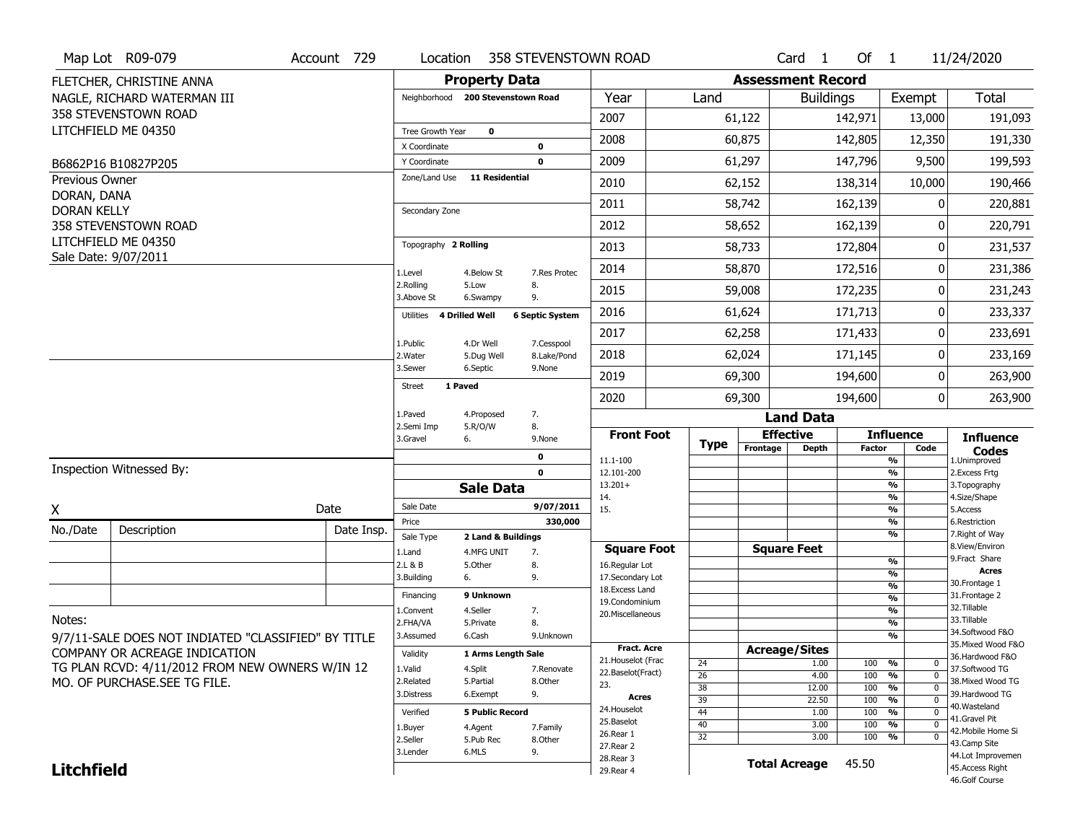|                                   | Map Lot R09-079                                     | Account 729 | Location                                |                                   |                           | 358 STEVENSTOWN ROAD               |                 |                          | Card <sub>1</sub>    | Of $1$        |                                           | 11/24/2020                            |
|-----------------------------------|-----------------------------------------------------|-------------|-----------------------------------------|-----------------------------------|---------------------------|------------------------------------|-----------------|--------------------------|----------------------|---------------|-------------------------------------------|---------------------------------------|
|                                   | FLETCHER, CHRISTINE ANNA                            |             |                                         | <b>Property Data</b>              |                           |                                    |                 | <b>Assessment Record</b> |                      |               |                                           |                                       |
|                                   | NAGLE, RICHARD WATERMAN III                         |             |                                         | Neighborhood 200 Stevenstown Road |                           | Year                               | Land            |                          | <b>Buildings</b>     |               | Exempt                                    | Total                                 |
|                                   | 358 STEVENSTOWN ROAD                                |             |                                         |                                   |                           | 2007                               |                 | 61,122                   |                      | 142,971       | 13,000                                    | 191,093                               |
|                                   | LITCHFIELD ME 04350                                 |             | <b>Tree Growth Year</b><br>X Coordinate | $\mathbf 0$                       | $\mathbf 0$               | 2008                               |                 | 60,875                   |                      | 142,805       | 12,350                                    | 191,330                               |
|                                   | B6862P16 B10827P205                                 |             | Y Coordinate                            |                                   | $\mathbf 0$               | 2009                               |                 | 61,297                   |                      | 147,796       | 9,500                                     | 199,593                               |
| Previous Owner                    |                                                     |             | Zone/Land Use                           | <b>11 Residential</b>             |                           | 2010                               |                 | 62,152                   |                      | 138,314       | 10,000                                    | 190,466                               |
| DORAN, DANA<br><b>DORAN KELLY</b> |                                                     |             |                                         |                                   |                           | 2011                               |                 | 58,742                   |                      | 162,139       | 0                                         | 220,881                               |
|                                   | 358 STEVENSTOWN ROAD                                |             | Secondary Zone                          |                                   |                           | 2012                               |                 | 58,652                   |                      | 162,139       | 0                                         | 220,791                               |
|                                   | LITCHFIELD ME 04350                                 |             | Topography 2 Rolling                    |                                   |                           | 2013                               |                 | 58,733                   |                      | 172,804       | 0                                         | 231,537                               |
|                                   | Sale Date: 9/07/2011                                |             | 1.Level                                 | 4.Below St                        | 7.Res Protec              | 2014                               |                 | 58,870                   |                      | 172,516       | 0                                         | 231,386                               |
|                                   |                                                     |             | 2.Rolling<br>3.Above St                 | 5.Low<br>6.Swampy                 | 8.<br>9.                  | 2015                               |                 | 59,008                   |                      | 172,235       | 0                                         | 231,243                               |
|                                   |                                                     |             | Utilities 4 Drilled Well                |                                   | <b>6 Septic System</b>    | 2016                               |                 | 61,624                   |                      | 171,713       | 0                                         | 233,337                               |
|                                   |                                                     |             |                                         |                                   |                           | 2017                               |                 | 62,258                   |                      | 171,433       | 0                                         | 233,691                               |
|                                   |                                                     |             | 1.Public<br>2. Water                    | 4.Dr Well<br>5.Dug Well           | 7.Cesspool<br>8.Lake/Pond | 2018                               |                 | 62,024                   |                      | 171,145       | $\Omega$                                  | 233,169                               |
|                                   |                                                     |             | 3.Sewer                                 | 6.Septic                          | 9.None                    | 2019                               |                 | 69,300                   |                      | 194,600       | 0                                         | 263,900                               |
|                                   |                                                     |             | <b>Street</b>                           | 1 Paved                           |                           | 2020                               |                 | 69,300                   |                      | 194,600       | 0 <sup>1</sup>                            | 263,900                               |
|                                   |                                                     |             | 1.Paved<br>2.Semi Imp                   | 4.Proposed                        | 7.                        |                                    |                 |                          | <b>Land Data</b>     |               |                                           |                                       |
|                                   |                                                     |             | 3.Gravel                                | 5.R/O/W<br>6.                     | 8.<br>9.None              | <b>Front Foot</b>                  | Type            |                          | <b>Effective</b>     |               | <b>Influence</b>                          | <b>Influence</b>                      |
|                                   |                                                     |             |                                         |                                   | 0                         | 11.1-100                           |                 | Frontage                 | <b>Depth</b>         | <b>Factor</b> | Code<br>$\frac{9}{6}$                     | <b>Codes</b><br>1.Unimproved          |
|                                   | Inspection Witnessed By:                            |             |                                         | <b>Sale Data</b>                  | $\mathbf 0$               | 12.101-200<br>$13.201+$            |                 |                          |                      |               | $\frac{9}{6}$<br>$\frac{9}{6}$            | 2. Excess Frtg<br>3. Topography       |
|                                   |                                                     |             | Sale Date                               |                                   | 9/07/2011                 | 14.                                |                 |                          |                      |               | $\frac{9}{6}$                             | 4.Size/Shape                          |
| X                                 |                                                     | Date        | Price                                   |                                   | 330,000                   | 15.                                |                 |                          |                      |               | $\frac{9}{6}$<br>$\overline{\frac{9}{6}}$ | 5.Access<br>6.Restriction             |
| No./Date                          | Description                                         | Date Insp.  | Sale Type                               | 2 Land & Buildings                |                           |                                    |                 |                          |                      |               | $\frac{9}{6}$                             | 7. Right of Way                       |
|                                   |                                                     |             | 1.Land                                  | 4.MFG UNIT                        | 7.                        | <b>Square Foot</b>                 |                 |                          | <b>Square Feet</b>   |               |                                           | 8.View/Environ<br>9. Fract Share      |
|                                   |                                                     |             | 2.L & B                                 | 5.Other                           | 8.                        | 16.Regular Lot                     |                 |                          |                      |               | $\frac{9}{6}$<br>%                        | Acres                                 |
|                                   |                                                     |             |                                         |                                   |                           |                                    |                 |                          |                      |               |                                           |                                       |
|                                   |                                                     |             | 3.Building                              | 6.                                | 9.                        | 17.Secondary Lot                   |                 |                          |                      |               | $\frac{9}{6}$                             | 30. Frontage 1                        |
|                                   |                                                     |             | Financing                               | 9 Unknown                         |                           | 18. Excess Land                    |                 |                          |                      |               | $\frac{9}{6}$                             | 31. Frontage 2                        |
|                                   |                                                     |             | L.Convent                               | 4.Seller                          | 7.                        | 19.Condominium<br>20.Miscellaneous |                 |                          |                      |               | %                                         | 32.Tillable                           |
| Notes:                            |                                                     |             | 2.FHA/VA                                | 5.Private                         | 8.                        |                                    |                 |                          |                      |               | %                                         | 33.Tillable                           |
|                                   | 9/7/11-SALE DOES NOT INDIATED "CLASSIFIED" BY TITLE |             | 3.Assumed                               | 6.Cash                            | 9.Unknown                 |                                    |                 |                          |                      |               | %                                         | 34.Softwood F&O                       |
|                                   | COMPANY OR ACREAGE INDICATION                       |             | Validity                                | 1 Arms Length Sale                |                           | Fract. Acre                        |                 |                          | <b>Acreage/Sites</b> |               |                                           | 35. Mixed Wood F&O<br>36.Hardwood F&O |
|                                   | TG PLAN RCVD: 4/11/2012 FROM NEW OWNERS W/IN 12     |             | 1.Valid                                 | 4.Split                           | 7.Renovate                | 21. Houselot (Frac                 | 24              |                          | 1.00                 | 100           | %<br>0                                    | 37.Softwood TG                        |
|                                   | MO. OF PURCHASE.SEE TG FILE.                        |             | 2.Related                               | 5.Partial                         | 8.Other                   | 22.Baselot(Fract)<br>23.           | $\overline{26}$ |                          | 4.00                 | 100           | $\frac{9}{6}$<br>$\mathbf{0}$             | 38. Mixed Wood TG                     |
|                                   |                                                     |             | 3.Distress                              | 6.Exempt                          | 9.                        | Acres                              | 38              |                          | 12.00                | 100           | %<br>$\mathbf{0}$                         | 39.Hardwood TG                        |
|                                   |                                                     |             | Verified                                | <b>5 Public Record</b>            |                           | 24. Houselot                       | 39<br>44        |                          | 22.50<br>1.00        | 100<br>100    | %<br>0<br>%<br>$\Omega$                   | 40.Wasteland                          |
|                                   |                                                     |             | 1.Buyer                                 | 4.Agent                           | 7.Family                  | 25.Baselot                         | 40              |                          | 3.00                 | 100           | %<br>$\Omega$                             | 41.Gravel Pit                         |
|                                   |                                                     |             | 2.Seller                                | 5.Pub Rec                         | 8.Other                   | 26.Rear 1                          | $\overline{32}$ |                          | 3.00                 | 100           | %<br>0                                    | 42. Mobile Home Si                    |
|                                   |                                                     |             | 3.Lender                                | 6.MLS                             | 9.                        | 27. Rear 2                         |                 |                          |                      |               |                                           | 43.Camp Site<br>44.Lot Improvemen     |
| <b>Litchfield</b>                 |                                                     |             |                                         |                                   |                           | 28. Rear 3<br>29. Rear 4           |                 |                          | <b>Total Acreage</b> | 45.50         |                                           | 45.Access Right<br>46.Golf Course     |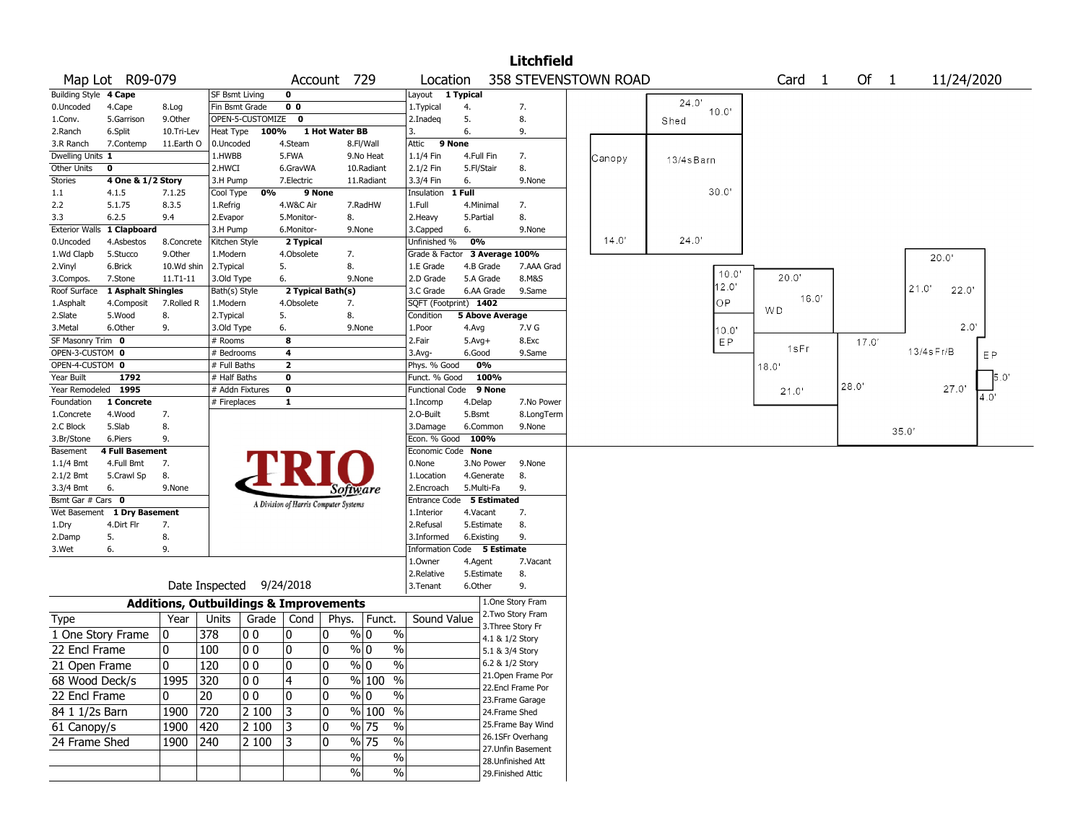|                                    |                    |                |                              |                                                   |                                       |                |                                   |                                         |                        |                   | <b>Litchfield</b>  |                      |      |                |                   |       |       |            |    |
|------------------------------------|--------------------|----------------|------------------------------|---------------------------------------------------|---------------------------------------|----------------|-----------------------------------|-----------------------------------------|------------------------|-------------------|--------------------|----------------------|------|----------------|-------------------|-------|-------|------------|----|
|                                    | Map Lot R09-079    |                |                              |                                                   |                                       | Account 729    |                                   | Location                                |                        |                   |                    | 358 STEVENSTOWN ROAD |      |                | Card <sub>1</sub> | Of 1  |       | 11/24/2020 |    |
| <b>Building Style</b>              | 4 Cape             |                | SF Bsmt Living               |                                                   | $\mathbf 0$                           |                |                                   | Layout 1 Typical                        |                        |                   |                    |                      |      |                |                   |       |       |            |    |
| 0.Uncoded                          | 4.Cape             | 8.Log          |                              | Fin Bsmt Grade                                    | 0 <sub>0</sub>                        |                |                                   | 1.Typical                               | 4.                     |                   | 7.                 |                      |      | 24.0'<br>10.0' |                   |       |       |            |    |
| 1.Conv.                            | 5.Garrison         | 9.0ther        |                              | OPEN-5-CUSTOMIZE                                  | 0                                     |                |                                   | 2.Inadeg                                | 5.                     |                   | 8.                 |                      | Shed |                |                   |       |       |            |    |
| 2.Ranch                            | 6.Split            | 10.Tri-Lev     | Heat Type                    | 100%                                              |                                       | 1 Hot Water BB |                                   | 3.                                      | 6.                     |                   | 9.                 |                      |      |                |                   |       |       |            |    |
| 3.R Ranch                          | 7.Contemp          | 11.Earth O     | 0.Uncoded                    |                                                   | 4.Steam                               |                | 8.Fl/Wall                         | Attic                                   | 9 None                 |                   |                    |                      |      |                |                   |       |       |            |    |
| Dwelling Units 1                   |                    |                | 1.HWBB                       |                                                   | 5.FWA                                 |                | 9.No Heat                         | 1.1/4 Fin                               | 4.Full Fin             |                   | 7.                 | Canopy               |      | 13/4sBarn      |                   |       |       |            |    |
| Other Units                        | 0                  |                | 2.HWCI                       |                                                   | 6.GravWA                              |                | 10.Radiant                        | 2.1/2 Fin                               | 5.Fl/Stair             |                   | 8.                 |                      |      |                |                   |       |       |            |    |
| Stories                            | 4 One & 1/2 Story  |                | 3.H Pump                     |                                                   | 7.Electric                            |                | 11.Radiant                        | 3.3/4 Fin                               | 6.                     |                   | 9.None             |                      |      |                |                   |       |       |            |    |
| 1.1                                | 4.1.5              | 7.1.25         | Cool Type                    | 0%                                                | 9 None                                |                |                                   | Insulation                              | 1 Full                 |                   |                    |                      |      | 30.0'          |                   |       |       |            |    |
| 2.2                                | 5.1.75             | 8.3.5          | 1.Refrig                     |                                                   | 4.W&C Air                             |                | 7.RadHW                           | 1.Full                                  | 4.Minimal              |                   | 7.                 |                      |      |                |                   |       |       |            |    |
| 3.3                                | 6.2.5              | 9.4            | 2.Evapor                     |                                                   | 5.Monitor-                            | 8.             |                                   | 2. Heavy                                | 5.Partial              |                   | 8.                 |                      |      |                |                   |       |       |            |    |
| <b>Exterior Walls</b>              | 1 Clapboard        |                | 3.H Pump                     |                                                   | 6.Monitor-                            |                | 9.None                            | 3.Capped                                | 6.                     |                   | 9.None             |                      |      |                |                   |       |       |            |    |
| 0.Uncoded                          | 4.Asbestos         | 8.Concrete     | Kitchen Style                |                                                   | 2 Typical                             |                |                                   | Unfinished %                            | 0%                     |                   |                    | 14.0'                |      | 24.0'          |                   |       |       |            |    |
| 1.Wd Clapb                         | 5.Stucco           | 9.0ther        | 1.Modern                     |                                                   | 4.Obsolete                            | 7.             |                                   | Grade & Factor                          |                        | 3 Average 100%    |                    |                      |      |                |                   |       |       | 20.0'      |    |
| 2.Vinyl                            | 6.Brick            | 10.Wd shin     | 2. Typical                   |                                                   | 5.                                    | 8.             |                                   | 1.E Grade                               | 4.B Grade              |                   | 7.AAA Grad         |                      |      | 10.0'          | 20.0"             |       |       |            |    |
| 3.Compos.                          | 7.Stone            | $11.71 - 11$   | 3.Old Type                   |                                                   | 6.                                    |                | 9.None                            | 2.D Grade                               | 5.A Grade              |                   | 8.M&S              |                      |      | 12.0'          |                   |       |       | 21.0       |    |
| Roof Surface                       | 1 Asphalt Shingles |                | Bath(s) Style                |                                                   | 2 Typical Bath(s)                     |                |                                   | 3.C Grade                               | 6.AA Grade             |                   | 9.Same             |                      |      | ОP             | 16.0'             |       |       | 22.0"      |    |
| 1.Asphalt                          | 4.Composit         | 7.Rolled R     | 1.Modern                     |                                                   | 4.Obsolete                            | 7.             |                                   | SQFT (Footprint) 1402                   |                        |                   |                    |                      |      |                | WD                |       |       |            |    |
| 2.Slate                            | 5.Wood             | 8.             | 2.Typical                    |                                                   | 5.                                    | 8.             |                                   | Condition                               | <b>5 Above Average</b> |                   |                    |                      |      |                |                   |       |       | 2.0'       |    |
| 3.Metal                            | 6.Other            | 9.             | 3.Old Type                   |                                                   | 6.                                    |                | 9.None                            | 1.Poor                                  | 4.Avg                  |                   | 7.V G              |                      |      | 10.0"          |                   |       |       |            |    |
| SF Masonry Trim 0                  |                    |                | # Rooms                      |                                                   | 8                                     |                |                                   | 2.Fair                                  | $5.Avg+$               |                   | 8.Exc              |                      |      | EP             | 1sFr              | 17.0' |       | 13/4sFr/B  |    |
| OPEN-3-CUSTOM 0<br>OPEN-4-CUSTOM 0 |                    |                | # Bedrooms                   |                                                   | 4<br>$\overline{\mathbf{2}}$          |                |                                   | 3.Avg-                                  | 6.Good<br>0%           |                   | 9.Same             |                      |      |                |                   |       |       |            | EP |
| Year Built                         | 1792               |                | # Full Baths<br># Half Baths |                                                   | $\bf{0}$                              |                |                                   | Phys. % Good                            |                        | 100%              |                    |                      |      |                | 18.0'             |       |       |            |    |
| Year Remodeled                     | 1995               |                |                              | # Addn Fixtures                                   | $\bf{0}$                              |                |                                   | Funct. % Good<br><b>Functional Code</b> |                        | 9 None            |                    |                      |      |                |                   | 28.0  |       | 27.0       |    |
| Foundation                         | 1 Concrete         |                | # Fireplaces                 |                                                   | $\mathbf{1}$                          |                |                                   | 1.Incomp                                | 4.Delap                |                   | 7.No Power         |                      |      |                | 21.0'             |       |       |            |    |
| 1.Concrete                         | 4.Wood             | 7.             |                              |                                                   |                                       |                |                                   | 2.0-Built                               | 5.Bsmt                 |                   | 8.LongTerm         |                      |      |                |                   |       |       |            |    |
| 2.C Block                          | 5.Slab             | 8.             |                              |                                                   |                                       |                |                                   | 3.Damage                                | 6.Common               |                   | 9.None             |                      |      |                |                   |       |       |            |    |
| 3.Br/Stone                         | 6.Piers            | 9.             |                              |                                                   |                                       |                |                                   | Econ. % Good                            | 100%                   |                   |                    |                      |      |                |                   |       | 35.0' |            |    |
| Basement                           | 4 Full Basement    |                |                              |                                                   |                                       |                |                                   | Economic Code None                      |                        |                   |                    |                      |      |                |                   |       |       |            |    |
| 1.1/4 Bmt                          | 4.Full Bmt         | 7.             |                              |                                                   |                                       |                |                                   | 0.None                                  | 3.No Power             |                   | 9.None             |                      |      |                |                   |       |       |            |    |
| 2.1/2 Bmt                          | 5.Crawl Sp         | 8.             |                              |                                                   |                                       |                |                                   | 1.Location                              | 4.Generate             |                   | 8.                 |                      |      |                |                   |       |       |            |    |
| 3.3/4 Bmt                          | 6.                 | 9.None         |                              |                                                   |                                       | Software       |                                   | 2.Encroach                              | 5.Multi-Fa             |                   | 9.                 |                      |      |                |                   |       |       |            |    |
| Bsmt Gar $#$ Cars $\overline{0}$   |                    |                |                              |                                                   | A Division of Harris Computer Systems |                |                                   | Entrance Code 5 Estimated               |                        |                   |                    |                      |      |                |                   |       |       |            |    |
| Wet Basement                       | 1 Dry Basement     |                |                              |                                                   |                                       |                |                                   | 1.Interior                              | 4.Vacant               |                   | 7.                 |                      |      |                |                   |       |       |            |    |
| 1.Dry                              | 4.Dirt Flr         | 7.             |                              |                                                   |                                       |                |                                   | 2.Refusal                               | 5.Estimate             |                   | 8.                 |                      |      |                |                   |       |       |            |    |
| 2.Damp                             | 5.                 | 8.             |                              |                                                   |                                       |                |                                   | 3.Informed                              | 6.Existing             |                   | 9.                 |                      |      |                |                   |       |       |            |    |
| 3.Wet                              | 6.                 | 9.             |                              |                                                   |                                       |                |                                   | Information Code 5 Estimate             |                        |                   |                    |                      |      |                |                   |       |       |            |    |
|                                    |                    |                |                              |                                                   |                                       |                |                                   | 1.Owner                                 | 4.Agent                |                   | 7.Vacant           |                      |      |                |                   |       |       |            |    |
|                                    |                    |                |                              |                                                   |                                       |                |                                   | 2.Relative                              | 5.Estimate             |                   | 8.                 |                      |      |                |                   |       |       |            |    |
|                                    |                    |                | Date Inspected               |                                                   | 9/24/2018                             |                |                                   | 3. Tenant                               | 6.Other                |                   | 9.                 |                      |      |                |                   |       |       |            |    |
|                                    |                    |                |                              | <b>Additions, Outbuildings &amp; Improvements</b> |                                       |                |                                   |                                         |                        |                   | 1.One Story Fram   |                      |      |                |                   |       |       |            |    |
| <b>Type</b>                        |                    | Year           | Units                        | Grade                                             | Cond                                  | Phys.          | Funct.                            | Sound Value                             |                        |                   | 2. Two Story Fram  |                      |      |                |                   |       |       |            |    |
|                                    |                    | 0              | 378                          | O O                                               | 0                                     | 0              | % 0<br>$\%$                       |                                         |                        | 3. Three Story Fr |                    |                      |      |                |                   |       |       |            |    |
| 1 One Story Frame                  |                    |                |                              |                                                   |                                       |                |                                   |                                         |                        | 4.1 & 1/2 Story   |                    |                      |      |                |                   |       |       |            |    |
| 22 Encl Frame                      |                    | 10             | 100                          | 00                                                | 0                                     | 0              | % 0<br>%                          |                                         |                        | 5.1 & 3/4 Story   |                    |                      |      |                |                   |       |       |            |    |
| 21 Open Frame                      |                    | $\overline{0}$ | 120                          | 0 O                                               | 0                                     | I٥             | $\sqrt[6]{0}$<br>$\%$             |                                         |                        | 6.2 & 1/2 Story   |                    |                      |      |                |                   |       |       |            |    |
| 68 Wood Deck/s                     |                    | 1995           | 320                          | 00                                                | $\vert 4$                             | 0              | % 100 %                           |                                         |                        |                   | 21. Open Frame Por |                      |      |                |                   |       |       |            |    |
| 22 Encl Frame                      |                    | 0              | 20                           | 00                                                | 0                                     | 10             | $\sqrt[6]{0}$<br>$\%$             |                                         |                        |                   | 22.Encl Frame Por  |                      |      |                |                   |       |       |            |    |
|                                    |                    |                |                              |                                                   |                                       |                |                                   |                                         |                        |                   | 23. Frame Garage   |                      |      |                |                   |       |       |            |    |
| 84 1 1/2s Barn                     |                    | 1900 720       |                              | 2 100                                             | 3                                     | 10             | % 100 %                           |                                         |                        | 24.Frame Shed     |                    |                      |      |                |                   |       |       |            |    |
| 61 Canopy/s                        |                    | 1900 420       |                              | 2 100                                             | 3                                     | 0              | $\frac{9}{6}$ 75<br>$\frac{0}{0}$ |                                         |                        |                   | 25. Frame Bay Wind |                      |      |                |                   |       |       |            |    |
| 24 Frame Shed                      |                    | 1900           | 240                          | 2 100                                             | 13                                    | 0              | % 75<br>$\frac{0}{0}$             |                                         |                        |                   | 26.1SFr Overhang   |                      |      |                |                   |       |       |            |    |
|                                    |                    |                |                              |                                                   |                                       | $\%$           | $\%$                              |                                         |                        |                   | 27. Unfin Basement |                      |      |                |                   |       |       |            |    |
|                                    |                    |                |                              |                                                   |                                       |                |                                   |                                         |                        |                   | 28.Unfinished Att  |                      |      |                |                   |       |       |            |    |
|                                    |                    |                |                              |                                                   |                                       |                | $\%$<br>$\%$                      |                                         |                        |                   | 29. Finished Attic |                      |      |                |                   |       |       |            |    |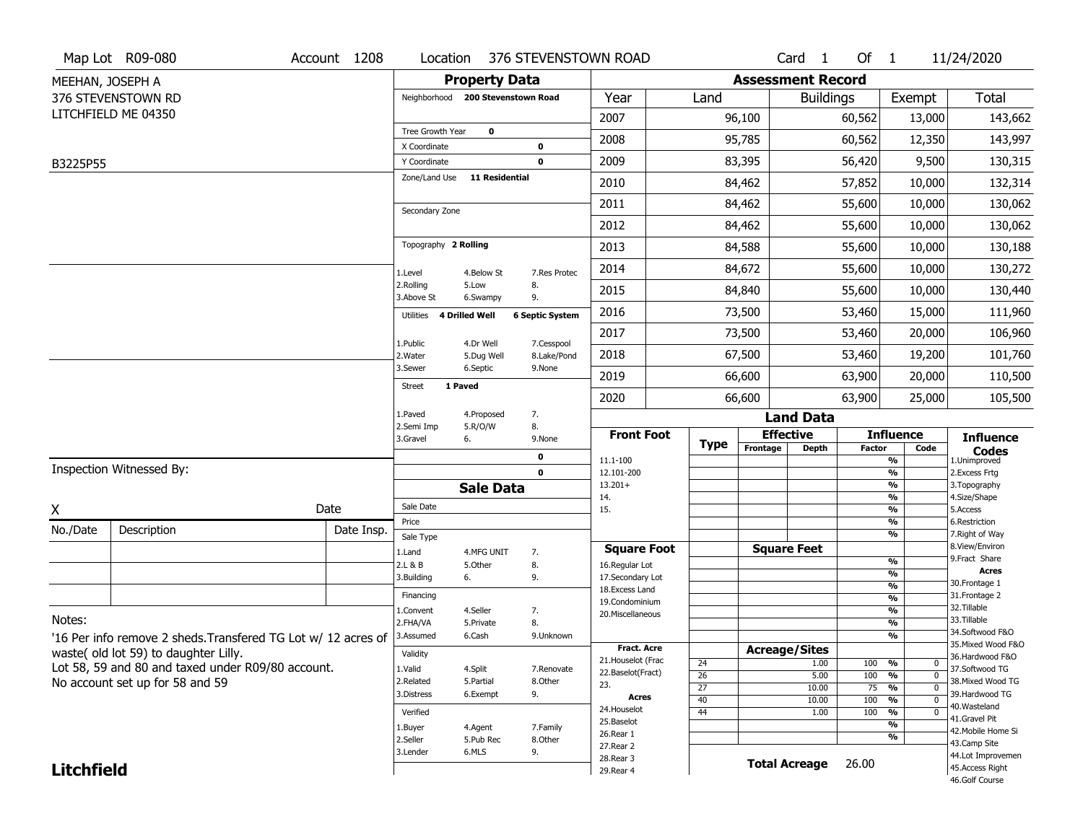|                   | Map Lot R09-080                                               | Account 1208 | Location                     |                                   | 376 STEVENSTOWN ROAD         |                                  |                       |                          | Card <sub>1</sub>    | Of $1$        |                            | 11/24/2020                                                  |
|-------------------|---------------------------------------------------------------|--------------|------------------------------|-----------------------------------|------------------------------|----------------------------------|-----------------------|--------------------------|----------------------|---------------|----------------------------|-------------------------------------------------------------|
| MEEHAN, JOSEPH A  |                                                               |              |                              | <b>Property Data</b>              |                              |                                  |                       | <b>Assessment Record</b> |                      |               |                            |                                                             |
|                   | 376 STEVENSTOWN RD                                            |              |                              | Neighborhood 200 Stevenstown Road |                              | Year                             | Land                  |                          | <b>Buildings</b>     |               | Exempt                     | <b>Total</b>                                                |
|                   | LITCHFIELD ME 04350                                           |              |                              |                                   |                              | 2007                             |                       | 96,100                   |                      | 60,562        | 13,000                     | 143,662                                                     |
|                   |                                                               |              | Tree Growth Year             | $\mathbf 0$                       |                              | 2008                             |                       | 95,785                   |                      | 60,562        | 12,350                     | 143,997                                                     |
| B3225P55          |                                                               |              | X Coordinate<br>Y Coordinate |                                   | 0<br>$\mathbf 0$             | 2009                             |                       | 83,395                   |                      | 56,420        | 9,500                      | 130,315                                                     |
|                   |                                                               |              | Zone/Land Use                | <b>11 Residential</b>             |                              | 2010                             |                       | 84,462                   |                      | 57,852        | 10,000                     | 132,314                                                     |
|                   |                                                               |              |                              |                                   |                              | 2011                             |                       | 84,462                   |                      | 55,600        | 10,000                     | 130,062                                                     |
|                   |                                                               |              | Secondary Zone               |                                   |                              | 2012                             |                       | 84,462                   |                      | 55,600        | 10,000                     | 130,062                                                     |
|                   |                                                               |              | Topography 2 Rolling         |                                   |                              | 2013                             |                       | 84,588                   |                      | 55,600        | 10,000                     | 130,188                                                     |
|                   |                                                               |              |                              |                                   | 7.Res Protec                 | 2014                             |                       | 84,672                   |                      | 55,600        | 10,000                     | 130,272                                                     |
|                   |                                                               |              | 1.Level<br>2.Rolling         | 4.Below St<br>5.Low               | 8.                           | 2015                             |                       | 84,840                   |                      | 55,600        | 10,000                     | 130,440                                                     |
|                   |                                                               |              | 3.Above St<br>Utilities      | 6.Swampy<br>4 Drilled Well        | 9.<br><b>6 Septic System</b> | 2016                             |                       | 73,500                   |                      | 53,460        | 15,000                     | 111,960                                                     |
|                   |                                                               |              |                              |                                   |                              | 2017                             |                       | 73,500                   |                      | 53,460        | 20,000                     | 106,960                                                     |
|                   |                                                               |              | 1.Public<br>2. Water         | 4.Dr Well<br>5.Dug Well           | 7.Cesspool<br>8.Lake/Pond    | 2018                             |                       | 67,500                   |                      | 53,460        | 19,200                     | 101,760                                                     |
|                   |                                                               |              | 3.Sewer                      | 6.Septic                          | 9.None                       | 2019                             |                       | 66,600                   |                      | 63,900        | 20,000                     | 110,500                                                     |
|                   |                                                               |              | Street                       | 1 Paved                           |                              | 2020                             |                       | 66,600                   |                      | 63,900        | 25,000                     | 105,500                                                     |
|                   |                                                               |              | 1.Paved                      | 4.Proposed                        | 7.                           |                                  |                       |                          | <b>Land Data</b>     |               |                            |                                                             |
|                   |                                                               |              | 2.Semi Imp<br>3.Gravel       | 5.R/O/W<br>6.                     | 8.<br>9.None                 | <b>Front Foot</b>                | <b>Type</b>           | <b>Effective</b>         |                      |               | <b>Influence</b>           | <b>Influence</b>                                            |
|                   |                                                               |              |                              |                                   | $\mathbf 0$                  | $11.1 - 100$                     |                       | Frontage                 | <b>Depth</b>         | <b>Factor</b> | Code<br>$\frac{9}{6}$      | $\mathop{{\textbf{Codes}}}\limits_{\text{1.Uniformproved}}$ |
|                   | Inspection Witnessed By:                                      |              |                              |                                   | $\mathbf 0$                  | 12.101-200                       |                       |                          |                      |               | $\frac{9}{6}$              | 2. Excess Frtg                                              |
|                   |                                                               |              |                              | <b>Sale Data</b>                  |                              | $13.201+$<br>14.                 |                       |                          |                      |               | %<br>%                     | 3. Topography<br>4.Size/Shape                               |
| X                 |                                                               | Date         | Sale Date                    |                                   |                              | 15.                              |                       |                          |                      |               | $\frac{9}{6}$              | 5.Access                                                    |
| No./Date          | Description                                                   | Date Insp.   | Price                        |                                   |                              |                                  |                       |                          |                      |               | %<br>%                     | 6.Restriction<br>7. Right of Way                            |
|                   |                                                               |              | Sale Type<br>1.Land          | 4.MFG UNIT                        | 7.                           | <b>Square Foot</b>               |                       | <b>Square Feet</b>       |                      |               |                            | 8.View/Environ                                              |
|                   |                                                               |              | 2.L & B                      | 5.0ther                           | 8.                           | 16.Regular Lot                   |                       |                          |                      |               | $\frac{9}{6}$              | 9. Fract Share<br><b>Acres</b>                              |
|                   |                                                               |              | 3.Building                   | 6.                                | 9.                           | 17.Secondary Lot                 |                       |                          |                      |               | %<br>%                     | 30. Frontage 1                                              |
|                   |                                                               |              | Financing                    |                                   |                              | 18.Excess Land<br>19.Condominium |                       |                          |                      |               | %                          | 31. Frontage 2                                              |
|                   |                                                               |              | 1.Convent                    | 4.Seller                          | 7.                           | 20.Miscellaneous                 |                       |                          |                      |               | %                          | 32.Tillable                                                 |
| Notes:            |                                                               |              | 2.FHA/VA                     | 5.Private                         | 8.                           |                                  |                       |                          |                      |               | %                          | 33.Tillable<br>34.Softwood F&O                              |
|                   | '16 Per info remove 2 sheds. Transfered TG Lot w/ 12 acres of |              | 3.Assumed                    | 6.Cash                            | 9.Unknown                    | <b>Fract. Acre</b>               |                       |                          |                      |               | %                          | 35. Mixed Wood F&O                                          |
|                   | waste(old lot 59) to daughter Lilly.                          |              | Validity                     |                                   |                              | 21. Houselot (Frac               |                       | <b>Acreage/Sites</b>     |                      |               |                            | 36.Hardwood F&O                                             |
|                   | Lot 58, 59 and 80 and taxed under R09/80 account.             |              | 1.Valid                      | 4.Split                           | 7.Renovate                   | 22.Baselot(Fract)                | 24<br>$\overline{26}$ |                          | 1.00<br>5.00         | 100<br>100    | %<br>0<br>%<br>$\mathbf 0$ | 37.Softwood TG                                              |
|                   | No account set up for 58 and 59                               |              | 2.Related                    | 5.Partial                         | 8.Other                      | 23.                              | 27                    |                          | 10.00                | 75            | %<br>$\Omega$              | 38. Mixed Wood TG                                           |
|                   |                                                               |              | 3.Distress                   | 6.Exempt                          | 9.                           | <b>Acres</b>                     | 40                    |                          | 10.00                | 100           | %<br>$\mathbf 0$           | 39.Hardwood TG                                              |
|                   |                                                               |              |                              |                                   |                              |                                  |                       |                          |                      |               |                            | 40.Wasteland                                                |
|                   |                                                               |              | Verified                     |                                   |                              | 24. Houselot                     | 44                    |                          | 1.00                 | 100           | %<br>0                     |                                                             |
|                   |                                                               |              | 1.Buyer                      | 4.Agent                           | 7.Family                     | 25.Baselot                       |                       |                          |                      |               | %                          | 41.Gravel Pit                                               |
|                   |                                                               |              | 2.Seller                     | 5.Pub Rec                         | 8.Other                      | 26.Rear 1                        |                       |                          |                      |               | %                          | 42. Mobile Home Si<br>43.Camp Site                          |
| <b>Litchfield</b> |                                                               |              | 3.Lender                     | 6.MLS                             | 9.                           | 27. Rear 2<br>28. Rear 3         |                       |                          | <b>Total Acreage</b> | 26.00         |                            | 44.Lot Improvemen<br>45.Access Right                        |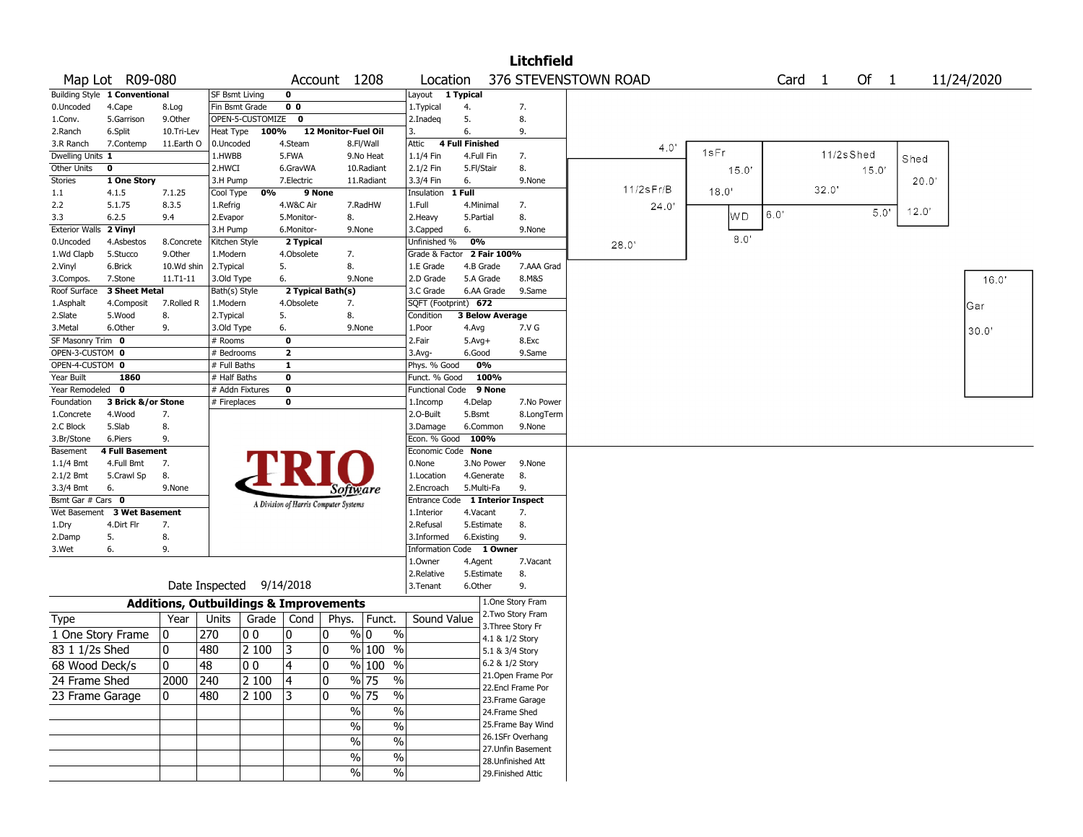| 376 STEVENSTOWN ROAD<br>Of $1$<br>Map Lot R09-080<br>Account 1208<br>Card <sub>1</sub><br>11/24/2020<br>Location<br>Building Style 1 Conventional<br>$\mathbf 0$<br>Layout 1 Typical<br><b>SF Bsmt Living</b><br>0 <sub>0</sub><br>0.Uncoded<br>4.Cape<br>Fin Bsmt Grade<br>1.Typical<br>4.<br>7.<br>8.Log<br>OPEN-5-CUSTOMIZE<br>$\mathbf 0$<br>5.<br>8.<br>5.Garrison<br>9.0ther<br>2.Inadeg<br>1.Conv.<br>12 Monitor-Fuel Oil<br>6.<br>6.Split<br>10.Tri-Lev<br>Heat Type<br>100%<br>3.<br>9.<br>2.Ranch<br><b>4 Full Finished</b><br>7.Contemp<br>11.Earth O<br>0.Uncoded<br>4.Steam<br>8.Fl/Wall<br>Attic<br>3.R Ranch<br>4.0'<br>1sFr<br>11/2sShed<br>Dwelling Units 1<br>1.HWBB<br>5.FWA<br>9.No Heat<br>1.1/4 Fin<br>4.Full Fin<br>7.<br>Shed<br>Other Units<br>2.HWCI<br>2.1/2 Fin<br>8.<br>0<br>6.GravWA<br>10.Radiant<br>5.Fl/Stair<br>15.0'<br>15.0'<br><b>Stories</b><br>20.0'<br>1 One Story<br>3.H Pump<br>7.Electric<br>11.Radiant<br>3.3/4 Fin<br>6.<br>9.None<br>$11/2$ s $Fr/B$<br>32.0'<br>18.0'<br>0%<br>9 None<br>1 Full<br>1.1<br>4.1.5<br>7.1.25<br>Cool Type<br>Insulation<br>4.W&C Air<br>2.2<br>5.1.75<br>8.3.5<br>7.RadHW<br>1.Full<br>4.Minimal<br>7.<br>1.Refrig<br>24.0<br>12.0'<br>5.0'<br>$6.0^\circ$<br>WD<br>8.<br>3.3<br>6.2.5<br>9.4<br>2.Evapor<br>5.Monitor-<br>8.<br>2. Heavy<br>5.Partial<br><b>Exterior Walls</b><br>2 Vinyl<br>3.H Pump<br>6.Monitor-<br>9.None<br>3.Capped<br>6.<br>9.None<br>8.0<br>2 Typical<br>0%<br>0.Uncoded<br>4.Asbestos<br>8.Concrete<br>Kitchen Style<br>Unfinished %<br>28.0'<br>Grade & Factor 2 Fair 100%<br>1.Wd Clapb<br>5.Stucco<br>9.0ther<br>1.Modern<br>4.Obsolete<br>7.<br>8.<br>2.Vinyl<br>6.Brick<br>10.Wd shin<br>2.Typical<br>5.<br>1.E Grade<br>4.B Grade<br>7.AAA Grad<br>8.M&S<br>16.0'<br>7.Stone<br>11.T1-11<br>3.Old Type<br>6.<br>9.None<br>2.D Grade<br>5.A Grade<br>3.Compos.<br>3 Sheet Metal<br>2 Typical Bath(s)<br>3.C Grade<br>Roof Surface<br>Bath(s) Style<br>6.AA Grade<br>9.Same<br>SQFT (Footprint) 672<br>7.Rolled R<br>1.Modern<br>4.Obsolete<br>7.<br>1.Asphalt<br>4.Composit<br>Gar<br><b>3 Below Average</b><br>2.Slate<br>5.Wood<br>8.<br>2.Typical<br>5.<br>8.<br>Condition<br>7.V G<br>3.Metal<br>6.Other<br>9.<br>3.Old Type<br>6.<br>9.None<br>1.Poor<br>4.Avg<br>30.0'<br>SF Masonry Trim 0<br>$\bf{0}$<br>2.Fair<br>8.Exc<br># Rooms<br>$5.Avg+$<br>$\overline{\mathbf{2}}$<br>OPEN-3-CUSTOM 0<br># Bedrooms<br>$3.$ Avg-<br>6.Good<br>9.Same<br>OPEN-4-CUSTOM 0<br># Full Baths<br>1<br>0%<br>Phys. % Good<br>Year Built<br>1860<br># Half Baths<br>$\bf{0}$<br>100%<br>Funct. % Good<br>Year Remodeled<br># Addn Fixtures<br>$\bf{0}$<br>9 None<br>$\mathbf 0$<br><b>Functional Code</b><br>$\bf{0}$<br>Foundation<br>3 Brick &/or Stone<br># Fireplaces<br>4.Delap<br>7.No Power<br>1.Incomp<br>2.0-Built<br>4.Wood<br>7.<br>5.Bsmt<br>8.LongTerm<br>1.Concrete<br>8.<br>2.C Block<br>5.Slab<br>3.Damage<br>6.Common<br>9.None<br>Econ. % Good<br>100%<br>3.Br/Stone<br>6.Piers<br>9.<br>Basement<br><b>4 Full Basement</b><br>Economic Code None<br>0.None<br>1.1/4 Bmt<br>4.Full Bmt<br>7.<br>3.No Power<br>9.None<br>2.1/2 Bmt<br>5.Crawl Sp<br>8.<br>1.Location<br>4.Generate<br>8.<br>3.3/4 Bmt<br>5.Multi-Fa<br>6.<br>9.None<br>2.Encroach<br>9.<br>Software<br>Bsmt Gar # Cars 0<br>Entrance Code 1 Interior Inspect<br>A Division of Harris Computer Systems<br><b>3 Wet Basement</b><br>Wet Basement<br>1.Interior<br>4.Vacant<br>7.<br>4.Dirt Flr<br>7.<br>2.Refusal<br>5.Estimate<br>8.<br>1.Dry<br>5.<br>8.<br>3.Informed<br>6.Existing<br>9.<br>2.Damp<br>3.Wet<br>6.<br>9.<br>Information Code 1 Owner<br>1.0wner<br>4.Agent<br>7.Vacant<br>2.Relative<br>5.Estimate<br>8.<br>Date Inspected 9/14/2018<br>6.Other<br>3.Tenant<br>9.<br>1.One Story Fram<br><b>Additions, Outbuildings &amp; Improvements</b><br>2. Two Story Fram<br>Year<br>Units<br>Grade   Cond<br>Phys.<br>Funct.<br>Sound Value<br>Type<br>3. Three Story Fr<br>270<br>0<br>0<br>% 0<br>$\%$<br>1 One Story Frame<br>0<br> O O<br>4.1 & 1/2 Story<br>0<br>3<br>$\overline{83}$ 1 1/2s Shed<br>480<br>2 100<br>0<br>% 100 %<br>5.1 & 3/4 Story<br>$\overline{0}$<br>4<br>0<br>$\sqrt{96}$ 100<br>6.2 & 1/2 Story<br>48<br>00<br>$\%$<br>68 Wood Deck/s<br>21.Open Frame Por<br> 240<br>2 100<br> 4<br>0<br>% 75<br>$\%$<br>24 Frame Shed<br>2000<br>22.Encl Frame Por<br>$\frac{9}{6}$ 75<br>480<br>$\mathbf{0}$<br>$\%$<br>23 Frame Garage<br>2 100<br>13<br>0<br>23. Frame Garage<br>$\%$<br>$\%$<br>24.Frame Shed<br>25.Frame Bay Wind<br>$\frac{9}{6}$<br>$\%$<br>26.1SFr Overhang<br>$\%$<br>$\%$<br>27.Unfin Basement<br>%<br>$\%$<br>28.Unfinished Att<br>$\%$<br>$\%$<br>29. Finished Attic |  |  |  |  |  | <b>Litchfield</b> |  |  |  |  |
|------------------------------------------------------------------------------------------------------------------------------------------------------------------------------------------------------------------------------------------------------------------------------------------------------------------------------------------------------------------------------------------------------------------------------------------------------------------------------------------------------------------------------------------------------------------------------------------------------------------------------------------------------------------------------------------------------------------------------------------------------------------------------------------------------------------------------------------------------------------------------------------------------------------------------------------------------------------------------------------------------------------------------------------------------------------------------------------------------------------------------------------------------------------------------------------------------------------------------------------------------------------------------------------------------------------------------------------------------------------------------------------------------------------------------------------------------------------------------------------------------------------------------------------------------------------------------------------------------------------------------------------------------------------------------------------------------------------------------------------------------------------------------------------------------------------------------------------------------------------------------------------------------------------------------------------------------------------------------------------------------------------------------------------------------------------------------------------------------------------------------------------------------------------------------------------------------------------------------------------------------------------------------------------------------------------------------------------------------------------------------------------------------------------------------------------------------------------------------------------------------------------------------------------------------------------------------------------------------------------------------------------------------------------------------------------------------------------------------------------------------------------------------------------------------------------------------------------------------------------------------------------------------------------------------------------------------------------------------------------------------------------------------------------------------------------------------------------------------------------------------------------------------------------------------------------------------------------------------------------------------------------------------------------------------------------------------------------------------------------------------------------------------------------------------------------------------------------------------------------------------------------------------------------------------------------------------------------------------------------------------------------------------------------------------------------------------------------------------------------------------------------------------------------------------------------------------------------------------------------------------------------------------------------------------------------------------------------------------------------------------------------------------------------------------------------------------------------------------------------------------------------------------------------------------------------------------------------------------------------------------------------------------------------------------------------------------------------------------------------------------------------------------------------------------------------------------------------------------------------------------------------------------------------------------------------------------------------------------------------------------------------------------------------------------------------------------------|--|--|--|--|--|-------------------|--|--|--|--|
|                                                                                                                                                                                                                                                                                                                                                                                                                                                                                                                                                                                                                                                                                                                                                                                                                                                                                                                                                                                                                                                                                                                                                                                                                                                                                                                                                                                                                                                                                                                                                                                                                                                                                                                                                                                                                                                                                                                                                                                                                                                                                                                                                                                                                                                                                                                                                                                                                                                                                                                                                                                                                                                                                                                                                                                                                                                                                                                                                                                                                                                                                                                                                                                                                                                                                                                                                                                                                                                                                                                                                                                                                                                                                                                                                                                                                                                                                                                                                                                                                                                                                                                                                                                                                                                                                                                                                                                                                                                                                                                                                                                                                                                                                                            |  |  |  |  |  |                   |  |  |  |  |
|                                                                                                                                                                                                                                                                                                                                                                                                                                                                                                                                                                                                                                                                                                                                                                                                                                                                                                                                                                                                                                                                                                                                                                                                                                                                                                                                                                                                                                                                                                                                                                                                                                                                                                                                                                                                                                                                                                                                                                                                                                                                                                                                                                                                                                                                                                                                                                                                                                                                                                                                                                                                                                                                                                                                                                                                                                                                                                                                                                                                                                                                                                                                                                                                                                                                                                                                                                                                                                                                                                                                                                                                                                                                                                                                                                                                                                                                                                                                                                                                                                                                                                                                                                                                                                                                                                                                                                                                                                                                                                                                                                                                                                                                                                            |  |  |  |  |  |                   |  |  |  |  |
|                                                                                                                                                                                                                                                                                                                                                                                                                                                                                                                                                                                                                                                                                                                                                                                                                                                                                                                                                                                                                                                                                                                                                                                                                                                                                                                                                                                                                                                                                                                                                                                                                                                                                                                                                                                                                                                                                                                                                                                                                                                                                                                                                                                                                                                                                                                                                                                                                                                                                                                                                                                                                                                                                                                                                                                                                                                                                                                                                                                                                                                                                                                                                                                                                                                                                                                                                                                                                                                                                                                                                                                                                                                                                                                                                                                                                                                                                                                                                                                                                                                                                                                                                                                                                                                                                                                                                                                                                                                                                                                                                                                                                                                                                                            |  |  |  |  |  |                   |  |  |  |  |
|                                                                                                                                                                                                                                                                                                                                                                                                                                                                                                                                                                                                                                                                                                                                                                                                                                                                                                                                                                                                                                                                                                                                                                                                                                                                                                                                                                                                                                                                                                                                                                                                                                                                                                                                                                                                                                                                                                                                                                                                                                                                                                                                                                                                                                                                                                                                                                                                                                                                                                                                                                                                                                                                                                                                                                                                                                                                                                                                                                                                                                                                                                                                                                                                                                                                                                                                                                                                                                                                                                                                                                                                                                                                                                                                                                                                                                                                                                                                                                                                                                                                                                                                                                                                                                                                                                                                                                                                                                                                                                                                                                                                                                                                                                            |  |  |  |  |  |                   |  |  |  |  |
|                                                                                                                                                                                                                                                                                                                                                                                                                                                                                                                                                                                                                                                                                                                                                                                                                                                                                                                                                                                                                                                                                                                                                                                                                                                                                                                                                                                                                                                                                                                                                                                                                                                                                                                                                                                                                                                                                                                                                                                                                                                                                                                                                                                                                                                                                                                                                                                                                                                                                                                                                                                                                                                                                                                                                                                                                                                                                                                                                                                                                                                                                                                                                                                                                                                                                                                                                                                                                                                                                                                                                                                                                                                                                                                                                                                                                                                                                                                                                                                                                                                                                                                                                                                                                                                                                                                                                                                                                                                                                                                                                                                                                                                                                                            |  |  |  |  |  |                   |  |  |  |  |
|                                                                                                                                                                                                                                                                                                                                                                                                                                                                                                                                                                                                                                                                                                                                                                                                                                                                                                                                                                                                                                                                                                                                                                                                                                                                                                                                                                                                                                                                                                                                                                                                                                                                                                                                                                                                                                                                                                                                                                                                                                                                                                                                                                                                                                                                                                                                                                                                                                                                                                                                                                                                                                                                                                                                                                                                                                                                                                                                                                                                                                                                                                                                                                                                                                                                                                                                                                                                                                                                                                                                                                                                                                                                                                                                                                                                                                                                                                                                                                                                                                                                                                                                                                                                                                                                                                                                                                                                                                                                                                                                                                                                                                                                                                            |  |  |  |  |  |                   |  |  |  |  |
|                                                                                                                                                                                                                                                                                                                                                                                                                                                                                                                                                                                                                                                                                                                                                                                                                                                                                                                                                                                                                                                                                                                                                                                                                                                                                                                                                                                                                                                                                                                                                                                                                                                                                                                                                                                                                                                                                                                                                                                                                                                                                                                                                                                                                                                                                                                                                                                                                                                                                                                                                                                                                                                                                                                                                                                                                                                                                                                                                                                                                                                                                                                                                                                                                                                                                                                                                                                                                                                                                                                                                                                                                                                                                                                                                                                                                                                                                                                                                                                                                                                                                                                                                                                                                                                                                                                                                                                                                                                                                                                                                                                                                                                                                                            |  |  |  |  |  |                   |  |  |  |  |
|                                                                                                                                                                                                                                                                                                                                                                                                                                                                                                                                                                                                                                                                                                                                                                                                                                                                                                                                                                                                                                                                                                                                                                                                                                                                                                                                                                                                                                                                                                                                                                                                                                                                                                                                                                                                                                                                                                                                                                                                                                                                                                                                                                                                                                                                                                                                                                                                                                                                                                                                                                                                                                                                                                                                                                                                                                                                                                                                                                                                                                                                                                                                                                                                                                                                                                                                                                                                                                                                                                                                                                                                                                                                                                                                                                                                                                                                                                                                                                                                                                                                                                                                                                                                                                                                                                                                                                                                                                                                                                                                                                                                                                                                                                            |  |  |  |  |  |                   |  |  |  |  |
|                                                                                                                                                                                                                                                                                                                                                                                                                                                                                                                                                                                                                                                                                                                                                                                                                                                                                                                                                                                                                                                                                                                                                                                                                                                                                                                                                                                                                                                                                                                                                                                                                                                                                                                                                                                                                                                                                                                                                                                                                                                                                                                                                                                                                                                                                                                                                                                                                                                                                                                                                                                                                                                                                                                                                                                                                                                                                                                                                                                                                                                                                                                                                                                                                                                                                                                                                                                                                                                                                                                                                                                                                                                                                                                                                                                                                                                                                                                                                                                                                                                                                                                                                                                                                                                                                                                                                                                                                                                                                                                                                                                                                                                                                                            |  |  |  |  |  |                   |  |  |  |  |
|                                                                                                                                                                                                                                                                                                                                                                                                                                                                                                                                                                                                                                                                                                                                                                                                                                                                                                                                                                                                                                                                                                                                                                                                                                                                                                                                                                                                                                                                                                                                                                                                                                                                                                                                                                                                                                                                                                                                                                                                                                                                                                                                                                                                                                                                                                                                                                                                                                                                                                                                                                                                                                                                                                                                                                                                                                                                                                                                                                                                                                                                                                                                                                                                                                                                                                                                                                                                                                                                                                                                                                                                                                                                                                                                                                                                                                                                                                                                                                                                                                                                                                                                                                                                                                                                                                                                                                                                                                                                                                                                                                                                                                                                                                            |  |  |  |  |  |                   |  |  |  |  |
|                                                                                                                                                                                                                                                                                                                                                                                                                                                                                                                                                                                                                                                                                                                                                                                                                                                                                                                                                                                                                                                                                                                                                                                                                                                                                                                                                                                                                                                                                                                                                                                                                                                                                                                                                                                                                                                                                                                                                                                                                                                                                                                                                                                                                                                                                                                                                                                                                                                                                                                                                                                                                                                                                                                                                                                                                                                                                                                                                                                                                                                                                                                                                                                                                                                                                                                                                                                                                                                                                                                                                                                                                                                                                                                                                                                                                                                                                                                                                                                                                                                                                                                                                                                                                                                                                                                                                                                                                                                                                                                                                                                                                                                                                                            |  |  |  |  |  |                   |  |  |  |  |
|                                                                                                                                                                                                                                                                                                                                                                                                                                                                                                                                                                                                                                                                                                                                                                                                                                                                                                                                                                                                                                                                                                                                                                                                                                                                                                                                                                                                                                                                                                                                                                                                                                                                                                                                                                                                                                                                                                                                                                                                                                                                                                                                                                                                                                                                                                                                                                                                                                                                                                                                                                                                                                                                                                                                                                                                                                                                                                                                                                                                                                                                                                                                                                                                                                                                                                                                                                                                                                                                                                                                                                                                                                                                                                                                                                                                                                                                                                                                                                                                                                                                                                                                                                                                                                                                                                                                                                                                                                                                                                                                                                                                                                                                                                            |  |  |  |  |  |                   |  |  |  |  |
|                                                                                                                                                                                                                                                                                                                                                                                                                                                                                                                                                                                                                                                                                                                                                                                                                                                                                                                                                                                                                                                                                                                                                                                                                                                                                                                                                                                                                                                                                                                                                                                                                                                                                                                                                                                                                                                                                                                                                                                                                                                                                                                                                                                                                                                                                                                                                                                                                                                                                                                                                                                                                                                                                                                                                                                                                                                                                                                                                                                                                                                                                                                                                                                                                                                                                                                                                                                                                                                                                                                                                                                                                                                                                                                                                                                                                                                                                                                                                                                                                                                                                                                                                                                                                                                                                                                                                                                                                                                                                                                                                                                                                                                                                                            |  |  |  |  |  |                   |  |  |  |  |
|                                                                                                                                                                                                                                                                                                                                                                                                                                                                                                                                                                                                                                                                                                                                                                                                                                                                                                                                                                                                                                                                                                                                                                                                                                                                                                                                                                                                                                                                                                                                                                                                                                                                                                                                                                                                                                                                                                                                                                                                                                                                                                                                                                                                                                                                                                                                                                                                                                                                                                                                                                                                                                                                                                                                                                                                                                                                                                                                                                                                                                                                                                                                                                                                                                                                                                                                                                                                                                                                                                                                                                                                                                                                                                                                                                                                                                                                                                                                                                                                                                                                                                                                                                                                                                                                                                                                                                                                                                                                                                                                                                                                                                                                                                            |  |  |  |  |  |                   |  |  |  |  |
|                                                                                                                                                                                                                                                                                                                                                                                                                                                                                                                                                                                                                                                                                                                                                                                                                                                                                                                                                                                                                                                                                                                                                                                                                                                                                                                                                                                                                                                                                                                                                                                                                                                                                                                                                                                                                                                                                                                                                                                                                                                                                                                                                                                                                                                                                                                                                                                                                                                                                                                                                                                                                                                                                                                                                                                                                                                                                                                                                                                                                                                                                                                                                                                                                                                                                                                                                                                                                                                                                                                                                                                                                                                                                                                                                                                                                                                                                                                                                                                                                                                                                                                                                                                                                                                                                                                                                                                                                                                                                                                                                                                                                                                                                                            |  |  |  |  |  |                   |  |  |  |  |
|                                                                                                                                                                                                                                                                                                                                                                                                                                                                                                                                                                                                                                                                                                                                                                                                                                                                                                                                                                                                                                                                                                                                                                                                                                                                                                                                                                                                                                                                                                                                                                                                                                                                                                                                                                                                                                                                                                                                                                                                                                                                                                                                                                                                                                                                                                                                                                                                                                                                                                                                                                                                                                                                                                                                                                                                                                                                                                                                                                                                                                                                                                                                                                                                                                                                                                                                                                                                                                                                                                                                                                                                                                                                                                                                                                                                                                                                                                                                                                                                                                                                                                                                                                                                                                                                                                                                                                                                                                                                                                                                                                                                                                                                                                            |  |  |  |  |  |                   |  |  |  |  |
|                                                                                                                                                                                                                                                                                                                                                                                                                                                                                                                                                                                                                                                                                                                                                                                                                                                                                                                                                                                                                                                                                                                                                                                                                                                                                                                                                                                                                                                                                                                                                                                                                                                                                                                                                                                                                                                                                                                                                                                                                                                                                                                                                                                                                                                                                                                                                                                                                                                                                                                                                                                                                                                                                                                                                                                                                                                                                                                                                                                                                                                                                                                                                                                                                                                                                                                                                                                                                                                                                                                                                                                                                                                                                                                                                                                                                                                                                                                                                                                                                                                                                                                                                                                                                                                                                                                                                                                                                                                                                                                                                                                                                                                                                                            |  |  |  |  |  |                   |  |  |  |  |
|                                                                                                                                                                                                                                                                                                                                                                                                                                                                                                                                                                                                                                                                                                                                                                                                                                                                                                                                                                                                                                                                                                                                                                                                                                                                                                                                                                                                                                                                                                                                                                                                                                                                                                                                                                                                                                                                                                                                                                                                                                                                                                                                                                                                                                                                                                                                                                                                                                                                                                                                                                                                                                                                                                                                                                                                                                                                                                                                                                                                                                                                                                                                                                                                                                                                                                                                                                                                                                                                                                                                                                                                                                                                                                                                                                                                                                                                                                                                                                                                                                                                                                                                                                                                                                                                                                                                                                                                                                                                                                                                                                                                                                                                                                            |  |  |  |  |  |                   |  |  |  |  |
|                                                                                                                                                                                                                                                                                                                                                                                                                                                                                                                                                                                                                                                                                                                                                                                                                                                                                                                                                                                                                                                                                                                                                                                                                                                                                                                                                                                                                                                                                                                                                                                                                                                                                                                                                                                                                                                                                                                                                                                                                                                                                                                                                                                                                                                                                                                                                                                                                                                                                                                                                                                                                                                                                                                                                                                                                                                                                                                                                                                                                                                                                                                                                                                                                                                                                                                                                                                                                                                                                                                                                                                                                                                                                                                                                                                                                                                                                                                                                                                                                                                                                                                                                                                                                                                                                                                                                                                                                                                                                                                                                                                                                                                                                                            |  |  |  |  |  |                   |  |  |  |  |
|                                                                                                                                                                                                                                                                                                                                                                                                                                                                                                                                                                                                                                                                                                                                                                                                                                                                                                                                                                                                                                                                                                                                                                                                                                                                                                                                                                                                                                                                                                                                                                                                                                                                                                                                                                                                                                                                                                                                                                                                                                                                                                                                                                                                                                                                                                                                                                                                                                                                                                                                                                                                                                                                                                                                                                                                                                                                                                                                                                                                                                                                                                                                                                                                                                                                                                                                                                                                                                                                                                                                                                                                                                                                                                                                                                                                                                                                                                                                                                                                                                                                                                                                                                                                                                                                                                                                                                                                                                                                                                                                                                                                                                                                                                            |  |  |  |  |  |                   |  |  |  |  |
|                                                                                                                                                                                                                                                                                                                                                                                                                                                                                                                                                                                                                                                                                                                                                                                                                                                                                                                                                                                                                                                                                                                                                                                                                                                                                                                                                                                                                                                                                                                                                                                                                                                                                                                                                                                                                                                                                                                                                                                                                                                                                                                                                                                                                                                                                                                                                                                                                                                                                                                                                                                                                                                                                                                                                                                                                                                                                                                                                                                                                                                                                                                                                                                                                                                                                                                                                                                                                                                                                                                                                                                                                                                                                                                                                                                                                                                                                                                                                                                                                                                                                                                                                                                                                                                                                                                                                                                                                                                                                                                                                                                                                                                                                                            |  |  |  |  |  |                   |  |  |  |  |
|                                                                                                                                                                                                                                                                                                                                                                                                                                                                                                                                                                                                                                                                                                                                                                                                                                                                                                                                                                                                                                                                                                                                                                                                                                                                                                                                                                                                                                                                                                                                                                                                                                                                                                                                                                                                                                                                                                                                                                                                                                                                                                                                                                                                                                                                                                                                                                                                                                                                                                                                                                                                                                                                                                                                                                                                                                                                                                                                                                                                                                                                                                                                                                                                                                                                                                                                                                                                                                                                                                                                                                                                                                                                                                                                                                                                                                                                                                                                                                                                                                                                                                                                                                                                                                                                                                                                                                                                                                                                                                                                                                                                                                                                                                            |  |  |  |  |  |                   |  |  |  |  |
|                                                                                                                                                                                                                                                                                                                                                                                                                                                                                                                                                                                                                                                                                                                                                                                                                                                                                                                                                                                                                                                                                                                                                                                                                                                                                                                                                                                                                                                                                                                                                                                                                                                                                                                                                                                                                                                                                                                                                                                                                                                                                                                                                                                                                                                                                                                                                                                                                                                                                                                                                                                                                                                                                                                                                                                                                                                                                                                                                                                                                                                                                                                                                                                                                                                                                                                                                                                                                                                                                                                                                                                                                                                                                                                                                                                                                                                                                                                                                                                                                                                                                                                                                                                                                                                                                                                                                                                                                                                                                                                                                                                                                                                                                                            |  |  |  |  |  |                   |  |  |  |  |
|                                                                                                                                                                                                                                                                                                                                                                                                                                                                                                                                                                                                                                                                                                                                                                                                                                                                                                                                                                                                                                                                                                                                                                                                                                                                                                                                                                                                                                                                                                                                                                                                                                                                                                                                                                                                                                                                                                                                                                                                                                                                                                                                                                                                                                                                                                                                                                                                                                                                                                                                                                                                                                                                                                                                                                                                                                                                                                                                                                                                                                                                                                                                                                                                                                                                                                                                                                                                                                                                                                                                                                                                                                                                                                                                                                                                                                                                                                                                                                                                                                                                                                                                                                                                                                                                                                                                                                                                                                                                                                                                                                                                                                                                                                            |  |  |  |  |  |                   |  |  |  |  |
|                                                                                                                                                                                                                                                                                                                                                                                                                                                                                                                                                                                                                                                                                                                                                                                                                                                                                                                                                                                                                                                                                                                                                                                                                                                                                                                                                                                                                                                                                                                                                                                                                                                                                                                                                                                                                                                                                                                                                                                                                                                                                                                                                                                                                                                                                                                                                                                                                                                                                                                                                                                                                                                                                                                                                                                                                                                                                                                                                                                                                                                                                                                                                                                                                                                                                                                                                                                                                                                                                                                                                                                                                                                                                                                                                                                                                                                                                                                                                                                                                                                                                                                                                                                                                                                                                                                                                                                                                                                                                                                                                                                                                                                                                                            |  |  |  |  |  |                   |  |  |  |  |
|                                                                                                                                                                                                                                                                                                                                                                                                                                                                                                                                                                                                                                                                                                                                                                                                                                                                                                                                                                                                                                                                                                                                                                                                                                                                                                                                                                                                                                                                                                                                                                                                                                                                                                                                                                                                                                                                                                                                                                                                                                                                                                                                                                                                                                                                                                                                                                                                                                                                                                                                                                                                                                                                                                                                                                                                                                                                                                                                                                                                                                                                                                                                                                                                                                                                                                                                                                                                                                                                                                                                                                                                                                                                                                                                                                                                                                                                                                                                                                                                                                                                                                                                                                                                                                                                                                                                                                                                                                                                                                                                                                                                                                                                                                            |  |  |  |  |  |                   |  |  |  |  |
|                                                                                                                                                                                                                                                                                                                                                                                                                                                                                                                                                                                                                                                                                                                                                                                                                                                                                                                                                                                                                                                                                                                                                                                                                                                                                                                                                                                                                                                                                                                                                                                                                                                                                                                                                                                                                                                                                                                                                                                                                                                                                                                                                                                                                                                                                                                                                                                                                                                                                                                                                                                                                                                                                                                                                                                                                                                                                                                                                                                                                                                                                                                                                                                                                                                                                                                                                                                                                                                                                                                                                                                                                                                                                                                                                                                                                                                                                                                                                                                                                                                                                                                                                                                                                                                                                                                                                                                                                                                                                                                                                                                                                                                                                                            |  |  |  |  |  |                   |  |  |  |  |
|                                                                                                                                                                                                                                                                                                                                                                                                                                                                                                                                                                                                                                                                                                                                                                                                                                                                                                                                                                                                                                                                                                                                                                                                                                                                                                                                                                                                                                                                                                                                                                                                                                                                                                                                                                                                                                                                                                                                                                                                                                                                                                                                                                                                                                                                                                                                                                                                                                                                                                                                                                                                                                                                                                                                                                                                                                                                                                                                                                                                                                                                                                                                                                                                                                                                                                                                                                                                                                                                                                                                                                                                                                                                                                                                                                                                                                                                                                                                                                                                                                                                                                                                                                                                                                                                                                                                                                                                                                                                                                                                                                                                                                                                                                            |  |  |  |  |  |                   |  |  |  |  |
|                                                                                                                                                                                                                                                                                                                                                                                                                                                                                                                                                                                                                                                                                                                                                                                                                                                                                                                                                                                                                                                                                                                                                                                                                                                                                                                                                                                                                                                                                                                                                                                                                                                                                                                                                                                                                                                                                                                                                                                                                                                                                                                                                                                                                                                                                                                                                                                                                                                                                                                                                                                                                                                                                                                                                                                                                                                                                                                                                                                                                                                                                                                                                                                                                                                                                                                                                                                                                                                                                                                                                                                                                                                                                                                                                                                                                                                                                                                                                                                                                                                                                                                                                                                                                                                                                                                                                                                                                                                                                                                                                                                                                                                                                                            |  |  |  |  |  |                   |  |  |  |  |
|                                                                                                                                                                                                                                                                                                                                                                                                                                                                                                                                                                                                                                                                                                                                                                                                                                                                                                                                                                                                                                                                                                                                                                                                                                                                                                                                                                                                                                                                                                                                                                                                                                                                                                                                                                                                                                                                                                                                                                                                                                                                                                                                                                                                                                                                                                                                                                                                                                                                                                                                                                                                                                                                                                                                                                                                                                                                                                                                                                                                                                                                                                                                                                                                                                                                                                                                                                                                                                                                                                                                                                                                                                                                                                                                                                                                                                                                                                                                                                                                                                                                                                                                                                                                                                                                                                                                                                                                                                                                                                                                                                                                                                                                                                            |  |  |  |  |  |                   |  |  |  |  |
|                                                                                                                                                                                                                                                                                                                                                                                                                                                                                                                                                                                                                                                                                                                                                                                                                                                                                                                                                                                                                                                                                                                                                                                                                                                                                                                                                                                                                                                                                                                                                                                                                                                                                                                                                                                                                                                                                                                                                                                                                                                                                                                                                                                                                                                                                                                                                                                                                                                                                                                                                                                                                                                                                                                                                                                                                                                                                                                                                                                                                                                                                                                                                                                                                                                                                                                                                                                                                                                                                                                                                                                                                                                                                                                                                                                                                                                                                                                                                                                                                                                                                                                                                                                                                                                                                                                                                                                                                                                                                                                                                                                                                                                                                                            |  |  |  |  |  |                   |  |  |  |  |
|                                                                                                                                                                                                                                                                                                                                                                                                                                                                                                                                                                                                                                                                                                                                                                                                                                                                                                                                                                                                                                                                                                                                                                                                                                                                                                                                                                                                                                                                                                                                                                                                                                                                                                                                                                                                                                                                                                                                                                                                                                                                                                                                                                                                                                                                                                                                                                                                                                                                                                                                                                                                                                                                                                                                                                                                                                                                                                                                                                                                                                                                                                                                                                                                                                                                                                                                                                                                                                                                                                                                                                                                                                                                                                                                                                                                                                                                                                                                                                                                                                                                                                                                                                                                                                                                                                                                                                                                                                                                                                                                                                                                                                                                                                            |  |  |  |  |  |                   |  |  |  |  |
|                                                                                                                                                                                                                                                                                                                                                                                                                                                                                                                                                                                                                                                                                                                                                                                                                                                                                                                                                                                                                                                                                                                                                                                                                                                                                                                                                                                                                                                                                                                                                                                                                                                                                                                                                                                                                                                                                                                                                                                                                                                                                                                                                                                                                                                                                                                                                                                                                                                                                                                                                                                                                                                                                                                                                                                                                                                                                                                                                                                                                                                                                                                                                                                                                                                                                                                                                                                                                                                                                                                                                                                                                                                                                                                                                                                                                                                                                                                                                                                                                                                                                                                                                                                                                                                                                                                                                                                                                                                                                                                                                                                                                                                                                                            |  |  |  |  |  |                   |  |  |  |  |
|                                                                                                                                                                                                                                                                                                                                                                                                                                                                                                                                                                                                                                                                                                                                                                                                                                                                                                                                                                                                                                                                                                                                                                                                                                                                                                                                                                                                                                                                                                                                                                                                                                                                                                                                                                                                                                                                                                                                                                                                                                                                                                                                                                                                                                                                                                                                                                                                                                                                                                                                                                                                                                                                                                                                                                                                                                                                                                                                                                                                                                                                                                                                                                                                                                                                                                                                                                                                                                                                                                                                                                                                                                                                                                                                                                                                                                                                                                                                                                                                                                                                                                                                                                                                                                                                                                                                                                                                                                                                                                                                                                                                                                                                                                            |  |  |  |  |  |                   |  |  |  |  |
|                                                                                                                                                                                                                                                                                                                                                                                                                                                                                                                                                                                                                                                                                                                                                                                                                                                                                                                                                                                                                                                                                                                                                                                                                                                                                                                                                                                                                                                                                                                                                                                                                                                                                                                                                                                                                                                                                                                                                                                                                                                                                                                                                                                                                                                                                                                                                                                                                                                                                                                                                                                                                                                                                                                                                                                                                                                                                                                                                                                                                                                                                                                                                                                                                                                                                                                                                                                                                                                                                                                                                                                                                                                                                                                                                                                                                                                                                                                                                                                                                                                                                                                                                                                                                                                                                                                                                                                                                                                                                                                                                                                                                                                                                                            |  |  |  |  |  |                   |  |  |  |  |
|                                                                                                                                                                                                                                                                                                                                                                                                                                                                                                                                                                                                                                                                                                                                                                                                                                                                                                                                                                                                                                                                                                                                                                                                                                                                                                                                                                                                                                                                                                                                                                                                                                                                                                                                                                                                                                                                                                                                                                                                                                                                                                                                                                                                                                                                                                                                                                                                                                                                                                                                                                                                                                                                                                                                                                                                                                                                                                                                                                                                                                                                                                                                                                                                                                                                                                                                                                                                                                                                                                                                                                                                                                                                                                                                                                                                                                                                                                                                                                                                                                                                                                                                                                                                                                                                                                                                                                                                                                                                                                                                                                                                                                                                                                            |  |  |  |  |  |                   |  |  |  |  |
|                                                                                                                                                                                                                                                                                                                                                                                                                                                                                                                                                                                                                                                                                                                                                                                                                                                                                                                                                                                                                                                                                                                                                                                                                                                                                                                                                                                                                                                                                                                                                                                                                                                                                                                                                                                                                                                                                                                                                                                                                                                                                                                                                                                                                                                                                                                                                                                                                                                                                                                                                                                                                                                                                                                                                                                                                                                                                                                                                                                                                                                                                                                                                                                                                                                                                                                                                                                                                                                                                                                                                                                                                                                                                                                                                                                                                                                                                                                                                                                                                                                                                                                                                                                                                                                                                                                                                                                                                                                                                                                                                                                                                                                                                                            |  |  |  |  |  |                   |  |  |  |  |
|                                                                                                                                                                                                                                                                                                                                                                                                                                                                                                                                                                                                                                                                                                                                                                                                                                                                                                                                                                                                                                                                                                                                                                                                                                                                                                                                                                                                                                                                                                                                                                                                                                                                                                                                                                                                                                                                                                                                                                                                                                                                                                                                                                                                                                                                                                                                                                                                                                                                                                                                                                                                                                                                                                                                                                                                                                                                                                                                                                                                                                                                                                                                                                                                                                                                                                                                                                                                                                                                                                                                                                                                                                                                                                                                                                                                                                                                                                                                                                                                                                                                                                                                                                                                                                                                                                                                                                                                                                                                                                                                                                                                                                                                                                            |  |  |  |  |  |                   |  |  |  |  |
|                                                                                                                                                                                                                                                                                                                                                                                                                                                                                                                                                                                                                                                                                                                                                                                                                                                                                                                                                                                                                                                                                                                                                                                                                                                                                                                                                                                                                                                                                                                                                                                                                                                                                                                                                                                                                                                                                                                                                                                                                                                                                                                                                                                                                                                                                                                                                                                                                                                                                                                                                                                                                                                                                                                                                                                                                                                                                                                                                                                                                                                                                                                                                                                                                                                                                                                                                                                                                                                                                                                                                                                                                                                                                                                                                                                                                                                                                                                                                                                                                                                                                                                                                                                                                                                                                                                                                                                                                                                                                                                                                                                                                                                                                                            |  |  |  |  |  |                   |  |  |  |  |
|                                                                                                                                                                                                                                                                                                                                                                                                                                                                                                                                                                                                                                                                                                                                                                                                                                                                                                                                                                                                                                                                                                                                                                                                                                                                                                                                                                                                                                                                                                                                                                                                                                                                                                                                                                                                                                                                                                                                                                                                                                                                                                                                                                                                                                                                                                                                                                                                                                                                                                                                                                                                                                                                                                                                                                                                                                                                                                                                                                                                                                                                                                                                                                                                                                                                                                                                                                                                                                                                                                                                                                                                                                                                                                                                                                                                                                                                                                                                                                                                                                                                                                                                                                                                                                                                                                                                                                                                                                                                                                                                                                                                                                                                                                            |  |  |  |  |  |                   |  |  |  |  |
|                                                                                                                                                                                                                                                                                                                                                                                                                                                                                                                                                                                                                                                                                                                                                                                                                                                                                                                                                                                                                                                                                                                                                                                                                                                                                                                                                                                                                                                                                                                                                                                                                                                                                                                                                                                                                                                                                                                                                                                                                                                                                                                                                                                                                                                                                                                                                                                                                                                                                                                                                                                                                                                                                                                                                                                                                                                                                                                                                                                                                                                                                                                                                                                                                                                                                                                                                                                                                                                                                                                                                                                                                                                                                                                                                                                                                                                                                                                                                                                                                                                                                                                                                                                                                                                                                                                                                                                                                                                                                                                                                                                                                                                                                                            |  |  |  |  |  |                   |  |  |  |  |
|                                                                                                                                                                                                                                                                                                                                                                                                                                                                                                                                                                                                                                                                                                                                                                                                                                                                                                                                                                                                                                                                                                                                                                                                                                                                                                                                                                                                                                                                                                                                                                                                                                                                                                                                                                                                                                                                                                                                                                                                                                                                                                                                                                                                                                                                                                                                                                                                                                                                                                                                                                                                                                                                                                                                                                                                                                                                                                                                                                                                                                                                                                                                                                                                                                                                                                                                                                                                                                                                                                                                                                                                                                                                                                                                                                                                                                                                                                                                                                                                                                                                                                                                                                                                                                                                                                                                                                                                                                                                                                                                                                                                                                                                                                            |  |  |  |  |  |                   |  |  |  |  |
|                                                                                                                                                                                                                                                                                                                                                                                                                                                                                                                                                                                                                                                                                                                                                                                                                                                                                                                                                                                                                                                                                                                                                                                                                                                                                                                                                                                                                                                                                                                                                                                                                                                                                                                                                                                                                                                                                                                                                                                                                                                                                                                                                                                                                                                                                                                                                                                                                                                                                                                                                                                                                                                                                                                                                                                                                                                                                                                                                                                                                                                                                                                                                                                                                                                                                                                                                                                                                                                                                                                                                                                                                                                                                                                                                                                                                                                                                                                                                                                                                                                                                                                                                                                                                                                                                                                                                                                                                                                                                                                                                                                                                                                                                                            |  |  |  |  |  |                   |  |  |  |  |
|                                                                                                                                                                                                                                                                                                                                                                                                                                                                                                                                                                                                                                                                                                                                                                                                                                                                                                                                                                                                                                                                                                                                                                                                                                                                                                                                                                                                                                                                                                                                                                                                                                                                                                                                                                                                                                                                                                                                                                                                                                                                                                                                                                                                                                                                                                                                                                                                                                                                                                                                                                                                                                                                                                                                                                                                                                                                                                                                                                                                                                                                                                                                                                                                                                                                                                                                                                                                                                                                                                                                                                                                                                                                                                                                                                                                                                                                                                                                                                                                                                                                                                                                                                                                                                                                                                                                                                                                                                                                                                                                                                                                                                                                                                            |  |  |  |  |  |                   |  |  |  |  |
|                                                                                                                                                                                                                                                                                                                                                                                                                                                                                                                                                                                                                                                                                                                                                                                                                                                                                                                                                                                                                                                                                                                                                                                                                                                                                                                                                                                                                                                                                                                                                                                                                                                                                                                                                                                                                                                                                                                                                                                                                                                                                                                                                                                                                                                                                                                                                                                                                                                                                                                                                                                                                                                                                                                                                                                                                                                                                                                                                                                                                                                                                                                                                                                                                                                                                                                                                                                                                                                                                                                                                                                                                                                                                                                                                                                                                                                                                                                                                                                                                                                                                                                                                                                                                                                                                                                                                                                                                                                                                                                                                                                                                                                                                                            |  |  |  |  |  |                   |  |  |  |  |
|                                                                                                                                                                                                                                                                                                                                                                                                                                                                                                                                                                                                                                                                                                                                                                                                                                                                                                                                                                                                                                                                                                                                                                                                                                                                                                                                                                                                                                                                                                                                                                                                                                                                                                                                                                                                                                                                                                                                                                                                                                                                                                                                                                                                                                                                                                                                                                                                                                                                                                                                                                                                                                                                                                                                                                                                                                                                                                                                                                                                                                                                                                                                                                                                                                                                                                                                                                                                                                                                                                                                                                                                                                                                                                                                                                                                                                                                                                                                                                                                                                                                                                                                                                                                                                                                                                                                                                                                                                                                                                                                                                                                                                                                                                            |  |  |  |  |  |                   |  |  |  |  |
|                                                                                                                                                                                                                                                                                                                                                                                                                                                                                                                                                                                                                                                                                                                                                                                                                                                                                                                                                                                                                                                                                                                                                                                                                                                                                                                                                                                                                                                                                                                                                                                                                                                                                                                                                                                                                                                                                                                                                                                                                                                                                                                                                                                                                                                                                                                                                                                                                                                                                                                                                                                                                                                                                                                                                                                                                                                                                                                                                                                                                                                                                                                                                                                                                                                                                                                                                                                                                                                                                                                                                                                                                                                                                                                                                                                                                                                                                                                                                                                                                                                                                                                                                                                                                                                                                                                                                                                                                                                                                                                                                                                                                                                                                                            |  |  |  |  |  |                   |  |  |  |  |
|                                                                                                                                                                                                                                                                                                                                                                                                                                                                                                                                                                                                                                                                                                                                                                                                                                                                                                                                                                                                                                                                                                                                                                                                                                                                                                                                                                                                                                                                                                                                                                                                                                                                                                                                                                                                                                                                                                                                                                                                                                                                                                                                                                                                                                                                                                                                                                                                                                                                                                                                                                                                                                                                                                                                                                                                                                                                                                                                                                                                                                                                                                                                                                                                                                                                                                                                                                                                                                                                                                                                                                                                                                                                                                                                                                                                                                                                                                                                                                                                                                                                                                                                                                                                                                                                                                                                                                                                                                                                                                                                                                                                                                                                                                            |  |  |  |  |  |                   |  |  |  |  |
|                                                                                                                                                                                                                                                                                                                                                                                                                                                                                                                                                                                                                                                                                                                                                                                                                                                                                                                                                                                                                                                                                                                                                                                                                                                                                                                                                                                                                                                                                                                                                                                                                                                                                                                                                                                                                                                                                                                                                                                                                                                                                                                                                                                                                                                                                                                                                                                                                                                                                                                                                                                                                                                                                                                                                                                                                                                                                                                                                                                                                                                                                                                                                                                                                                                                                                                                                                                                                                                                                                                                                                                                                                                                                                                                                                                                                                                                                                                                                                                                                                                                                                                                                                                                                                                                                                                                                                                                                                                                                                                                                                                                                                                                                                            |  |  |  |  |  |                   |  |  |  |  |
|                                                                                                                                                                                                                                                                                                                                                                                                                                                                                                                                                                                                                                                                                                                                                                                                                                                                                                                                                                                                                                                                                                                                                                                                                                                                                                                                                                                                                                                                                                                                                                                                                                                                                                                                                                                                                                                                                                                                                                                                                                                                                                                                                                                                                                                                                                                                                                                                                                                                                                                                                                                                                                                                                                                                                                                                                                                                                                                                                                                                                                                                                                                                                                                                                                                                                                                                                                                                                                                                                                                                                                                                                                                                                                                                                                                                                                                                                                                                                                                                                                                                                                                                                                                                                                                                                                                                                                                                                                                                                                                                                                                                                                                                                                            |  |  |  |  |  |                   |  |  |  |  |
|                                                                                                                                                                                                                                                                                                                                                                                                                                                                                                                                                                                                                                                                                                                                                                                                                                                                                                                                                                                                                                                                                                                                                                                                                                                                                                                                                                                                                                                                                                                                                                                                                                                                                                                                                                                                                                                                                                                                                                                                                                                                                                                                                                                                                                                                                                                                                                                                                                                                                                                                                                                                                                                                                                                                                                                                                                                                                                                                                                                                                                                                                                                                                                                                                                                                                                                                                                                                                                                                                                                                                                                                                                                                                                                                                                                                                                                                                                                                                                                                                                                                                                                                                                                                                                                                                                                                                                                                                                                                                                                                                                                                                                                                                                            |  |  |  |  |  |                   |  |  |  |  |
|                                                                                                                                                                                                                                                                                                                                                                                                                                                                                                                                                                                                                                                                                                                                                                                                                                                                                                                                                                                                                                                                                                                                                                                                                                                                                                                                                                                                                                                                                                                                                                                                                                                                                                                                                                                                                                                                                                                                                                                                                                                                                                                                                                                                                                                                                                                                                                                                                                                                                                                                                                                                                                                                                                                                                                                                                                                                                                                                                                                                                                                                                                                                                                                                                                                                                                                                                                                                                                                                                                                                                                                                                                                                                                                                                                                                                                                                                                                                                                                                                                                                                                                                                                                                                                                                                                                                                                                                                                                                                                                                                                                                                                                                                                            |  |  |  |  |  |                   |  |  |  |  |
|                                                                                                                                                                                                                                                                                                                                                                                                                                                                                                                                                                                                                                                                                                                                                                                                                                                                                                                                                                                                                                                                                                                                                                                                                                                                                                                                                                                                                                                                                                                                                                                                                                                                                                                                                                                                                                                                                                                                                                                                                                                                                                                                                                                                                                                                                                                                                                                                                                                                                                                                                                                                                                                                                                                                                                                                                                                                                                                                                                                                                                                                                                                                                                                                                                                                                                                                                                                                                                                                                                                                                                                                                                                                                                                                                                                                                                                                                                                                                                                                                                                                                                                                                                                                                                                                                                                                                                                                                                                                                                                                                                                                                                                                                                            |  |  |  |  |  |                   |  |  |  |  |
|                                                                                                                                                                                                                                                                                                                                                                                                                                                                                                                                                                                                                                                                                                                                                                                                                                                                                                                                                                                                                                                                                                                                                                                                                                                                                                                                                                                                                                                                                                                                                                                                                                                                                                                                                                                                                                                                                                                                                                                                                                                                                                                                                                                                                                                                                                                                                                                                                                                                                                                                                                                                                                                                                                                                                                                                                                                                                                                                                                                                                                                                                                                                                                                                                                                                                                                                                                                                                                                                                                                                                                                                                                                                                                                                                                                                                                                                                                                                                                                                                                                                                                                                                                                                                                                                                                                                                                                                                                                                                                                                                                                                                                                                                                            |  |  |  |  |  |                   |  |  |  |  |
|                                                                                                                                                                                                                                                                                                                                                                                                                                                                                                                                                                                                                                                                                                                                                                                                                                                                                                                                                                                                                                                                                                                                                                                                                                                                                                                                                                                                                                                                                                                                                                                                                                                                                                                                                                                                                                                                                                                                                                                                                                                                                                                                                                                                                                                                                                                                                                                                                                                                                                                                                                                                                                                                                                                                                                                                                                                                                                                                                                                                                                                                                                                                                                                                                                                                                                                                                                                                                                                                                                                                                                                                                                                                                                                                                                                                                                                                                                                                                                                                                                                                                                                                                                                                                                                                                                                                                                                                                                                                                                                                                                                                                                                                                                            |  |  |  |  |  |                   |  |  |  |  |
|                                                                                                                                                                                                                                                                                                                                                                                                                                                                                                                                                                                                                                                                                                                                                                                                                                                                                                                                                                                                                                                                                                                                                                                                                                                                                                                                                                                                                                                                                                                                                                                                                                                                                                                                                                                                                                                                                                                                                                                                                                                                                                                                                                                                                                                                                                                                                                                                                                                                                                                                                                                                                                                                                                                                                                                                                                                                                                                                                                                                                                                                                                                                                                                                                                                                                                                                                                                                                                                                                                                                                                                                                                                                                                                                                                                                                                                                                                                                                                                                                                                                                                                                                                                                                                                                                                                                                                                                                                                                                                                                                                                                                                                                                                            |  |  |  |  |  |                   |  |  |  |  |
|                                                                                                                                                                                                                                                                                                                                                                                                                                                                                                                                                                                                                                                                                                                                                                                                                                                                                                                                                                                                                                                                                                                                                                                                                                                                                                                                                                                                                                                                                                                                                                                                                                                                                                                                                                                                                                                                                                                                                                                                                                                                                                                                                                                                                                                                                                                                                                                                                                                                                                                                                                                                                                                                                                                                                                                                                                                                                                                                                                                                                                                                                                                                                                                                                                                                                                                                                                                                                                                                                                                                                                                                                                                                                                                                                                                                                                                                                                                                                                                                                                                                                                                                                                                                                                                                                                                                                                                                                                                                                                                                                                                                                                                                                                            |  |  |  |  |  |                   |  |  |  |  |
|                                                                                                                                                                                                                                                                                                                                                                                                                                                                                                                                                                                                                                                                                                                                                                                                                                                                                                                                                                                                                                                                                                                                                                                                                                                                                                                                                                                                                                                                                                                                                                                                                                                                                                                                                                                                                                                                                                                                                                                                                                                                                                                                                                                                                                                                                                                                                                                                                                                                                                                                                                                                                                                                                                                                                                                                                                                                                                                                                                                                                                                                                                                                                                                                                                                                                                                                                                                                                                                                                                                                                                                                                                                                                                                                                                                                                                                                                                                                                                                                                                                                                                                                                                                                                                                                                                                                                                                                                                                                                                                                                                                                                                                                                                            |  |  |  |  |  |                   |  |  |  |  |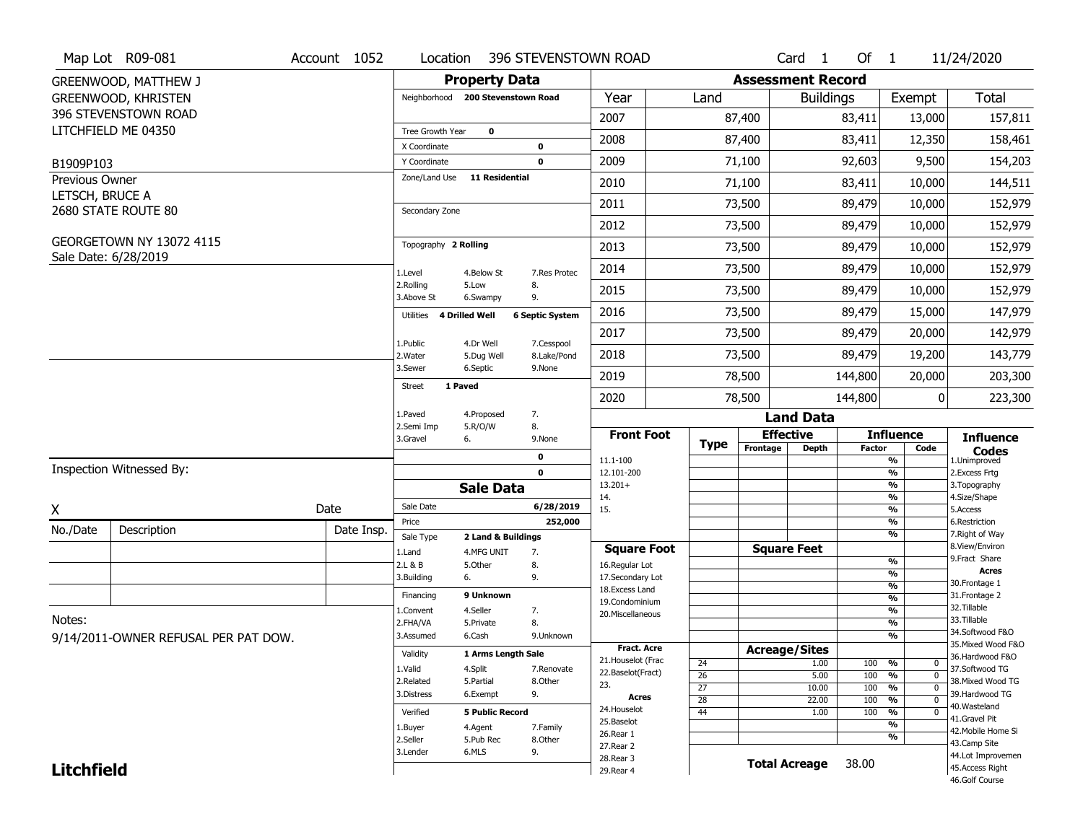|                   | Map Lot R09-081                      | Account 1052 | Location                 |                                   | 396 STEVENSTOWN ROAD      |                                         |                                    |          | Card <sub>1</sub>        | Of $1$        |                                               | 11/24/2020                            |
|-------------------|--------------------------------------|--------------|--------------------------|-----------------------------------|---------------------------|-----------------------------------------|------------------------------------|----------|--------------------------|---------------|-----------------------------------------------|---------------------------------------|
|                   | <b>GREENWOOD, MATTHEW J</b>          |              |                          | <b>Property Data</b>              |                           |                                         |                                    |          | <b>Assessment Record</b> |               |                                               |                                       |
|                   | <b>GREENWOOD, KHRISTEN</b>           |              |                          | Neighborhood 200 Stevenstown Road |                           | Year                                    | Land                               |          | <b>Buildings</b>         |               | Exempt                                        | Total                                 |
|                   | 396 STEVENSTOWN ROAD                 |              |                          |                                   |                           | 2007                                    |                                    | 87,400   |                          | 83,411        | 13,000                                        | 157,811                               |
|                   | LITCHFIELD ME 04350                  |              | <b>Tree Growth Year</b>  | $\mathbf 0$                       |                           |                                         |                                    |          |                          |               |                                               |                                       |
|                   |                                      |              | X Coordinate             |                                   | 0                         | 2008                                    |                                    | 87,400   |                          | 83,411        | 12,350                                        | 158,461                               |
| B1909P103         |                                      |              | Y Coordinate             |                                   | $\mathbf 0$               | 2009                                    |                                    | 71,100   |                          | 92,603        | 9,500                                         | 154,203                               |
| Previous Owner    |                                      |              | Zone/Land Use            | <b>11 Residential</b>             |                           | 2010                                    |                                    | 71,100   |                          | 83,411        | 10,000                                        | 144,511                               |
| LETSCH, BRUCE A   | 2680 STATE ROUTE 80                  |              | Secondary Zone           |                                   |                           | 2011                                    |                                    | 73,500   |                          | 89,479        | 10,000                                        | 152,979                               |
|                   |                                      |              |                          |                                   |                           | 2012                                    |                                    | 73,500   |                          | 89,479        | 10,000                                        | 152,979                               |
|                   | GEORGETOWN NY 13072 4115             |              | Topography 2 Rolling     |                                   |                           | 2013                                    |                                    | 73,500   |                          | 89,479        | 10,000                                        | 152,979                               |
|                   | Sale Date: 6/28/2019                 |              | 1.Level                  | 4.Below St                        | 7.Res Protec              | 2014                                    |                                    | 73,500   |                          | 89,479        | 10,000                                        | 152,979                               |
|                   |                                      |              | 2.Rolling<br>3.Above St  | 5.Low<br>6.Swampy                 | 8.<br>9.                  | 2015                                    |                                    | 73,500   |                          | 89,479        | 10,000                                        | 152,979                               |
|                   |                                      |              | Utilities 4 Drilled Well |                                   | <b>6 Septic System</b>    | 2016                                    |                                    | 73,500   |                          | 89,479        | 15,000                                        | 147,979                               |
|                   |                                      |              |                          |                                   |                           | 2017                                    |                                    | 73,500   |                          | 89,479        | 20,000                                        | 142,979                               |
|                   |                                      |              | 1.Public<br>2. Water     | 4.Dr Well<br>5.Dug Well           | 7.Cesspool<br>8.Lake/Pond | 2018                                    |                                    | 73,500   |                          | 89,479        | 19,200                                        | 143,779                               |
|                   |                                      |              | 3.Sewer                  | 6.Septic                          | 9.None                    | 2019                                    |                                    | 78,500   |                          | 144,800       | 20,000                                        | 203,300                               |
|                   |                                      |              | <b>Street</b>            | 1 Paved                           |                           | 2020                                    |                                    | 78,500   |                          | 144,800       | 0                                             | 223,300                               |
|                   |                                      |              | 1.Paved<br>2.Semi Imp    | 4.Proposed<br>5.R/O/W             | 7.                        |                                         |                                    |          | <b>Land Data</b>         |               |                                               |                                       |
|                   |                                      |              | 3.Gravel                 | 6.                                | 8.<br>9.None              | <b>Front Foot</b>                       | <b>Type</b>                        |          | <b>Effective</b>         |               | <b>Influence</b>                              | <b>Influence</b>                      |
|                   |                                      |              |                          |                                   | $\mathbf 0$               | 11.1-100                                |                                    | Frontage | <b>Depth</b>             | <b>Factor</b> | Code<br>$\frac{9}{6}$                         | <b>Codes</b><br>1.Unimproved          |
|                   | Inspection Witnessed By:             |              |                          |                                   | $\mathbf 0$               | 12.101-200                              |                                    |          |                          |               | $\frac{9}{6}$                                 | 2.Excess Frtg                         |
|                   |                                      |              |                          | <b>Sale Data</b>                  |                           | $13.201+$<br>14.                        |                                    |          |                          |               | $\frac{9}{6}$<br>$\frac{9}{6}$                | 3. Topography<br>4.Size/Shape         |
| X                 |                                      | Date         | Sale Date                |                                   | 6/28/2019                 | 15.                                     |                                    |          |                          |               | $\frac{9}{6}$                                 | 5.Access                              |
| No./Date          | Description                          | Date Insp.   | Price                    |                                   | 252,000                   |                                         |                                    |          |                          |               | $\frac{9}{6}$<br>$\frac{9}{6}$                | 6.Restriction<br>7. Right of Way      |
|                   |                                      |              | Sale Type                | 2 Land & Buildings                |                           | <b>Square Foot</b>                      |                                    |          | <b>Square Feet</b>       |               |                                               | 8.View/Environ                        |
|                   |                                      |              | 1.Land<br>2.L & B        | 4.MFG UNIT<br>5.0ther             | 7.<br>8.                  | 16.Regular Lot                          |                                    |          |                          |               | %                                             | 9.Fract Share                         |
|                   |                                      |              | 3.Building               | 6.                                | 9.                        | 17.Secondary Lot                        |                                    |          |                          |               | %<br>%                                        | <b>Acres</b><br>30. Frontage 1        |
|                   |                                      |              | Financing                | 9 Unknown                         |                           | 18. Excess Land<br>19.Condominium       |                                    |          |                          |               | %                                             | 31. Frontage 2                        |
|                   |                                      |              | 1.Convent                | 4.Seller                          | 7.                        | 20.Miscellaneous                        |                                    |          |                          |               | %                                             | 32.Tillable                           |
| Notes:            |                                      |              |                          |                                   |                           |                                         |                                    |          |                          |               | %                                             | 33.Tillable                           |
|                   |                                      |              | 2.FHA/VA                 | 5.Private                         | 8.                        |                                         |                                    |          |                          |               |                                               |                                       |
|                   | 9/14/2011-OWNER REFUSAL PER PAT DOW. |              | 3.Assumed                | 6.Cash                            | 9.Unknown                 |                                         |                                    |          |                          |               | %                                             | 34.Softwood F&O                       |
|                   |                                      |              | Validity                 | 1 Arms Length Sale                |                           | <b>Fract. Acre</b>                      |                                    |          | <b>Acreage/Sites</b>     |               |                                               | 35. Mixed Wood F&O<br>36.Hardwood F&O |
|                   |                                      |              | 1.Valid                  | 4.Split                           | 7.Renovate                | 21. Houselot (Frac<br>22.Baselot(Fract) | 24                                 |          | 1.00                     | 100           | %<br>0                                        | 37.Softwood TG                        |
|                   |                                      |              | 2.Related                | 5.Partial                         | 8.0ther                   | 23.                                     | $\overline{26}$                    |          | 5.00                     | 100           | $\frac{9}{6}$<br>$\mathbf 0$<br>$\mathbf{0}$  | 38. Mixed Wood TG                     |
|                   |                                      |              | 3.Distress               | 6.Exempt                          | 9.                        | <b>Acres</b>                            | $\overline{27}$<br>$\overline{28}$ |          | 10.00<br>22.00           | 100<br>100    | $\frac{9}{6}$<br>$\frac{9}{6}$<br>$\mathbf 0$ | 39.Hardwood TG                        |
|                   |                                      |              | Verified                 | <b>5 Public Record</b>            |                           | 24. Houselot                            | 44                                 |          | 1.00                     | 100           | $\frac{9}{6}$<br>$\mathbf 0$                  | 40.Wasteland                          |
|                   |                                      |              | 1.Buyer                  | 4.Agent                           | 7.Family                  | 25.Baselot                              |                                    |          |                          |               | $\frac{9}{6}$                                 | 41.Gravel Pit<br>42. Mobile Home Si   |
|                   |                                      |              | 2.Seller                 | 5.Pub Rec                         | 8.0ther                   | 26.Rear 1                               |                                    |          |                          |               | %                                             | 43.Camp Site                          |
| <b>Litchfield</b> |                                      |              | 3.Lender                 | 6.MLS                             | 9.                        | 27.Rear 2<br>28.Rear 3                  |                                    |          | <b>Total Acreage</b>     | 38.00         |                                               | 44.Lot Improvemen<br>45.Access Right  |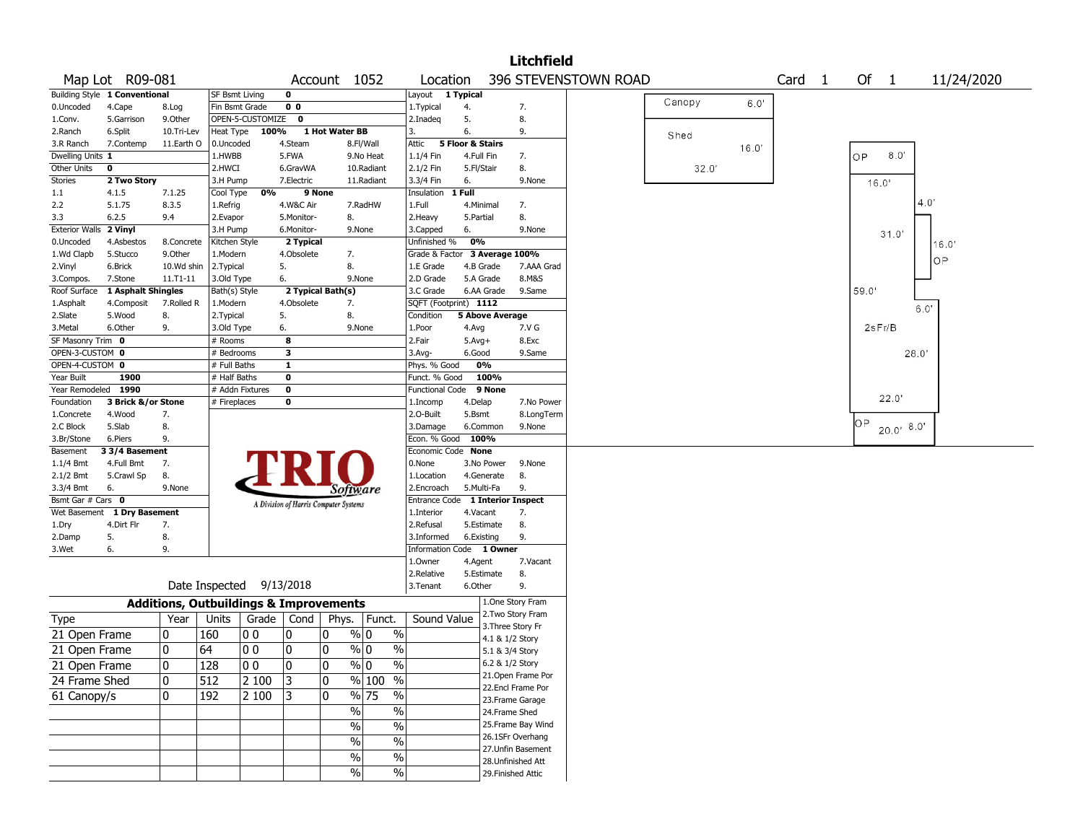|                         |                               |                                                   |                          |                  |                                       |                |               |                                  |                  |                   | <b>Litchfield</b>        |                      |        |       |                   |        |              |            |
|-------------------------|-------------------------------|---------------------------------------------------|--------------------------|------------------|---------------------------------------|----------------|---------------|----------------------------------|------------------|-------------------|--------------------------|----------------------|--------|-------|-------------------|--------|--------------|------------|
|                         | Map Lot R09-081               |                                                   |                          |                  |                                       |                | Account 1052  | Location                         |                  |                   |                          | 396 STEVENSTOWN ROAD |        |       | Card <sub>1</sub> | Of 1   |              | 11/24/2020 |
|                         | Building Style 1 Conventional |                                                   | <b>SF Bsmt Living</b>    |                  | 0                                     |                |               | Layout 1 Typical                 |                  |                   |                          |                      |        |       |                   |        |              |            |
| 0.Uncoded               | 4.Cape                        | 8.Log                                             | Fin Bsmt Grade           |                  | 0 <sub>0</sub>                        |                |               | 1. Typical                       | 4.               |                   | 7.                       |                      | Canopy | 6.0'  |                   |        |              |            |
| 1.Conv.                 | 5.Garrison                    | 9.Other                                           |                          | OPEN-5-CUSTOMIZE | $\mathbf 0$                           |                |               | 2.Inadeg                         | 5.               |                   | 8.                       |                      |        |       |                   |        |              |            |
| 2.Ranch                 | 6.Split                       | 10.Tri-Lev                                        | Heat Type                | 100%             |                                       | 1 Hot Water BB |               | 3.                               | 6.               |                   | 9.                       |                      | Shed   |       |                   |        |              |            |
| 3.R Ranch               | 7.Contemp                     | 11.Earth O                                        | 0.Uncoded                |                  | 4.Steam                               |                | 8.Fl/Wall     | Attic                            | 5 Floor & Stairs |                   |                          |                      |        | 16.0' |                   |        |              |            |
| Dwelling Units 1        |                               |                                                   | 1.HWBB                   |                  | 5.FWA                                 |                | 9.No Heat     | 1.1/4 Fin                        | 4.Full Fin       |                   | 7.                       |                      |        |       |                   | OP     | 0.8          |            |
| Other Units             | 0                             |                                                   | 2.HWCI                   |                  | 6.GravWA                              |                | 10.Radiant    | 2.1/2 Fin                        | 5.Fl/Stair       |                   | 8.                       |                      | 32.0'  |       |                   |        |              |            |
| Stories                 | 2 Two Story                   |                                                   | 3.H Pump                 |                  | 7.Electric                            |                | 11.Radiant    | 3.3/4 Fin                        | 6.               |                   | 9.None                   |                      |        |       |                   | 16.0   |              |            |
| 1.1                     | 4.1.5                         | 7.1.25                                            | Cool Type                | 0%               |                                       | 9 None         |               | Insulation                       | 1 Full           |                   |                          |                      |        |       |                   |        |              |            |
| 2.2                     | 5.1.75                        | 8.3.5                                             | 1.Refrig                 |                  | 4.W&C Air                             |                | 7.RadHW       | 1.Full                           | 4.Minimal        |                   | 7.                       |                      |        |       |                   |        | 4.0'         |            |
| 3.3                     | 6.2.5                         | 9.4                                               | 2.Evapor                 |                  | 5.Monitor-                            |                | 8.            | 2.Heavy                          | 5.Partial        |                   | 8.                       |                      |        |       |                   |        |              |            |
| <b>Exterior Walls</b>   | 2 Vinyl                       |                                                   | 3.H Pump                 |                  | 6.Monitor-                            |                | 9.None        | 3.Capped                         | 6.               |                   | 9.None                   |                      |        |       |                   |        | 31.0'        |            |
| 0.Uncoded               | 4.Asbestos                    | 8.Concrete                                        | Kitchen Style            |                  | 2 Typical                             |                |               | Unfinished %                     | 0%               |                   |                          |                      |        |       |                   |        |              | 16.0'      |
| 1.Wd Clapb              | 5.Stucco                      | 9.0ther                                           | 1.Modern                 |                  | 4.Obsolete                            |                | 7.            | Grade & Factor 3 Average 100%    |                  |                   |                          |                      |        |       |                   |        |              | OP         |
| 2.Vinyl                 | 6.Brick                       | 10.Wd shin                                        | 2.Typical                |                  | 5.                                    |                | 8.            | 1.E Grade                        | 4.B Grade        |                   | 7.AAA Grad               |                      |        |       |                   |        |              |            |
| 3.Compos.               | 7.Stone                       | 11.T1-11                                          | 3.Old Type               |                  | 6.                                    |                | 9.None        | 2.D Grade                        | 5.A Grade        |                   | 8.M&S                    |                      |        |       |                   |        |              |            |
| Roof Surface            | 1 Asphalt Shingles            |                                                   | Bath(s) Style            |                  | 2 Typical Bath(s)                     |                |               | 3.C Grade                        |                  | 6.AA Grade        | 9.Same                   |                      |        |       |                   | 59.0'  |              |            |
| 1.Asphalt               | 4.Composit                    | 7.Rolled R                                        | 1.Modern                 |                  | 4.Obsolete                            |                | 7.            | SQFT (Footprint) 1112            |                  |                   |                          |                      |        |       |                   |        | 6.0"         |            |
| 2.Slate                 | 5.Wood                        | 8.                                                | 2.Typical                |                  | 5.                                    |                | 8.            | Condition                        |                  | 5 Above Average   |                          |                      |        |       |                   |        |              |            |
| 3.Metal                 | 6.Other                       | 9.                                                | 3.Old Type               |                  | 6.                                    |                | 9.None        | 1.Poor                           | 4.Avg            |                   | 7.V G                    |                      |        |       |                   | 2sFr/B |              |            |
| SF Masonry Trim 0       |                               |                                                   | # Rooms                  |                  | 8                                     |                |               | 2.Fair                           | $5.Avg+$         |                   | 8.Exc                    |                      |        |       |                   |        |              |            |
| OPEN-3-CUSTOM 0         |                               |                                                   | # Bedrooms               |                  | з                                     |                |               | 3.Avg-                           | 6.Good           |                   | 9.Same                   |                      |        |       |                   |        | 28.0'        |            |
| OPEN-4-CUSTOM 0         |                               |                                                   | # Full Baths             |                  | $\mathbf{1}$                          |                |               | Phys. % Good                     |                  | 0%                |                          |                      |        |       |                   |        |              |            |
| Year Built              | 1900                          |                                                   | $#$ Half Baths           |                  | 0                                     |                |               | Funct. % Good                    |                  | 100%              |                          |                      |        |       |                   |        |              |            |
| Year Remodeled 1990     |                               |                                                   |                          | # Addn Fixtures  | 0                                     |                |               | <b>Functional Code</b>           |                  | 9 None            |                          |                      |        |       |                   |        | 22.0"        |            |
| Foundation              | 3 Brick &/or Stone<br>4.Wood  |                                                   | # Fireplaces             |                  | 0                                     |                |               | 1.Incomp<br>2.O-Built            | 4.Delap          |                   | 7.No Power<br>8.LongTerm |                      |        |       |                   |        |              |            |
| 1.Concrete<br>2.C Block | 5.Slab                        | 7.<br>8.                                          |                          |                  |                                       |                |               |                                  | 5.Bsmt           | 6.Common          | 9.None                   |                      |        |       |                   | ΟP     |              |            |
| 3.Br/Stone              | 6.Piers                       | 9.                                                |                          |                  |                                       |                |               | 3.Damage<br>Econ. % Good         | 100%             |                   |                          |                      |        |       |                   |        | $20.0'$ 8.0' |            |
| Basement                | 3 3/4 Basement                |                                                   |                          |                  |                                       |                |               | Economic Code None               |                  |                   |                          |                      |        |       |                   |        |              |            |
| 1.1/4 Bmt               | 4.Full Bmt                    | 7.                                                |                          |                  |                                       |                |               | 0.None                           |                  | 3.No Power        | 9.None                   |                      |        |       |                   |        |              |            |
| 2.1/2 Bmt               | 5.Crawl Sp                    | 8.                                                |                          |                  |                                       |                |               | 1.Location                       |                  | 4.Generate        | 8.                       |                      |        |       |                   |        |              |            |
| 3.3/4 Bmt               | 6.                            | 9.None                                            |                          |                  |                                       |                | Software      | 2.Encroach                       | 5.Multi-Fa       |                   | 9.                       |                      |        |       |                   |        |              |            |
| Bsmt Gar # Cars 0       |                               |                                                   |                          |                  |                                       |                |               | Entrance Code 1 Interior Inspect |                  |                   |                          |                      |        |       |                   |        |              |            |
| Wet Basement            | 1 Dry Basement                |                                                   |                          |                  | A Division of Harris Computer Systems |                |               | 1.Interior                       | 4.Vacant         |                   | 7.                       |                      |        |       |                   |        |              |            |
| 1.Dry                   | 4.Dirt Flr                    | 7.                                                |                          |                  |                                       |                |               | 2.Refusal                        |                  | 5.Estimate        | 8.                       |                      |        |       |                   |        |              |            |
| 2.Damp                  | 5.                            | 8.                                                |                          |                  |                                       |                |               | 3.Informed                       | 6.Existing       |                   | 9.                       |                      |        |       |                   |        |              |            |
| 3.Wet                   | 6.                            | 9.                                                |                          |                  |                                       |                |               | Information Code 1 Owner         |                  |                   |                          |                      |        |       |                   |        |              |            |
|                         |                               |                                                   |                          |                  |                                       |                |               | 1.0wner                          | 4.Agent          |                   | 7.Vacant                 |                      |        |       |                   |        |              |            |
|                         |                               |                                                   |                          |                  |                                       |                |               | 2.Relative                       |                  | 5.Estimate        | 8.                       |                      |        |       |                   |        |              |            |
|                         |                               |                                                   | Date Inspected 9/13/2018 |                  |                                       |                |               | 3.Tenant                         | 6.Other          |                   | 9.                       |                      |        |       |                   |        |              |            |
|                         |                               | <b>Additions, Outbuildings &amp; Improvements</b> |                          |                  |                                       |                |               |                                  |                  |                   | 1.One Story Fram         |                      |        |       |                   |        |              |            |
|                         |                               | Year                                              | Units                    |                  | Grade   Cond                          |                |               | Sound Value                      |                  |                   | 2. Two Story Fram        |                      |        |       |                   |        |              |            |
| Type                    |                               |                                                   |                          |                  |                                       | Phys.          | Funct.        |                                  |                  | 3. Three Story Fr |                          |                      |        |       |                   |        |              |            |
| 21 Open Frame           |                               | 0                                                 | 160                      | 0 <sub>0</sub>   | 0                                     | 0              | $\%$ 0        | $\%$                             |                  | 4.1 & 1/2 Story   |                          |                      |        |       |                   |        |              |            |
| 21 Open Frame           |                               | 0                                                 | 64                       | 0 <sub>0</sub>   | 0                                     | 0              | % 0           | $\%$                             |                  | 5.1 & 3/4 Story   |                          |                      |        |       |                   |        |              |            |
| 21 Open Frame           |                               | 0                                                 | 128                      | 0 <sub>0</sub>   | I٥                                    | $\Omega$       | % 0           | $\%$                             |                  | 6.2 & 1/2 Story   |                          |                      |        |       |                   |        |              |            |
| 24 Frame Shed           |                               | 0                                                 | 512                      | 2 100            | $ 3\rangle$                           | 0              | $%100$ %      |                                  |                  |                   | 21. Open Frame Por       |                      |        |       |                   |        |              |            |
| 61 Canopy/s             |                               | 0                                                 | 192                      | 2 100            | 3                                     | 0              | % 75          | $\%$                             |                  |                   | 22.Encl Frame Por        |                      |        |       |                   |        |              |            |
|                         |                               |                                                   |                          |                  |                                       |                |               |                                  |                  |                   | 23. Frame Garage         |                      |        |       |                   |        |              |            |
|                         |                               |                                                   |                          |                  |                                       |                | $\%$          | $\%$                             |                  | 24.Frame Shed     |                          |                      |        |       |                   |        |              |            |
|                         |                               |                                                   |                          |                  |                                       |                | $\frac{0}{0}$ | $\%$                             |                  |                   | 25. Frame Bay Wind       |                      |        |       |                   |        |              |            |
|                         |                               |                                                   |                          |                  |                                       |                | $\%$          | $\%$                             |                  |                   | 26.1SFr Overhang         |                      |        |       |                   |        |              |            |
|                         |                               |                                                   |                          |                  |                                       |                | $\%$          | $\%$                             |                  |                   | 27.Unfin Basement        |                      |        |       |                   |        |              |            |
|                         |                               |                                                   |                          |                  |                                       |                |               |                                  |                  |                   | 28.Unfinished Att        |                      |        |       |                   |        |              |            |
|                         |                               |                                                   |                          |                  |                                       |                | $\frac{0}{0}$ | %                                |                  |                   | 29. Finished Attic       |                      |        |       |                   |        |              |            |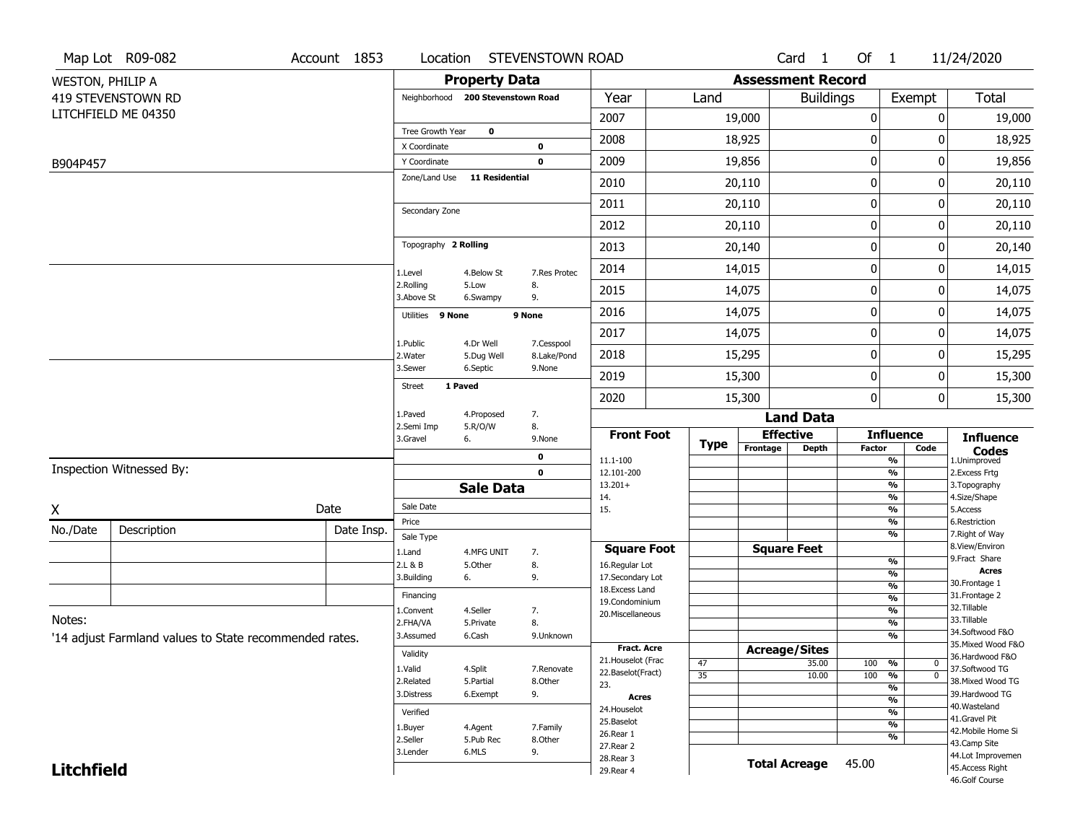|                         | Map Lot R09-082                                        | Account 1853 | Location                     |                                   | STEVENSTOWN ROAD      |                                    |    |             |                          | Card <sub>1</sub> | Of 1             |                                           | 11/24/2020                           |
|-------------------------|--------------------------------------------------------|--------------|------------------------------|-----------------------------------|-----------------------|------------------------------------|----|-------------|--------------------------|-------------------|------------------|-------------------------------------------|--------------------------------------|
| <b>WESTON, PHILIP A</b> |                                                        |              |                              | <b>Property Data</b>              |                       |                                    |    |             | <b>Assessment Record</b> |                   |                  |                                           |                                      |
|                         | 419 STEVENSTOWN RD                                     |              |                              | Neighborhood 200 Stevenstown Road |                       | Year                               |    | Land        |                          | <b>Buildings</b>  |                  | Exempt                                    | Total                                |
|                         | LITCHFIELD ME 04350                                    |              |                              |                                   |                       | 2007                               |    |             | 19,000                   |                   | $\boldsymbol{0}$ | 0                                         | 19,000                               |
|                         |                                                        |              | Tree Growth Year             | $\mathbf 0$                       |                       | 2008                               |    |             | 18,925                   |                   | $\mathbf 0$      | 0                                         | 18,925                               |
|                         |                                                        |              | X Coordinate<br>Y Coordinate |                                   | 0<br>$\mathbf 0$      | 2009                               |    |             | 19,856                   |                   | $\boldsymbol{0}$ | 0                                         | 19,856                               |
| B904P457                |                                                        |              | Zone/Land Use                | <b>11 Residential</b>             |                       | 2010                               |    |             | 20,110                   |                   | 0                | 0                                         | 20,110                               |
|                         |                                                        |              |                              |                                   |                       | 2011                               |    |             | 20,110                   |                   | $\boldsymbol{0}$ | 0                                         | 20,110                               |
|                         |                                                        |              | Secondary Zone               |                                   |                       | 2012                               |    |             | 20,110                   |                   | $\mathbf 0$      | 0                                         | 20,110                               |
|                         |                                                        |              | Topography 2 Rolling         |                                   |                       | 2013                               |    |             | 20,140                   |                   | 0                | 0                                         | 20,140                               |
|                         |                                                        |              |                              |                                   |                       | 2014                               |    |             | 14,015                   |                   | $\mathbf 0$      | 0                                         | 14,015                               |
|                         |                                                        |              | 1.Level<br>2.Rolling         | 4.Below St<br>5.Low               | 7.Res Protec<br>8.    | 2015                               |    |             | 14,075                   |                   | $\boldsymbol{0}$ | 0                                         | 14,075                               |
|                         |                                                        |              | 3.Above St                   | 6.Swampy                          | 9.                    | 2016                               |    |             | 14,075                   |                   | $\boldsymbol{0}$ | 0                                         | 14,075                               |
|                         |                                                        |              | Utilities 9 None             |                                   | 9 None                |                                    |    |             |                          |                   |                  | 0                                         |                                      |
|                         |                                                        |              | 1.Public                     | 4.Dr Well                         | 7.Cesspool            | 2017                               |    |             | 14,075                   |                   | $\boldsymbol{0}$ |                                           | 14,075                               |
|                         |                                                        |              | 2. Water<br>3.Sewer          | 5.Dug Well<br>6.Septic            | 8.Lake/Pond<br>9.None | 2018                               |    |             | 15,295                   |                   | 0                | 0                                         | 15,295                               |
|                         |                                                        |              | <b>Street</b>                | 1 Paved                           |                       | 2019                               |    |             | 15,300                   |                   | $\boldsymbol{0}$ | 0                                         | 15,300                               |
|                         |                                                        |              | 1.Paved                      | 4.Proposed                        | 7.                    | 2020                               |    |             | 15,300                   | <b>Land Data</b>  | $\mathbf 0$      | 0                                         | 15,300                               |
|                         |                                                        |              | 2.Semi Imp                   | 5.R/O/W                           | 8.                    | <b>Front Foot</b>                  |    |             | <b>Effective</b>         |                   |                  | <b>Influence</b>                          |                                      |
|                         |                                                        |              | 3.Gravel                     | 6.                                | 9.None                |                                    |    | <b>Type</b> | Frontage                 | <b>Depth</b>      | <b>Factor</b>    | Code                                      | <b>Influence</b>                     |
|                         | Inspection Witnessed By:                               |              |                              |                                   | $\mathbf 0$<br>0      | 11.1-100                           |    |             |                          |                   |                  | $\frac{9}{6}$<br>$\frac{9}{6}$            | <b>Codes</b><br>1.Unimproved         |
|                         |                                                        |              |                              | <b>Sale Data</b>                  |                       | 12.101-200<br>$13.201+$            |    |             |                          |                   |                  | $\frac{9}{6}$                             | 2.Excess Frtg<br>3. Topography       |
|                         |                                                        |              | Sale Date                    |                                   |                       | 14.                                |    |             |                          |                   |                  | %                                         | 4.Size/Shape                         |
| X                       |                                                        | Date         | Price                        |                                   |                       | 15.                                |    |             |                          |                   |                  | $\frac{9}{6}$<br>%                        | 5.Access<br>6.Restriction            |
| No./Date                | Description                                            | Date Insp.   | Sale Type                    |                                   |                       |                                    |    |             |                          |                   |                  | %                                         | 7. Right of Way                      |
|                         |                                                        |              | 1.Land                       | 4.MFG UNIT                        | 7.                    | <b>Square Foot</b>                 |    |             | <b>Square Feet</b>       |                   |                  |                                           | 8.View/Environ<br>9. Fract Share     |
|                         |                                                        |              | 2.L & B<br>3.Building        | 5.Other<br>6.                     | 8.<br>9.              | 16.Regular Lot<br>17.Secondary Lot |    |             |                          |                   |                  | %<br>%                                    | <b>Acres</b>                         |
|                         |                                                        |              |                              |                                   |                       | 18. Excess Land                    |    |             |                          |                   |                  | %                                         | 30. Frontage 1                       |
|                         |                                                        |              | Financing                    |                                   |                       | 19.Condominium                     |    |             |                          |                   |                  | %                                         | 31. Frontage 2<br>32.Tillable        |
| Notes:                  |                                                        |              | 1.Convent<br>2.FHA/VA        | 4.Seller<br>5.Private             | 7.<br>8.              | 20.Miscellaneous                   |    |             |                          |                   |                  | %<br>%                                    | 33.Tillable                          |
|                         | '14 adjust Farmland values to State recommended rates. |              | 3.Assumed                    | 6.Cash                            | 9.Unknown             |                                    |    |             |                          |                   |                  | %                                         | 34.Softwood F&O                      |
|                         |                                                        |              | Validity                     |                                   |                       | Fract. Acre                        |    |             | <b>Acreage/Sites</b>     |                   |                  |                                           | 35. Mixed Wood F&O                   |
|                         |                                                        |              |                              |                                   |                       | 21. Houselot (Frac                 | 47 |             |                          | 35.00             | 100              | %<br>0                                    | 36.Hardwood F&O                      |
|                         |                                                        |              | 1.Valid<br>2.Related         | 4.Split<br>5.Partial              | 7.Renovate<br>8.Other | 22.Baselot(Fract)                  | 35 |             |                          | 10.00             | 100              | $\frac{9}{6}$<br>$\overline{0}$           | 37.Softwood TG<br>38. Mixed Wood TG  |
|                         |                                                        |              | 3.Distress                   | 6.Exempt                          | 9.                    | 23.                                |    |             |                          |                   |                  | $\overline{\frac{9}{6}}$                  | 39.Hardwood TG                       |
|                         |                                                        |              |                              |                                   |                       | Acres<br>24. Houselot              |    |             |                          |                   |                  | $\frac{9}{6}$                             | 40. Wasteland                        |
|                         |                                                        |              | Verified                     |                                   |                       | 25.Baselot                         |    |             |                          |                   |                  | $\overline{\frac{9}{6}}$<br>$\frac{9}{6}$ | 41.Gravel Pit                        |
|                         |                                                        |              | 1.Buyer                      | 4.Agent                           | 7.Family              | 26.Rear 1                          |    |             |                          |                   |                  | $\overline{\frac{9}{6}}$                  | 42. Mobile Home Si                   |
|                         |                                                        |              | 2.Seller                     | 5.Pub Rec                         | 8.Other               | 27. Rear 2                         |    |             |                          |                   |                  |                                           | 43.Camp Site                         |
|                         |                                                        |              |                              |                                   |                       |                                    |    |             |                          |                   |                  |                                           |                                      |
| <b>Litchfield</b>       |                                                        |              | 3.Lender                     | 6.MLS                             | 9.                    | 28. Rear 3<br>29. Rear 4           |    |             | <b>Total Acreage</b>     |                   | 45.00            |                                           | 44.Lot Improvemen<br>45.Access Right |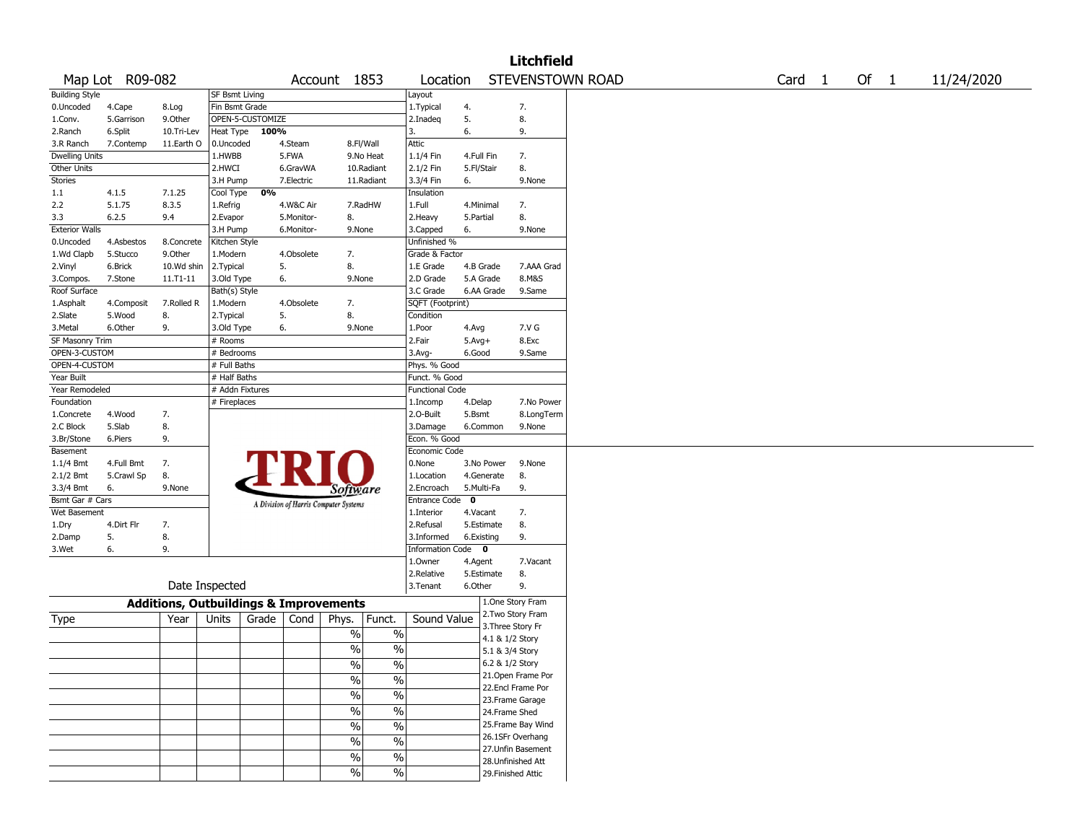|                       |                 |                                                   |                 |                  |            |                                       |                          |                        |            |                                    | <b>Litchfield</b>  |                  |                   |        |            |
|-----------------------|-----------------|---------------------------------------------------|-----------------|------------------|------------|---------------------------------------|--------------------------|------------------------|------------|------------------------------------|--------------------|------------------|-------------------|--------|------------|
|                       | Map Lot R09-082 |                                                   |                 |                  |            | Account 1853                          |                          | Location               |            |                                    |                    | STEVENSTOWN ROAD | Card <sub>1</sub> | Of $1$ | 11/24/2020 |
| <b>Building Style</b> |                 |                                                   | SF Bsmt Living  |                  |            |                                       |                          | Layout                 |            |                                    |                    |                  |                   |        |            |
| 0.Uncoded             | 4.Cape          | 8.Log                                             | Fin Bsmt Grade  |                  |            |                                       |                          | 1. Typical             | 4.         |                                    | 7.                 |                  |                   |        |            |
| 1.Conv.               | 5.Garrison      | 9.Other                                           |                 | OPEN-5-CUSTOMIZE |            |                                       |                          | 2.Inadeq               | 5.         |                                    | 8.                 |                  |                   |        |            |
| 2.Ranch               | 6.Split         | 10.Tri-Lev                                        | Heat Type       | 100%             |            |                                       |                          | 3.                     | 6.         |                                    | 9.                 |                  |                   |        |            |
| 3.R Ranch             | 7.Contemp       | 11.Earth O                                        | 0.Uncoded       |                  | 4.Steam    | 8.Fl/Wall                             |                          | Attic                  |            |                                    |                    |                  |                   |        |            |
| Dwelling Units        |                 |                                                   | 1.HWBB          |                  | 5.FWA      |                                       | 9.No Heat                | 1.1/4 Fin              | 4.Full Fin |                                    | 7.                 |                  |                   |        |            |
| Other Units           |                 |                                                   | 2.HWCI          |                  | 6.GravWA   |                                       | 10.Radiant               | 2.1/2 Fin              | 5.Fl/Stair |                                    | 8.                 |                  |                   |        |            |
| <b>Stories</b>        |                 |                                                   | 3.H Pump        |                  | 7.Electric |                                       | 11.Radiant               | 3.3/4 Fin              | 6.         |                                    | 9.None             |                  |                   |        |            |
| 1.1                   | 4.1.5           | 7.1.25                                            | Cool Type       | 0%               |            |                                       |                          | Insulation             |            |                                    |                    |                  |                   |        |            |
| 2.2                   | 5.1.75          | 8.3.5                                             | 1.Refrig        |                  | 4.W&C Air  |                                       | 7.RadHW                  | 1.Full                 | 4.Minimal  |                                    | 7.                 |                  |                   |        |            |
| 3.3                   | 6.2.5           | 9.4                                               | 2.Evapor        |                  | 5.Monitor- | 8.                                    |                          | 2.Heavy                | 5.Partial  |                                    | 8.                 |                  |                   |        |            |
| <b>Exterior Walls</b> |                 |                                                   | 3.H Pump        |                  | 6.Monitor- | 9.None                                |                          | 3.Capped               | 6.         |                                    | 9.None             |                  |                   |        |            |
| 0.Uncoded             | 4.Asbestos      | 8.Concrete                                        | Kitchen Style   |                  |            |                                       |                          | Unfinished %           |            |                                    |                    |                  |                   |        |            |
| 1.Wd Clapb            | 5.Stucco        | 9.Other                                           | 1.Modern        |                  | 4.Obsolete | 7.                                    |                          | Grade & Factor         |            |                                    |                    |                  |                   |        |            |
| 2.Vinyl               | 6.Brick         | 10.Wd shin                                        | 2.Typical       |                  | 5.         | 8.                                    |                          | 1.E Grade              | 4.B Grade  |                                    | 7.AAA Grad         |                  |                   |        |            |
| 3.Compos.             | 7.Stone         | 11.T1-11                                          | 3.Old Type      |                  | 6.         | 9.None                                |                          | 2.D Grade              | 5.A Grade  |                                    | 8.M&S              |                  |                   |        |            |
| Roof Surface          |                 |                                                   | Bath(s) Style   |                  |            |                                       |                          | 3.C Grade              |            | 6.AA Grade                         | 9.Same             |                  |                   |        |            |
| 1.Asphalt             | 4.Composit      | 7.Rolled R                                        | 1.Modern        |                  | 4.Obsolete | 7.                                    |                          | SQFT (Footprint)       |            |                                    |                    |                  |                   |        |            |
| 2.Slate               | 5.Wood          | 8.                                                | 2. Typical      |                  | 5.         | 8.                                    |                          | Condition              |            |                                    |                    |                  |                   |        |            |
| 3.Metal               | 6.Other         | 9.                                                | 3.Old Type      |                  | 6.         | 9.None                                |                          | 1.Poor                 | 4.Avg      |                                    | 7.V G              |                  |                   |        |            |
| SF Masonry Trim       |                 |                                                   | # Rooms         |                  |            |                                       |                          | 2.Fair                 | $5.Avg+$   |                                    | 8.Exc              |                  |                   |        |            |
| OPEN-3-CUSTOM         |                 |                                                   | # Bedrooms      |                  |            |                                       |                          | 3.Avg-                 | 6.Good     |                                    | 9.Same             |                  |                   |        |            |
| OPEN-4-CUSTOM         |                 |                                                   | # Full Baths    |                  |            |                                       |                          | Phys. % Good           |            |                                    |                    |                  |                   |        |            |
| Year Built            |                 |                                                   | # Half Baths    |                  |            |                                       |                          | Funct. % Good          |            |                                    |                    |                  |                   |        |            |
| Year Remodeled        |                 |                                                   | # Addn Fixtures |                  |            |                                       |                          | <b>Functional Code</b> |            |                                    |                    |                  |                   |        |            |
| Foundation            |                 |                                                   | # Fireplaces    |                  |            |                                       |                          | 1.Incomp               | 4.Delap    |                                    | 7.No Power         |                  |                   |        |            |
| 1.Concrete            | 4.Wood          | 7.                                                |                 |                  |            |                                       |                          | 2.O-Built              | 5.Bsmt     |                                    | 8.LongTerm         |                  |                   |        |            |
| 2.C Block             | 5.Slab          | 8.                                                |                 |                  |            |                                       |                          | 3.Damage               | 6.Common   |                                    | 9.None             |                  |                   |        |            |
| 3.Br/Stone            | 6.Piers         | 9.                                                |                 |                  |            |                                       |                          | Econ. % Good           |            |                                    |                    |                  |                   |        |            |
| Basement              |                 |                                                   |                 |                  |            |                                       |                          | Economic Code          |            |                                    |                    |                  |                   |        |            |
| 1.1/4 Bmt             | 4.Full Bmt      | 7.                                                |                 |                  |            |                                       |                          | 0.None                 |            | 3.No Power                         | 9.None             |                  |                   |        |            |
| 2.1/2 Bmt             | 5.Crawl Sp      | 8.                                                |                 |                  |            |                                       |                          | 1.Location             |            | 4.Generate                         | 8.                 |                  |                   |        |            |
| 3.3/4 Bmt             | 6.              | 9.None                                            |                 |                  |            | Software                              |                          | 2.Encroach             | 5.Multi-Fa |                                    | 9.                 |                  |                   |        |            |
| Bsmt Gar # Cars       |                 |                                                   |                 |                  |            | A Division of Harris Computer Systems |                          | Entrance Code 0        |            |                                    |                    |                  |                   |        |            |
| Wet Basement          |                 |                                                   |                 |                  |            |                                       |                          | 1.Interior             | 4.Vacant   |                                    | 7.                 |                  |                   |        |            |
| 1.Dry                 | 4.Dirt Flr      | 7.                                                |                 |                  |            |                                       |                          | 2.Refusal              | 5.Estimate |                                    | 8.                 |                  |                   |        |            |
| 2.Damp                | 5.              | 8.                                                |                 |                  |            |                                       |                          | 3.Informed             | 6.Existing |                                    | 9.                 |                  |                   |        |            |
| 3.Wet                 | 6.              | 9.                                                |                 |                  |            |                                       |                          | Information Code 0     |            |                                    |                    |                  |                   |        |            |
|                       |                 |                                                   |                 |                  |            |                                       |                          | 1.Owner                | 4.Agent    |                                    | 7.Vacant           |                  |                   |        |            |
|                       |                 |                                                   |                 |                  |            |                                       |                          | 2.Relative             | 5.Estimate |                                    | 8.                 |                  |                   |        |            |
|                       |                 |                                                   | Date Inspected  |                  |            |                                       |                          | 3.Tenant               | 6.Other    |                                    | 9.                 |                  |                   |        |            |
|                       |                 | <b>Additions, Outbuildings &amp; Improvements</b> |                 |                  |            |                                       |                          |                        |            |                                    | 1.One Story Fram   |                  |                   |        |            |
| Type                  |                 | Year                                              | Units           | Grade            | Cond       | Phys.                                 | Funct.                   | Sound Value            |            |                                    | 2. Two Story Fram  |                  |                   |        |            |
|                       |                 |                                                   |                 |                  |            | $\%$                                  | $\%$                     |                        |            |                                    | 3. Three Story Fr  |                  |                   |        |            |
|                       |                 |                                                   |                 |                  |            | $\%$                                  | $\%$                     |                        |            | 4.1 & 1/2 Story<br>5.1 & 3/4 Story |                    |                  |                   |        |            |
|                       |                 |                                                   |                 |                  |            |                                       |                          |                        |            | 6.2 & 1/2 Story                    |                    |                  |                   |        |            |
|                       |                 |                                                   |                 |                  |            | $\frac{0}{0}$                         | $\frac{0}{0}$            |                        |            |                                    | 21. Open Frame Por |                  |                   |        |            |
|                       |                 |                                                   |                 |                  |            | $\sqrt{20}$                           | $\%$                     |                        |            |                                    | 22.Encl Frame Por  |                  |                   |        |            |
|                       |                 |                                                   |                 |                  |            | $\frac{9}{6}$                         | $\overline{\frac{0}{6}}$ |                        |            |                                    | 23. Frame Garage   |                  |                   |        |            |
|                       |                 |                                                   |                 |                  |            | $\sqrt{6}$                            | $\overline{\frac{0}{0}}$ |                        |            |                                    | 24.Frame Shed      |                  |                   |        |            |
|                       |                 |                                                   |                 |                  |            |                                       | $\overline{\frac{0}{6}}$ |                        |            |                                    | 25.Frame Bay Wind  |                  |                   |        |            |
|                       |                 |                                                   |                 |                  |            | $\sqrt{6}$                            |                          |                        |            |                                    | 26.1SFr Overhang   |                  |                   |        |            |
|                       |                 |                                                   |                 |                  |            | $\sqrt{6}$                            | $\%$                     |                        |            |                                    | 27.Unfin Basement  |                  |                   |        |            |
|                       |                 |                                                   |                 |                  |            | %                                     | $\frac{0}{0}$            |                        |            |                                    | 28. Unfinished Att |                  |                   |        |            |
|                       |                 |                                                   |                 |                  |            | $\sqrt{6}$                            | $\%$                     |                        |            |                                    | 29. Finished Attic |                  |                   |        |            |
|                       |                 |                                                   |                 |                  |            |                                       |                          |                        |            |                                    |                    |                  |                   |        |            |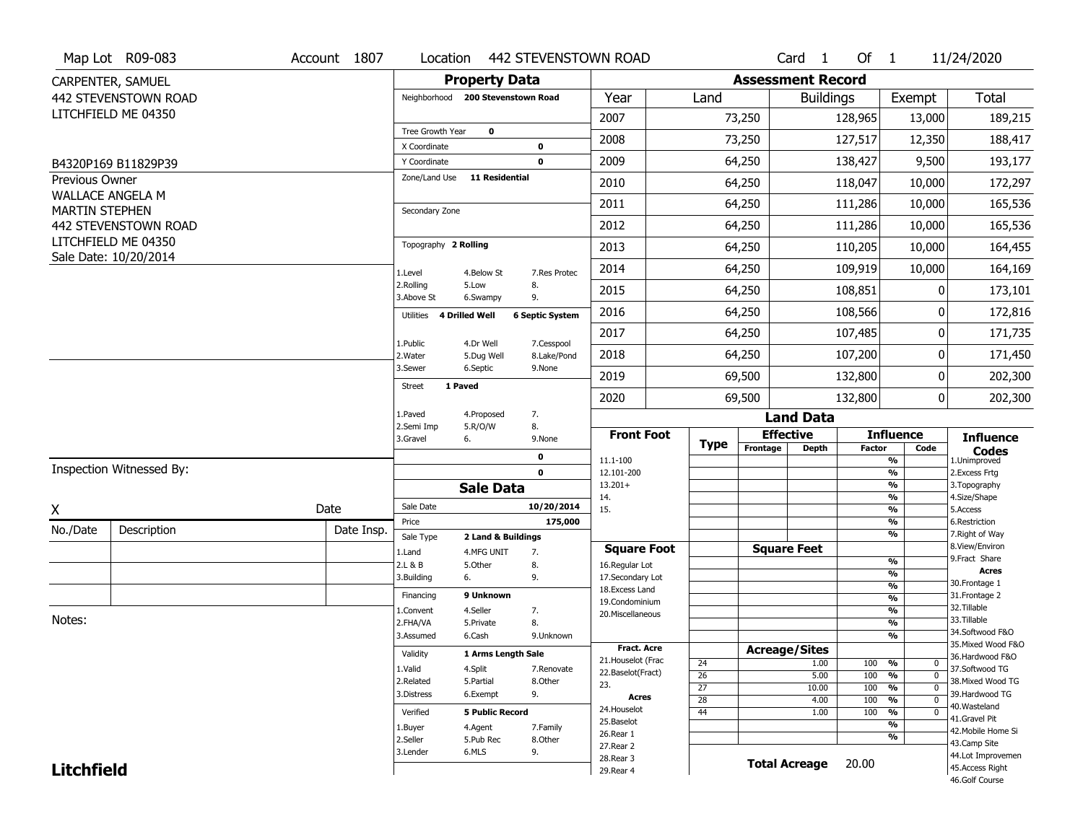|                       | Map Lot R09-083                              | Account 1807 | Location                          |                         | 442 STEVENSTOWN ROAD      |                                    |                       |                          | Card <sub>1</sub>    | Of $1$        |                                                      | 11/24/2020                            |
|-----------------------|----------------------------------------------|--------------|-----------------------------------|-------------------------|---------------------------|------------------------------------|-----------------------|--------------------------|----------------------|---------------|------------------------------------------------------|---------------------------------------|
|                       | CARPENTER, SAMUEL                            |              |                                   | <b>Property Data</b>    |                           |                                    |                       | <b>Assessment Record</b> |                      |               |                                                      |                                       |
|                       | 442 STEVENSTOWN ROAD                         |              | Neighborhood 200 Stevenstown Road |                         |                           | Year                               | Land                  |                          | <b>Buildings</b>     |               | Exempt                                               | Total                                 |
|                       | LITCHFIELD ME 04350                          |              |                                   |                         |                           | 2007                               |                       | 73,250                   |                      | 128,965       | 13,000                                               | 189,215                               |
|                       |                                              |              | Tree Growth Year                  | $\mathbf 0$             |                           | 2008                               |                       | 73,250                   |                      | 127,517       | 12,350                                               | 188,417                               |
|                       |                                              |              | X Coordinate<br>Y Coordinate      |                         | 0<br>0                    | 2009                               |                       | 64,250                   |                      | 138,427       | 9,500                                                | 193,177                               |
|                       | B4320P169 B11829P39                          |              | Zone/Land Use                     | <b>11 Residential</b>   |                           |                                    |                       |                          |                      |               |                                                      |                                       |
| Previous Owner        | <b>WALLACE ANGELA M</b>                      |              |                                   |                         |                           | 2010                               |                       | 64,250                   |                      | 118,047       | 10,000                                               | 172,297                               |
| <b>MARTIN STEPHEN</b> |                                              |              | Secondary Zone                    |                         |                           | 2011                               |                       | 64,250                   |                      | 111,286       | 10,000                                               | 165,536                               |
|                       | 442 STEVENSTOWN ROAD                         |              |                                   |                         |                           | 2012                               |                       | 64,250                   |                      | 111,286       | 10,000                                               | 165,536                               |
|                       | LITCHFIELD ME 04350<br>Sale Date: 10/20/2014 |              | Topography 2 Rolling              |                         |                           | 2013                               |                       | 64,250                   |                      | 110,205       | 10,000                                               | 164,455                               |
|                       |                                              |              | 1.Level                           | 4.Below St              | 7.Res Protec              | 2014                               |                       | 64,250                   |                      | 109,919       | 10,000                                               | 164,169                               |
|                       |                                              |              | 2.Rolling<br>3.Above St           | 5.Low<br>6.Swampy       | 8.<br>9.                  | 2015                               |                       | 64,250                   |                      | 108,851       | 0                                                    | 173,101                               |
|                       |                                              |              | 4 Drilled Well<br>Utilities       |                         | <b>6 Septic System</b>    | 2016                               |                       | 64,250                   |                      | 108,566       | 0                                                    | 172,816                               |
|                       |                                              |              |                                   |                         |                           | 2017                               |                       | 64,250                   |                      | 107,485       | 0                                                    | 171,735                               |
|                       |                                              |              | 1.Public<br>2. Water              | 4.Dr Well<br>5.Dug Well | 7.Cesspool<br>8.Lake/Pond | 2018                               |                       | 64,250                   |                      | 107,200       | 0                                                    | 171,450                               |
|                       |                                              |              | 3.Sewer                           | 6.Septic                | 9.None                    | 2019                               |                       | 69,500                   |                      | 132,800       | 0                                                    | 202,300                               |
|                       |                                              |              | 1 Paved<br><b>Street</b>          |                         |                           | 2020                               |                       | 69,500                   |                      | 132,800       | $\overline{0}$                                       | 202,300                               |
|                       |                                              |              | 1.Paved                           | 4.Proposed              | 7.                        |                                    |                       |                          | <b>Land Data</b>     |               |                                                      |                                       |
|                       |                                              |              | 2.Semi Imp<br>3.Gravel            | 5.R/O/W<br>6.           | 8.<br>9.None              | <b>Front Foot</b>                  |                       |                          | <b>Effective</b>     |               | <b>Influence</b>                                     | <b>Influence</b>                      |
|                       |                                              |              |                                   |                         | 0                         | 11.1-100                           | <b>Type</b>           | Frontage                 | <b>Depth</b>         | <b>Factor</b> | Code<br>%                                            | <b>Codes</b><br>1.Unimproved          |
|                       | Inspection Witnessed By:                     |              |                                   |                         | $\mathbf 0$               | 12.101-200                         |                       |                          |                      |               | %                                                    | 2. Excess Frtg                        |
|                       |                                              |              |                                   | <b>Sale Data</b>        |                           | $13.201+$<br>14.                   |                       |                          |                      |               | %<br>%                                               | 3. Topography<br>4.Size/Shape         |
| X                     |                                              | Date         | Sale Date                         |                         | 10/20/2014                | 15.                                |                       |                          |                      |               | %                                                    | 5.Access                              |
| No./Date              | Description                                  | Date Insp.   | Price                             |                         | 175,000                   |                                    |                       |                          |                      |               | %                                                    | 6.Restriction                         |
|                       |                                              |              | Sale Type                         | 2 Land & Buildings      |                           | <b>Square Foot</b>                 |                       |                          | <b>Square Feet</b>   |               | %                                                    | 7. Right of Way<br>8.View/Environ     |
|                       |                                              |              | 1.Land<br>2.L & B                 | 4.MFG UNIT<br>5.Other   | 7.<br>8.                  | 16.Regular Lot                     |                       |                          |                      |               | %                                                    | 9.Fract Share                         |
|                       |                                              |              | 3.Building                        | 6.                      | 9.                        | 17.Secondary Lot                   |                       |                          |                      |               | %                                                    | <b>Acres</b>                          |
|                       |                                              |              | Financing                         | 9 Unknown               |                           | 18. Excess Land                    |                       |                          |                      |               | $\overline{\frac{9}{6}}$<br>$\overline{\frac{9}{6}}$ | 30.Frontage 1<br>31. Frontage 2       |
|                       |                                              |              | 1.Convent                         | 4.Seller                | 7.                        | 19.Condominium<br>20.Miscellaneous |                       |                          |                      |               | $\overline{\frac{9}{6}}$                             | 32.Tillable                           |
| Notes:                |                                              |              | 2.FHA/VA                          | 5.Private               | 8.                        |                                    |                       |                          |                      |               | $\overline{\frac{9}{6}}$                             | 33.Tillable                           |
|                       |                                              |              | 3.Assumed                         | 6.Cash                  | 9.Unknown                 |                                    |                       |                          |                      |               | $\overline{\frac{9}{6}}$                             | 34.Softwood F&O                       |
|                       |                                              |              | Validity                          | 1 Arms Length Sale      |                           | Fract. Acre                        |                       |                          | <b>Acreage/Sites</b> |               |                                                      | 35. Mixed Wood F&O<br>36.Hardwood F&O |
|                       |                                              |              | 1.Valid                           | 4.Split                 | 7.Renovate                | 21. Houselot (Frac                 | 24                    |                          | 1.00                 | 100           | %<br>$\mathbf 0$                                     | 37.Softwood TG                        |
|                       |                                              |              | 2.Related                         | 5.Partial               | 8.Other                   | 22.Baselot(Fract)<br>23.           | 26                    |                          | 5.00                 | 100           | %<br>$\mathbf 0$                                     | 38. Mixed Wood TG                     |
|                       |                                              |              | 3.Distress                        | 6.Exempt                | 9.                        | <b>Acres</b>                       | $\overline{27}$       |                          | 10.00                | 100           | %<br>$\mathbf 0$                                     | 39.Hardwood TG                        |
|                       |                                              |              | Verified                          | <b>5 Public Record</b>  |                           | 24. Houselot                       | $\overline{28}$<br>44 |                          | 4.00<br>1.00         | 100<br>100    | %<br>$\mathbf 0$<br>%<br>$\mathbf 0$                 | 40. Wasteland                         |
|                       |                                              |              |                                   |                         |                           | 25.Baselot                         |                       |                          |                      |               | %                                                    | 41.Gravel Pit                         |
|                       |                                              |              | 1.Buyer<br>2.Seller               | 4.Agent<br>5.Pub Rec    | 7.Family<br>8.Other       | 26.Rear 1                          |                       |                          |                      |               | %                                                    | 42. Mobile Home Si                    |
|                       |                                              |              |                                   |                         |                           |                                    |                       |                          |                      |               |                                                      | 43.Camp Site                          |
|                       |                                              |              |                                   |                         |                           | 27. Rear 2                         |                       |                          |                      |               |                                                      |                                       |
| <b>Litchfield</b>     |                                              |              | 3.Lender                          | 6.MLS                   | 9.                        | 28. Rear 3<br>29. Rear 4           |                       |                          | <b>Total Acreage</b> | 20.00         |                                                      | 44.Lot Improvemen<br>45.Access Right  |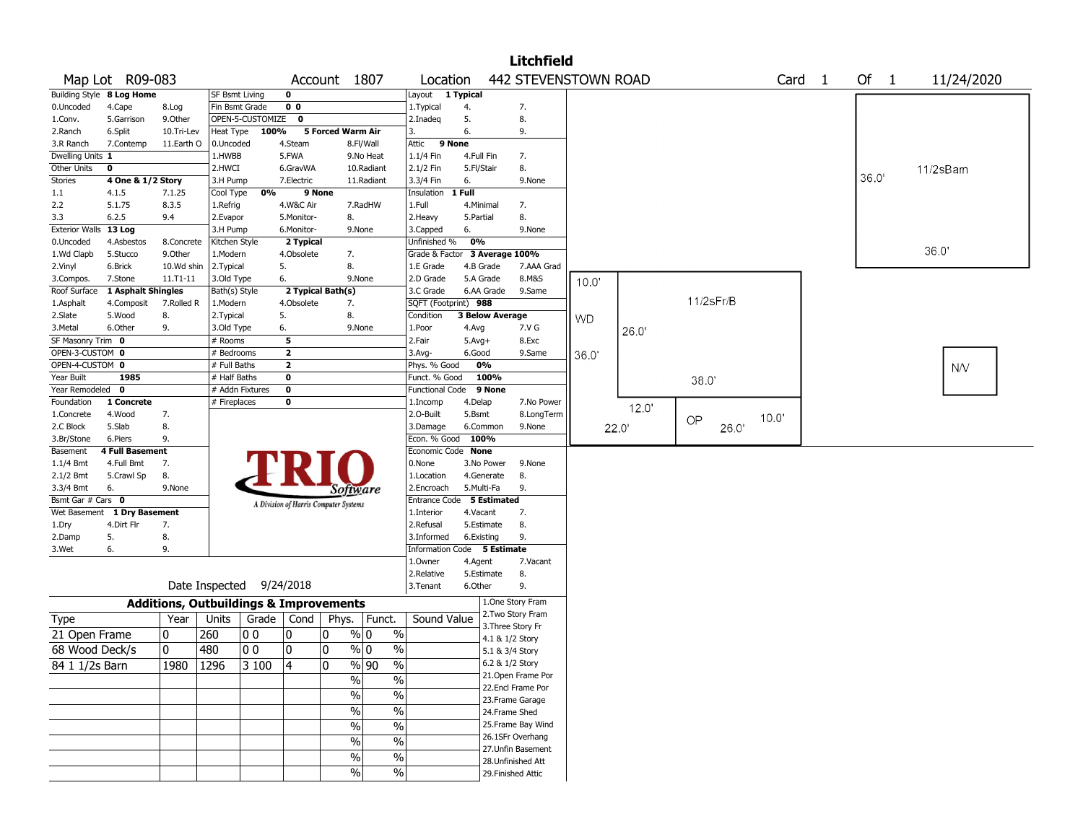|                       |                           |              |                                                   |                  |                |                                       |                        |                               |            |                        | <b>Litchfield</b>    |                   |       |             |                   |       |            |
|-----------------------|---------------------------|--------------|---------------------------------------------------|------------------|----------------|---------------------------------------|------------------------|-------------------------------|------------|------------------------|----------------------|-------------------|-------|-------------|-------------------|-------|------------|
|                       | Map Lot R09-083           |              |                                                   |                  |                | Account 1807                          |                        | Location                      |            |                        | 442 STEVENSTOWN ROAD |                   |       |             | Card <sub>1</sub> | Of 1  | 11/24/2020 |
|                       | Building Style 8 Log Home |              | <b>SF Bsmt Living</b>                             |                  | $\mathbf 0$    |                                       |                        | Layout 1 Typical              |            |                        |                      |                   |       |             |                   |       |            |
| 0.Uncoded             | 4.Cape                    | 8.Log        | Fin Bsmt Grade                                    |                  | 0 <sub>0</sub> |                                       |                        | 1. Typical                    | 4.         |                        | 7.                   |                   |       |             |                   |       |            |
| 1.Conv.               | 5.Garrison                | 9.Other      |                                                   | OPEN-5-CUSTOMIZE | $\mathbf 0$    |                                       |                        | 2.Inadeg                      | 5.         |                        | 8.                   |                   |       |             |                   |       |            |
| 2.Ranch               | 6.Split                   | 10.Tri-Lev   | Heat Type                                         | 100%             |                | <b>5 Forced Warm Air</b>              |                        | 3.                            | 6.         |                        | 9.                   |                   |       |             |                   |       |            |
| 3.R Ranch             | 7.Contemp                 | 11.Earth O   | 0.Uncoded                                         |                  | 4.Steam        |                                       | 8.Fl/Wall              | 9 None<br>Attic               |            |                        |                      |                   |       |             |                   |       |            |
| Dwelling Units 1      |                           |              | 1.HWBB                                            |                  | 5.FWA          |                                       | 9.No Heat              | 1.1/4 Fin                     | 4.Full Fin |                        | 7.                   |                   |       |             |                   |       |            |
| Other Units           | 0                         |              | 2.HWCI                                            |                  | 6.GravWA       |                                       | 10.Radiant             | 2.1/2 Fin                     | 5.Fl/Stair |                        | 8.                   |                   |       |             |                   |       | 11/2sBam   |
| Stories               | 4 One & 1/2 Story         |              | 3.H Pump                                          |                  | 7.Electric     |                                       | 11.Radiant             | 3.3/4 Fin                     | 6.         |                        | 9.None               |                   |       |             |                   | 36.0' |            |
| 1.1                   | 4.1.5                     | 7.1.25       | Cool Type                                         | 0%               | 9 None         |                                       |                        | Insulation                    | 1 Full     |                        |                      |                   |       |             |                   |       |            |
| 2.2                   | 5.1.75                    | 8.3.5        | 1.Refrig                                          |                  | 4.W&C Air      |                                       | 7.RadHW                | 1.Full                        |            | 4.Minimal              | 7.                   |                   |       |             |                   |       |            |
| 3.3                   | 6.2.5                     | 9.4          | 2.Evapor                                          |                  | 5.Monitor-     | 8.                                    |                        | 2. Heavy                      | 5.Partial  |                        | 8.                   |                   |       |             |                   |       |            |
| Exterior Walls 13 Log |                           |              | 3.H Pump                                          |                  | 6.Monitor-     |                                       | 9.None                 | 3.Capped                      | 6.         |                        | 9.None               |                   |       |             |                   |       |            |
| 0.Uncoded             | 4.Asbestos                | 8.Concrete   | Kitchen Style                                     |                  | 2 Typical      |                                       |                        | Unfinished %                  | 0%         |                        |                      |                   |       |             |                   |       |            |
| 1.Wd Clapb            | 5.Stucco                  | 9.0ther      | 1.Modern                                          |                  | 4.Obsolete     | 7.                                    |                        | Grade & Factor 3 Average 100% |            |                        |                      |                   |       |             |                   |       | 36.0'      |
| 2.Vinyl               | 6.Brick                   | 10.Wd shin   | 2. Typical                                        |                  | 5.             | 8.                                    |                        | 1.E Grade                     |            | 4.B Grade              | 7.AAA Grad           |                   |       |             |                   |       |            |
| 3.Compos.             | 7.Stone                   | $11.71 - 11$ | 3.Old Type                                        |                  | 6.             |                                       | 9.None                 | 2.D Grade                     |            | 5.A Grade              | 8.M&S                | 10.0 <sup>°</sup> |       |             |                   |       |            |
| Roof Surface          | 1 Asphalt Shingles        |              | Bath(s) Style                                     |                  |                | 2 Typical Bath(s)                     |                        | 3.C Grade                     |            | 6.AA Grade             | 9.Same               |                   |       |             |                   |       |            |
| 1.Asphalt             | 4.Composit                | 7.Rolled R   | 1.Modern                                          |                  | 4.Obsolete     | 7.                                    |                        | SQFT (Footprint) 988          |            |                        |                      |                   |       | 11/2sFr/B   |                   |       |            |
| 2.Slate               | 5.Wood                    | 8.           | 2. Typical                                        |                  | 5.             | 8.                                    |                        | Condition                     |            | <b>3 Below Average</b> |                      | <b>WD</b>         |       |             |                   |       |            |
| 3.Metal               | 6.Other                   | 9.           | 3.Old Type                                        |                  | 6.             |                                       | 9.None                 | 1.Poor                        | 4.Avg      |                        | 7.V G                |                   | 26.0' |             |                   |       |            |
| SF Masonry Trim 0     |                           |              | # Rooms                                           |                  | 5              |                                       |                        | 2.Fair                        | $5.Avg+$   |                        | 8.Exc                |                   |       |             |                   |       |            |
| OPEN-3-CUSTOM 0       |                           |              | # Bedrooms                                        |                  | $\mathbf{2}$   |                                       |                        | $3.$ Avg-                     | 6.Good     |                        | 9.Same               | 36.0'             |       |             |                   |       |            |
| OPEN-4-CUSTOM 0       |                           |              | # Full Baths                                      |                  | $\mathbf{2}$   |                                       |                        | Phys. % Good                  |            | 0%                     |                      |                   |       |             |                   |       | <b>N/V</b> |
| Year Built            | 1985                      |              | $#$ Half Baths                                    |                  | 0              |                                       |                        | Funct. % Good                 |            | 100%                   |                      |                   |       | 38.0'       |                   |       |            |
| Year Remodeled 0      |                           |              |                                                   | # Addn Fixtures  | $\mathbf 0$    |                                       |                        | Functional Code               |            | 9 None                 |                      |                   |       |             |                   |       |            |
| Foundation            | 1 Concrete                |              | # Fireplaces                                      |                  | 0              |                                       |                        | 1.Incomp                      | 4.Delap    |                        | 7.No Power           |                   |       |             |                   |       |            |
| 1.Concrete            | 4.Wood                    | 7.           |                                                   |                  |                |                                       |                        | 2.0-Built                     | 5.Bsmt     |                        | 8.LongTerm           |                   | 12.0' |             | 10.0'             |       |            |
| 2.C Block             | 5.Slab                    | 8.           |                                                   |                  |                |                                       |                        | 3.Damage                      |            | 6.Common               | 9.None               |                   | 22.0' | OP<br>26.0' |                   |       |            |
| 3.Br/Stone            | 6.Piers                   | 9.           |                                                   |                  |                |                                       |                        | Econ. % Good                  |            | 100%                   |                      |                   |       |             |                   |       |            |
| Basement              | <b>4 Full Basement</b>    |              |                                                   |                  |                |                                       |                        | Economic Code None            |            |                        |                      |                   |       |             |                   |       |            |
| 1.1/4 Bmt             | 4.Full Bmt                | 7.           |                                                   |                  |                |                                       |                        | 0.None                        |            | 3.No Power             | 9.None               |                   |       |             |                   |       |            |
| 2.1/2 Bmt             | 5.Crawl Sp                | 8.           |                                                   |                  |                |                                       |                        | 1.Location                    |            | 4.Generate             | 8.                   |                   |       |             |                   |       |            |
| 3.3/4 Bmt             | 6.                        | 9.None       |                                                   |                  |                | Software                              |                        | 2.Encroach                    |            | 5.Multi-Fa             | 9.                   |                   |       |             |                   |       |            |
| Bsmt Gar # Cars 0     |                           |              |                                                   |                  |                | A Division of Harris Computer Systems |                        | Entrance Code 5 Estimated     |            |                        |                      |                   |       |             |                   |       |            |
| Wet Basement          | 1 Dry Basement            |              |                                                   |                  |                |                                       |                        | 1.Interior                    | 4.Vacant   |                        | 7.                   |                   |       |             |                   |       |            |
| 1.Dry                 | 4.Dirt Flr                | 7.           |                                                   |                  |                |                                       |                        | 2.Refusal                     |            | 5.Estimate             | 8.                   |                   |       |             |                   |       |            |
| 2.Damp                | 5.                        | 8.           |                                                   |                  |                |                                       |                        | 3.Informed                    |            | 6.Existing             | 9.                   |                   |       |             |                   |       |            |
| 3.Wet                 | 6.                        | 9.           |                                                   |                  |                |                                       |                        | Information Code 5 Estimate   |            |                        |                      |                   |       |             |                   |       |            |
|                       |                           |              |                                                   |                  |                |                                       |                        | 1.0wner                       | 4.Agent    |                        | 7.Vacant             |                   |       |             |                   |       |            |
|                       |                           |              |                                                   |                  |                |                                       |                        | 2.Relative                    |            | 5.Estimate             | 8.                   |                   |       |             |                   |       |            |
|                       |                           |              | Date Inspected 9/24/2018                          |                  |                |                                       |                        | 3. Tenant                     | 6.Other    |                        | 9.                   |                   |       |             |                   |       |            |
|                       |                           |              | <b>Additions, Outbuildings &amp; Improvements</b> |                  |                |                                       |                        |                               |            |                        | 1.One Story Fram     |                   |       |             |                   |       |            |
| Type                  |                           | Year         | Units                                             | Grade   Cond     |                | Phys.                                 | Funct.                 | Sound Value                   |            |                        | 2. Two Story Fram    |                   |       |             |                   |       |            |
|                       |                           |              |                                                   |                  |                |                                       |                        |                               |            |                        | 3. Three Story Fr    |                   |       |             |                   |       |            |
| 21 Open Frame         |                           | 0            | 260                                               | O O              | 0              | 0                                     | % 0<br>$\%$            |                               |            | 4.1 & 1/2 Story        |                      |                   |       |             |                   |       |            |
| 68 Wood Deck/s        |                           | 0            | 480                                               | 00               | 0              | 0                                     | $\%$ 0<br>$\%$         |                               |            | 5.1 & 3/4 Story        |                      |                   |       |             |                   |       |            |
| 84 1 1/2s Barn        |                           | 1980         | 1296                                              | 3 100            | 14             | $\mathbf{0}$                          | $\frac{0}{0}$<br>%  90 |                               |            | 6.2 & 1/2 Story        |                      |                   |       |             |                   |       |            |
|                       |                           |              |                                                   |                  |                | %                                     | $\frac{0}{0}$          |                               |            |                        | 21. Open Frame Por   |                   |       |             |                   |       |            |
|                       |                           |              |                                                   |                  |                |                                       |                        |                               |            |                        | 22.Encl Frame Por    |                   |       |             |                   |       |            |
|                       |                           |              |                                                   |                  |                | $\overline{\frac{0}{0}}$              | $\frac{0}{0}$          |                               |            |                        | 23.Frame Garage      |                   |       |             |                   |       |            |
|                       |                           |              |                                                   |                  |                | $\sqrt{6}$                            | $\frac{1}{2}$          |                               |            | 24.Frame Shed          |                      |                   |       |             |                   |       |            |
|                       |                           |              |                                                   |                  |                | $\sqrt{6}$                            | $\frac{1}{2}$          |                               |            |                        | 25. Frame Bay Wind   |                   |       |             |                   |       |            |
|                       |                           |              |                                                   |                  |                | $\frac{0}{0}$                         | $\frac{1}{2}$          |                               |            |                        | 26.1SFr Overhang     |                   |       |             |                   |       |            |
|                       |                           |              |                                                   |                  |                |                                       |                        |                               |            |                        | 27. Unfin Basement   |                   |       |             |                   |       |            |
|                       |                           |              |                                                   |                  |                | $\%$                                  | $\%$                   |                               |            |                        | 28. Unfinished Att   |                   |       |             |                   |       |            |
|                       |                           |              |                                                   |                  |                | $\%$                                  | $\%$                   |                               |            |                        | 29. Finished Attic   |                   |       |             |                   |       |            |
|                       |                           |              |                                                   |                  |                |                                       |                        |                               |            |                        |                      |                   |       |             |                   |       |            |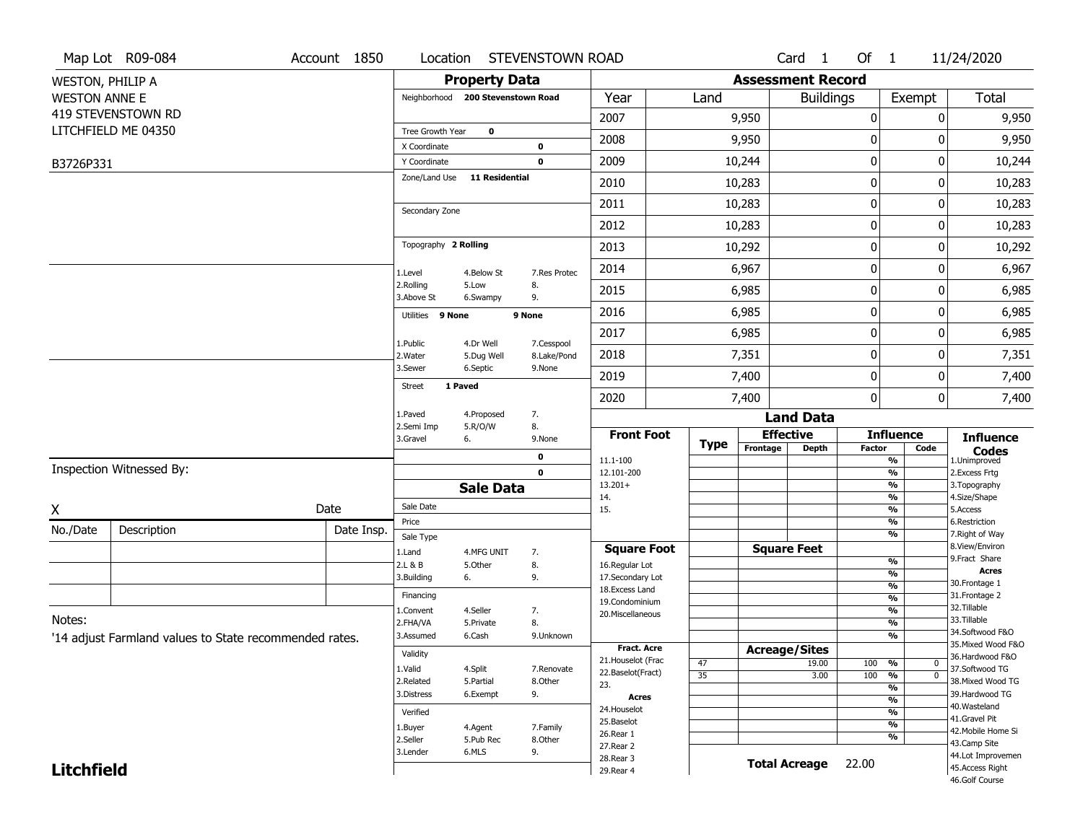|                         | Map Lot R09-084                                        | Account 1850 | Location                     |                                   | STEVENSTOWN ROAD          |                                   |                 |                          | Card 1           | Of 1             |                                | 11/24/2020                          |
|-------------------------|--------------------------------------------------------|--------------|------------------------------|-----------------------------------|---------------------------|-----------------------------------|-----------------|--------------------------|------------------|------------------|--------------------------------|-------------------------------------|
| <b>WESTON, PHILIP A</b> |                                                        |              |                              | <b>Property Data</b>              |                           |                                   |                 | <b>Assessment Record</b> |                  |                  |                                |                                     |
| <b>WESTON ANNE E</b>    |                                                        |              |                              | Neighborhood 200 Stevenstown Road |                           | Year                              | Land            |                          | <b>Buildings</b> |                  | Exempt                         | Total                               |
|                         | 419 STEVENSTOWN RD                                     |              |                              |                                   |                           | 2007                              |                 | 9,950                    |                  | 0                | 0                              | 9,950                               |
|                         | LITCHFIELD ME 04350                                    |              | Tree Growth Year             | $\mathbf 0$                       |                           | 2008                              |                 | 9,950                    |                  | 0                | 0                              | 9,950                               |
|                         |                                                        |              | X Coordinate<br>Y Coordinate |                                   | 0<br>0                    | 2009                              |                 | 10,244                   |                  | $\boldsymbol{0}$ | 0                              | 10,244                              |
| B3726P331               |                                                        |              | Zone/Land Use                | <b>11 Residential</b>             |                           |                                   |                 |                          |                  |                  |                                |                                     |
|                         |                                                        |              |                              |                                   |                           | 2010                              |                 | 10,283                   |                  | $\boldsymbol{0}$ | 0                              | 10,283                              |
|                         |                                                        |              | Secondary Zone               |                                   |                           | 2011                              |                 | 10,283                   |                  | $\boldsymbol{0}$ | 0                              | 10,283                              |
|                         |                                                        |              |                              |                                   |                           | 2012                              |                 | 10,283                   |                  | 0                | 0                              | 10,283                              |
|                         |                                                        |              | Topography 2 Rolling         |                                   |                           | 2013                              |                 | 10,292                   |                  | $\boldsymbol{0}$ | 0                              | 10,292                              |
|                         |                                                        |              | 1.Level                      | 4.Below St                        | 7.Res Protec              | 2014                              |                 | 6,967                    |                  | $\boldsymbol{0}$ | 0                              | 6,967                               |
|                         |                                                        |              | 2.Rolling<br>3.Above St      | 5.Low<br>6.Swampy                 | 8.<br>9.                  | 2015                              |                 | 6,985                    |                  | $\boldsymbol{0}$ | 0                              | 6,985                               |
|                         |                                                        |              | Utilities 9 None             |                                   | 9 None                    | 2016                              |                 | 6,985                    |                  | 0                | 0                              | 6,985                               |
|                         |                                                        |              |                              |                                   |                           | 2017                              |                 | 6,985                    |                  | $\boldsymbol{0}$ | 0                              | 6,985                               |
|                         |                                                        |              | 1.Public<br>2. Water         | 4.Dr Well<br>5.Dug Well           | 7.Cesspool<br>8.Lake/Pond | 2018                              |                 | 7,351                    |                  | $\boldsymbol{0}$ | 0                              | 7,351                               |
|                         |                                                        |              | 3.Sewer                      | 6.Septic                          | 9.None                    | 2019                              |                 | 7,400                    |                  | $\boldsymbol{0}$ | 0                              | 7,400                               |
|                         |                                                        |              | <b>Street</b>                | 1 Paved                           |                           | 2020                              |                 | 7,400                    |                  | 0                | 0                              | 7,400                               |
|                         |                                                        |              | 1.Paved                      | 4.Proposed                        | 7.                        |                                   |                 |                          | <b>Land Data</b> |                  |                                |                                     |
|                         |                                                        |              | 2.Semi Imp<br>3.Gravel       | 5.R/O/W<br>6.                     | 8.<br>9.None              | <b>Front Foot</b>                 |                 | <b>Effective</b>         |                  |                  | <b>Influence</b>               | <b>Influence</b>                    |
|                         |                                                        |              |                              |                                   | 0                         | 11.1-100                          | <b>Type</b>     | Frontage                 | <b>Depth</b>     | <b>Factor</b>    | Code<br>%                      | <b>Codes</b><br>1.Unimproved        |
|                         | Inspection Witnessed By:                               |              |                              |                                   | $\mathbf 0$               | 12.101-200                        |                 |                          |                  |                  | $\frac{9}{6}$                  | 2.Excess Frtg                       |
|                         |                                                        |              |                              | <b>Sale Data</b>                  |                           | $13.201+$<br>14.                  |                 |                          |                  |                  | $\frac{9}{6}$<br>$\frac{9}{6}$ | 3. Topography<br>4.Size/Shape       |
| Χ                       |                                                        | Date         | Sale Date                    |                                   |                           | 15.                               |                 |                          |                  |                  | $\frac{9}{6}$                  | 5.Access                            |
| No./Date                | Description                                            | Date Insp.   | Price                        |                                   |                           |                                   |                 |                          |                  |                  | $\frac{9}{6}$<br>$\frac{9}{6}$ | 6.Restriction<br>7. Right of Way    |
|                         |                                                        |              | Sale Type<br>1.Land          | 4.MFG UNIT                        | 7.                        | <b>Square Foot</b>                |                 | <b>Square Feet</b>       |                  |                  |                                | 8.View/Environ                      |
|                         |                                                        |              | 2.L & B                      | 5.Other                           | 8.                        | 16.Regular Lot                    |                 |                          |                  |                  | %                              | 9.Fract Share<br><b>Acres</b>       |
|                         |                                                        |              | 3.Building                   | 6.                                | 9.                        | 17.Secondary Lot                  |                 |                          |                  |                  | %<br>$\frac{9}{6}$             | 30. Frontage 1                      |
|                         |                                                        |              | Financing                    |                                   |                           | 18. Excess Land<br>19.Condominium |                 |                          |                  |                  | $\frac{9}{6}$                  | 31. Frontage 2                      |
| Notes:                  |                                                        |              | 1.Convent                    | 4.Seller                          | 7.                        | 20.Miscellaneous                  |                 |                          |                  |                  | $\frac{9}{6}$                  | 32.Tillable<br>33.Tillable          |
|                         |                                                        |              | 2.FHA/VA<br>3.Assumed        | 5.Private<br>6.Cash               | 8.<br>9.Unknown           |                                   |                 |                          |                  |                  | $\frac{9}{6}$<br>$\frac{9}{6}$ | 34.Softwood F&O                     |
|                         | '14 adjust Farmland values to State recommended rates. |              |                              |                                   |                           | <b>Fract. Acre</b>                |                 | <b>Acreage/Sites</b>     |                  |                  |                                | 35. Mixed Wood F&O                  |
|                         |                                                        |              | Validity                     |                                   |                           | 21. Houselot (Frac                | 47              |                          | 19.00            | 100              | %<br>0                         | 36.Hardwood F&O                     |
|                         |                                                        |              | 1.Valid                      | 4.Split                           | 7.Renovate                | 22.Baselot(Fract)                 | $\overline{35}$ |                          | 3.00             | 100              | $\overline{0}$<br>%            | 37.Softwood TG                      |
|                         |                                                        |              | 2.Related<br>3.Distress      | 5.Partial<br>6.Exempt             | 8.Other<br>9.             | 23.                               |                 |                          |                  |                  | $\frac{9}{6}$                  | 38. Mixed Wood TG<br>39.Hardwood TG |
|                         |                                                        |              |                              |                                   |                           | <b>Acres</b><br>24. Houselot      |                 |                          |                  |                  | $\frac{9}{6}$                  | 40. Wasteland                       |
|                         |                                                        |              | Verified                     |                                   |                           | 25.Baselot                        |                 |                          |                  |                  | $\frac{9}{6}$<br>$\frac{9}{6}$ | 41.Gravel Pit                       |
|                         |                                                        |              | 1.Buyer<br>2.Seller          | 4.Agent<br>5.Pub Rec              | 7.Family<br>8.Other       | 26.Rear 1                         |                 |                          |                  |                  | %                              | 42. Mobile Home Si                  |
|                         |                                                        |              | 3.Lender                     | 6.MLS                             | 9.                        | 27.Rear 2                         |                 |                          |                  |                  |                                | 43.Camp Site<br>44.Lot Improvemen   |
| <b>Litchfield</b>       |                                                        |              |                              |                                   |                           | 28. Rear 3                        |                 | <b>Total Acreage</b>     |                  | 22.00            |                                | 45.Access Right                     |
|                         |                                                        |              |                              |                                   |                           | 29. Rear 4                        |                 |                          |                  |                  |                                | 46.Golf Course                      |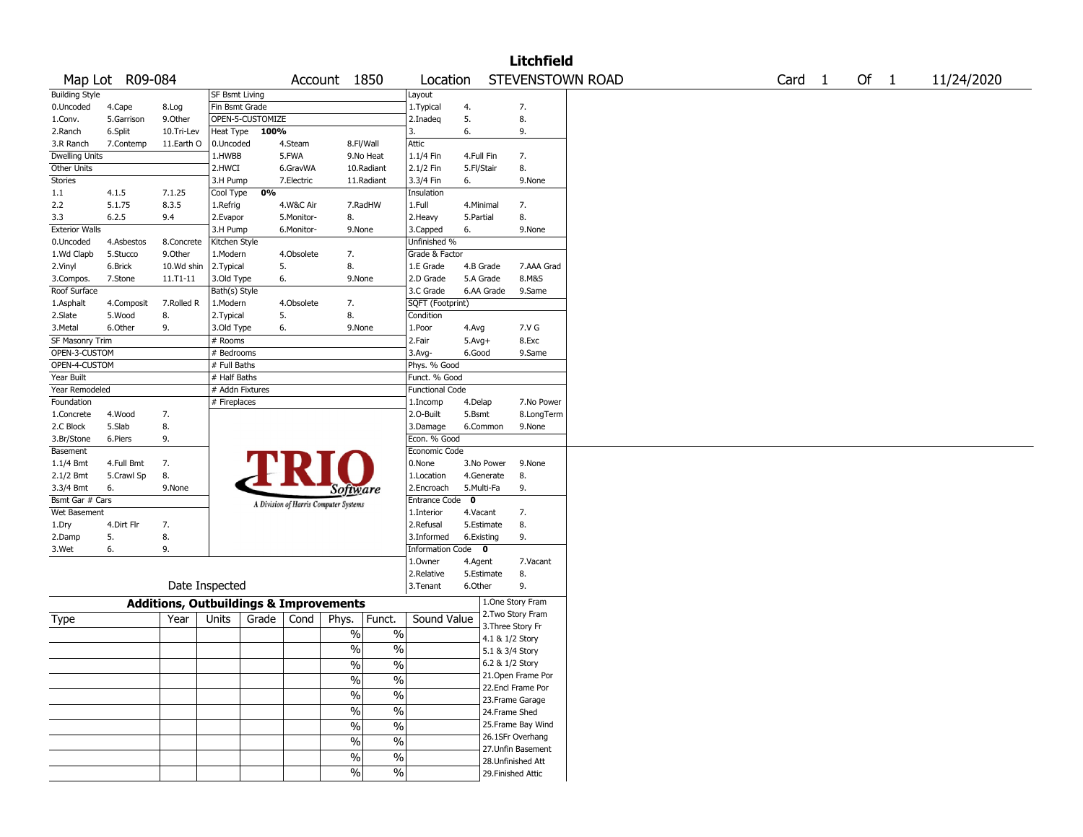|                                |                 |                                                   |                                 |                  |            |                                       |                          |                                    |                   |                 | <b>Litchfield</b>  |                  |                   |        |            |
|--------------------------------|-----------------|---------------------------------------------------|---------------------------------|------------------|------------|---------------------------------------|--------------------------|------------------------------------|-------------------|-----------------|--------------------|------------------|-------------------|--------|------------|
|                                | Map Lot R09-084 |                                                   |                                 |                  |            | Account 1850                          |                          | Location                           |                   |                 |                    | STEVENSTOWN ROAD | Card <sub>1</sub> | Of $1$ | 11/24/2020 |
| <b>Building Style</b>          |                 |                                                   | <b>SF Bsmt Living</b>           |                  |            |                                       |                          | Layout                             |                   |                 |                    |                  |                   |        |            |
| 0.Uncoded                      | 4.Cape          | 8.Log                                             | Fin Bsmt Grade                  |                  |            |                                       |                          | 1.Typical                          | 4.                |                 | 7.                 |                  |                   |        |            |
| 1.Conv.                        | 5.Garrison      | 9.Other                                           |                                 | OPEN-5-CUSTOMIZE |            |                                       |                          | 2.Inadeq                           | 5.                |                 | 8.                 |                  |                   |        |            |
| 2.Ranch                        | 6.Split         | 10.Tri-Lev                                        | Heat Type                       | 100%             |            |                                       |                          | 3.                                 | 6.                |                 | 9.                 |                  |                   |        |            |
| 3.R Ranch                      | 7.Contemp       | 11.Earth O                                        | 0.Uncoded                       |                  | 4.Steam    | 8.Fl/Wall                             |                          | Attic                              |                   |                 |                    |                  |                   |        |            |
| Dwelling Units                 |                 |                                                   | 1.HWBB                          |                  | 5.FWA      |                                       | 9.No Heat                | 1.1/4 Fin                          | 4.Full Fin        |                 | 7.                 |                  |                   |        |            |
| Other Units                    |                 |                                                   | 2.HWCI                          |                  | 6.GravWA   |                                       | 10.Radiant               | 2.1/2 Fin                          | 5.Fl/Stair        |                 | 8.                 |                  |                   |        |            |
| Stories                        |                 |                                                   | 3.H Pump                        |                  | 7.Electric |                                       | 11.Radiant               | 3.3/4 Fin                          | 6.                |                 | 9.None             |                  |                   |        |            |
| 1.1                            | 4.1.5           | 7.1.25                                            | Cool Type                       | 0%               |            |                                       |                          | Insulation                         |                   |                 |                    |                  |                   |        |            |
| 2.2                            | 5.1.75          | 8.3.5                                             | 1.Refrig                        |                  | 4.W&C Air  |                                       | 7.RadHW                  | 1.Full                             | 4.Minimal         |                 | 7.                 |                  |                   |        |            |
| 3.3                            | 6.2.5           | 9.4                                               | 2.Evapor                        |                  | 5.Monitor- | 8.                                    |                          | 2. Heavy                           | 5.Partial         |                 | 8.                 |                  |                   |        |            |
| <b>Exterior Walls</b>          |                 |                                                   | 3.H Pump                        |                  | 6.Monitor- | 9.None                                |                          | 3.Capped                           | 6.                |                 | 9.None             |                  |                   |        |            |
| 0.Uncoded                      | 4.Asbestos      | 8.Concrete                                        | Kitchen Style                   |                  |            |                                       |                          | Unfinished %                       |                   |                 |                    |                  |                   |        |            |
| 1.Wd Clapb                     | 5.Stucco        | 9.0ther                                           | 1.Modern                        |                  | 4.Obsolete | 7.                                    |                          | Grade & Factor                     |                   |                 |                    |                  |                   |        |            |
| 2.Vinyl                        | 6.Brick         | 10.Wd shin                                        | 2.Typical                       | 5.               |            | 8.                                    |                          | 1.E Grade                          | 4.B Grade         |                 | 7.AAA Grad         |                  |                   |        |            |
| 3.Compos.                      | 7.Stone         | 11.T1-11                                          | 3.Old Type                      |                  | 6.         | 9.None                                |                          | 2.D Grade                          | 5.A Grade         |                 | 8.M&S              |                  |                   |        |            |
| Roof Surface                   |                 |                                                   | Bath(s) Style                   |                  |            |                                       |                          | 3.C Grade                          | 6.AA Grade        |                 | 9.Same             |                  |                   |        |            |
| 1.Asphalt                      | 4.Composit      | 7.Rolled R                                        | 1.Modern                        |                  | 4.Obsolete | 7.                                    |                          | SQFT (Footprint)                   |                   |                 |                    |                  |                   |        |            |
| 2.Slate                        | 5.Wood          | 8.                                                | 2.Typical                       | 5.               |            | 8.                                    |                          | Condition                          |                   |                 |                    |                  |                   |        |            |
| 3.Metal                        | 6.Other         | 9.                                                | 3.Old Type                      |                  | 6.         | 9.None                                |                          | 1.Poor                             | 4.Avg             |                 | 7.V G              |                  |                   |        |            |
| SF Masonry Trim                |                 |                                                   | # Rooms                         |                  |            |                                       |                          | 2.Fair                             | $5.Avg+$          |                 | 8.Exc              |                  |                   |        |            |
| OPEN-3-CUSTOM<br>OPEN-4-CUSTOM |                 |                                                   | # Bedrooms                      |                  |            |                                       |                          | 3.Avg-                             | 6.Good            |                 | 9.Same             |                  |                   |        |            |
|                                |                 |                                                   | # Full Baths                    |                  |            |                                       |                          | Phys. % Good                       |                   |                 |                    |                  |                   |        |            |
| Year Built<br>Year Remodeled   |                 |                                                   | # Half Baths<br># Addn Fixtures |                  |            |                                       |                          | Funct. % Good                      |                   |                 |                    |                  |                   |        |            |
|                                |                 |                                                   | # Fireplaces                    |                  |            |                                       |                          | <b>Functional Code</b><br>1.Incomp |                   |                 | 7.No Power         |                  |                   |        |            |
| Foundation<br>1.Concrete       | 4.Wood          | 7.                                                |                                 |                  |            |                                       |                          | 2.0-Built                          | 4.Delap<br>5.Bsmt |                 | 8.LongTerm         |                  |                   |        |            |
| 2.C Block                      | 5.Slab          | 8.                                                |                                 |                  |            |                                       |                          | 3.Damage                           | 6.Common          |                 | 9.None             |                  |                   |        |            |
| 3.Br/Stone                     | 6.Piers         | 9.                                                |                                 |                  |            |                                       |                          | Econ. % Good                       |                   |                 |                    |                  |                   |        |            |
| Basement                       |                 |                                                   |                                 |                  |            |                                       |                          | Economic Code                      |                   |                 |                    |                  |                   |        |            |
| 1.1/4 Bmt                      | 4.Full Bmt      | 7.                                                |                                 |                  |            |                                       |                          | 0.None                             | 3.No Power        |                 | 9.None             |                  |                   |        |            |
| 2.1/2 Bmt                      | 5.Crawl Sp      | 8.                                                |                                 |                  |            |                                       |                          | 1.Location                         | 4.Generate        |                 | 8.                 |                  |                   |        |            |
| 3.3/4 Bmt                      | 6.              | 9.None                                            |                                 |                  |            | Software                              |                          | 2.Encroach                         | 5.Multi-Fa        |                 | 9.                 |                  |                   |        |            |
| Bsmt Gar # Cars                |                 |                                                   |                                 |                  |            |                                       |                          | <b>Entrance Code</b>               | $\mathbf{o}$      |                 |                    |                  |                   |        |            |
| Wet Basement                   |                 |                                                   |                                 |                  |            | A Division of Harris Computer Systems |                          | 1.Interior                         | 4.Vacant          |                 | 7.                 |                  |                   |        |            |
| 1.Dry                          | 4.Dirt Flr      | 7.                                                |                                 |                  |            |                                       |                          | 2.Refusal                          | 5.Estimate        |                 | 8.                 |                  |                   |        |            |
| 2.Damp                         | 5.              | 8.                                                |                                 |                  |            |                                       |                          | 3.Informed                         | 6.Existing        |                 | 9.                 |                  |                   |        |            |
| 3.Wet                          | 6.              | 9.                                                |                                 |                  |            |                                       |                          | <b>Information Code</b>            | $\bullet$         |                 |                    |                  |                   |        |            |
|                                |                 |                                                   |                                 |                  |            |                                       |                          | 1.Owner                            | 4.Agent           |                 | 7.Vacant           |                  |                   |        |            |
|                                |                 |                                                   |                                 |                  |            |                                       |                          | 2.Relative                         | 5.Estimate        |                 | 8.                 |                  |                   |        |            |
|                                |                 | Date Inspected                                    |                                 |                  |            |                                       |                          | 3.Tenant                           | 6.Other           |                 | 9.                 |                  |                   |        |            |
|                                |                 |                                                   |                                 |                  |            |                                       |                          |                                    |                   |                 | 1.One Story Fram   |                  |                   |        |            |
|                                |                 | <b>Additions, Outbuildings &amp; Improvements</b> |                                 |                  |            |                                       |                          |                                    |                   |                 | 2. Two Story Fram  |                  |                   |        |            |
| Type                           |                 | Year                                              | Units                           | Grade            | Cond       | Phys.                                 | Funct.                   | Sound Value                        |                   |                 | 3. Three Story Fr  |                  |                   |        |            |
|                                |                 |                                                   |                                 |                  |            | $\%$                                  | $\%$                     |                                    |                   | 4.1 & 1/2 Story |                    |                  |                   |        |            |
|                                |                 |                                                   |                                 |                  |            | $\%$                                  | $\%$                     |                                    |                   | 5.1 & 3/4 Story |                    |                  |                   |        |            |
|                                |                 |                                                   |                                 |                  |            | $\frac{0}{0}$                         | $\frac{0}{0}$            |                                    |                   | 6.2 & 1/2 Story |                    |                  |                   |        |            |
|                                |                 |                                                   |                                 |                  |            | $\frac{0}{6}$                         | $\overline{\frac{0}{0}}$ |                                    |                   |                 | 21.Open Frame Por  |                  |                   |        |            |
|                                |                 |                                                   |                                 |                  |            |                                       |                          |                                    |                   |                 | 22.Encl Frame Por  |                  |                   |        |            |
|                                |                 |                                                   |                                 |                  |            | $\frac{9}{6}$                         | $\overline{\frac{0}{0}}$ |                                    |                   |                 | 23. Frame Garage   |                  |                   |        |            |
|                                |                 |                                                   |                                 |                  |            | $\sqrt{6}$                            | $\overline{\frac{0}{0}}$ |                                    |                   | 24.Frame Shed   |                    |                  |                   |        |            |
|                                |                 |                                                   |                                 |                  |            | $\frac{1}{2}$                         | $\overline{\frac{0}{0}}$ |                                    |                   |                 | 25. Frame Bay Wind |                  |                   |        |            |
|                                |                 |                                                   |                                 |                  |            | $\frac{9}{6}$                         | $\overline{\frac{0}{0}}$ |                                    |                   |                 | 26.1SFr Overhang   |                  |                   |        |            |
|                                |                 |                                                   |                                 |                  |            |                                       |                          |                                    |                   |                 | 27. Unfin Basement |                  |                   |        |            |
|                                |                 |                                                   |                                 |                  |            | %                                     | $\overline{\frac{0}{0}}$ |                                    |                   |                 | 28.Unfinished Att  |                  |                   |        |            |
|                                |                 |                                                   |                                 |                  |            | $\frac{0}{0}$                         | $\overline{\frac{0}{6}}$ |                                    |                   |                 | 29. Finished Attic |                  |                   |        |            |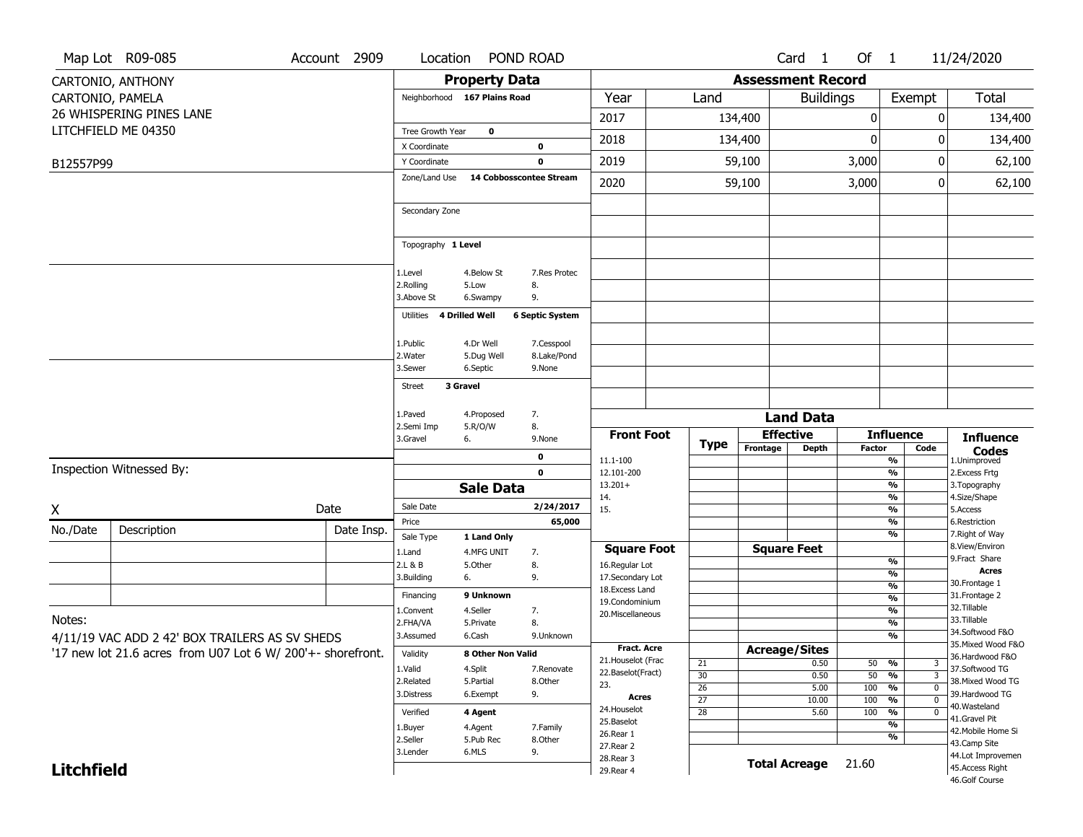|                   | Map Lot R09-085                                                                                               | Account 2909 | Location                           | POND ROAD                                                   |                                     |                                    |                          | Card <sub>1</sub>    | Of $1$        |                                                                                          | 11/24/2020                           |
|-------------------|---------------------------------------------------------------------------------------------------------------|--------------|------------------------------------|-------------------------------------------------------------|-------------------------------------|------------------------------------|--------------------------|----------------------|---------------|------------------------------------------------------------------------------------------|--------------------------------------|
|                   | CARTONIO, ANTHONY                                                                                             |              |                                    | <b>Property Data</b>                                        |                                     |                                    | <b>Assessment Record</b> |                      |               |                                                                                          |                                      |
|                   | CARTONIO, PAMELA                                                                                              |              | Neighborhood 167 Plains Road       |                                                             | Year                                | Land                               |                          | <b>Buildings</b>     |               | Exempt                                                                                   | Total                                |
|                   | 26 WHISPERING PINES LANE                                                                                      |              |                                    |                                                             | 2017                                |                                    | 134,400                  |                      | 0             | 0                                                                                        | 134,400                              |
|                   | LITCHFIELD ME 04350                                                                                           |              | Tree Growth Year                   | $\mathbf 0$                                                 | 2018                                |                                    | 134,400                  |                      | $\mathbf{0}$  | ŋ                                                                                        | 134,400                              |
|                   |                                                                                                               |              | X Coordinate                       | 0                                                           |                                     |                                    |                          |                      |               |                                                                                          |                                      |
| B12557P99         |                                                                                                               |              | Y Coordinate                       | $\mathbf 0$                                                 | 2019                                |                                    | 59,100                   |                      | 3,000         | 0                                                                                        | 62,100                               |
|                   |                                                                                                               |              | Zone/Land Use                      | 14 Cobbosscontee Stream                                     | 2020                                |                                    | 59,100                   |                      | 3,000         | 0                                                                                        | 62,100                               |
|                   |                                                                                                               |              | Secondary Zone                     |                                                             |                                     |                                    |                          |                      |               |                                                                                          |                                      |
|                   |                                                                                                               |              | Topography 1 Level                 |                                                             |                                     |                                    |                          |                      |               |                                                                                          |                                      |
|                   |                                                                                                               |              | 1.Level<br>2.Rolling<br>3.Above St | 4.Below St<br>7.Res Protec<br>8.<br>5.Low<br>9.<br>6.Swampy |                                     |                                    |                          |                      |               |                                                                                          |                                      |
|                   |                                                                                                               |              | 4 Drilled Well<br>Utilities        | <b>6 Septic System</b>                                      |                                     |                                    |                          |                      |               |                                                                                          |                                      |
|                   |                                                                                                               |              | 1.Public                           | 4.Dr Well<br>7.Cesspool                                     |                                     |                                    |                          |                      |               |                                                                                          |                                      |
|                   |                                                                                                               |              | 2. Water                           | 8.Lake/Pond<br>5.Dug Well                                   |                                     |                                    |                          |                      |               |                                                                                          |                                      |
|                   |                                                                                                               |              | 3.Sewer                            | 6.Septic<br>9.None                                          |                                     |                                    |                          |                      |               |                                                                                          |                                      |
|                   |                                                                                                               |              | 3 Gravel<br><b>Street</b>          |                                                             |                                     |                                    |                          |                      |               |                                                                                          |                                      |
|                   |                                                                                                               |              | 1.Paved                            | 7.<br>4.Proposed                                            |                                     |                                    |                          | <b>Land Data</b>     |               |                                                                                          |                                      |
|                   |                                                                                                               |              | 2.Semi Imp                         | 5.R/O/W<br>8.                                               | <b>Front Foot</b>                   |                                    |                          | <b>Effective</b>     |               | <b>Influence</b>                                                                         | <b>Influence</b>                     |
|                   |                                                                                                               |              | 3.Gravel<br>6.                     | 9.None                                                      |                                     | <b>Type</b>                        | Frontage                 | Depth                | <b>Factor</b> | Code                                                                                     | <b>Codes</b>                         |
|                   | Inspection Witnessed By:                                                                                      |              |                                    | 0<br>$\mathbf 0$                                            | 11.1-100<br>12.101-200              |                                    |                          |                      |               | %<br>$\frac{9}{6}$                                                                       | 1.Unimproved<br>2.Excess Frtg        |
|                   |                                                                                                               |              |                                    | <b>Sale Data</b>                                            | $13.201+$                           |                                    |                          |                      |               | %                                                                                        | 3. Topography                        |
|                   |                                                                                                               | Date         | Sale Date                          | 2/24/2017                                                   | 14.                                 |                                    |                          |                      |               | %                                                                                        | 4.Size/Shape<br>5.Access             |
| X                 |                                                                                                               |              |                                    |                                                             |                                     |                                    |                          |                      |               |                                                                                          |                                      |
| No./Date          |                                                                                                               |              | Price                              | 65,000                                                      | 15.                                 |                                    |                          |                      |               | %<br>%                                                                                   | 6.Restriction                        |
|                   | Description                                                                                                   | Date Insp.   | Sale Type                          | 1 Land Only                                                 |                                     |                                    |                          |                      |               | %                                                                                        | 7. Right of Way                      |
|                   |                                                                                                               |              | 1.Land                             | 4.MFG UNIT<br>7.                                            | <b>Square Foot</b>                  |                                    |                          | <b>Square Feet</b>   |               |                                                                                          | 8.View/Environ                       |
|                   |                                                                                                               |              | 2.L & B                            | 8.<br>5.0ther                                               | 16.Regular Lot                      |                                    |                          |                      |               | $\frac{9}{6}$<br>%                                                                       | 9. Fract Share<br><b>Acres</b>       |
|                   |                                                                                                               |              | 3.Building<br>6.                   | 9.                                                          | 17.Secondary Lot<br>18. Excess Land |                                    |                          |                      |               | $\frac{9}{6}$                                                                            | 30. Frontage 1                       |
|                   |                                                                                                               |              | Financing                          | 9 Unknown                                                   | 19.Condominium                      |                                    |                          |                      |               | %                                                                                        | 31. Frontage 2                       |
| Notes:            |                                                                                                               |              | 1.Convent                          | 4.Seller<br>7.                                              | 20. Miscellaneous                   |                                    |                          |                      |               | $\frac{9}{6}$                                                                            | 32.Tillable<br>33.Tillable           |
|                   |                                                                                                               |              | 2.FHA/VA<br>3.Assumed              | 8.<br>5.Private<br>6.Cash<br>9.Unknown                      |                                     |                                    |                          |                      |               | %<br>%                                                                                   | 34.Softwood F&O                      |
|                   | 4/11/19 VAC ADD 2 42' BOX TRAILERS AS SV SHEDS<br>'17 new lot 21.6 acres from U07 Lot 6 W/ 200'+- shorefront. |              | Validity                           | 8 Other Non Valid                                           | <b>Fract. Acre</b>                  |                                    | <b>Acreage/Sites</b>     |                      |               |                                                                                          | 35. Mixed Wood F&O                   |
|                   |                                                                                                               |              | 1.Valid                            | 4.Split<br>7.Renovate                                       | 21. Houselot (Frac                  | 21                                 |                          | 0.50                 | 50            | %<br>3                                                                                   | 36.Hardwood F&O<br>37.Softwood TG    |
|                   |                                                                                                               |              | 2.Related                          | 5.Partial<br>8.Other                                        | 22.Baselot(Fract)<br>23.            | 30                                 |                          | 0.50                 | 50            | $\frac{9}{6}$                                                                            | 38. Mixed Wood TG                    |
|                   |                                                                                                               |              | 3.Distress                         | 6.Exempt<br>9.                                              | Acres                               | $\overline{26}$<br>$\overline{27}$ |                          | 5.00<br>10.00        | 100<br>100    | $\overline{\mathfrak{o}}$<br>$\frac{9}{6}$<br>$\overline{\mathfrak{o}}$<br>$\frac{9}{6}$ | 39.Hardwood TG                       |
|                   |                                                                                                               |              | Verified                           | 4 Agent                                                     | 24. Houselot                        | $\overline{28}$                    |                          | 5.60                 | 100           | $\overline{0}$<br>%                                                                      | 40.Wasteland                         |
|                   |                                                                                                               |              | 1.Buyer                            | 4.Agent<br>7.Family                                         | 25.Baselot                          |                                    |                          |                      |               | $\overline{\frac{9}{6}}$                                                                 | 41.Gravel Pit<br>42. Mobile Home Si  |
|                   |                                                                                                               |              | 2.Seller                           | 8.Other<br>5.Pub Rec                                        | 26.Rear 1<br>27. Rear 2             |                                    |                          |                      |               | %                                                                                        | 43.Camp Site                         |
| <b>Litchfield</b> |                                                                                                               |              | 3.Lender                           | 6.MLS<br>9.                                                 | 28.Rear 3<br>29. Rear 4             |                                    |                          | <b>Total Acreage</b> | 21.60         |                                                                                          | 44.Lot Improvemen<br>45.Access Right |